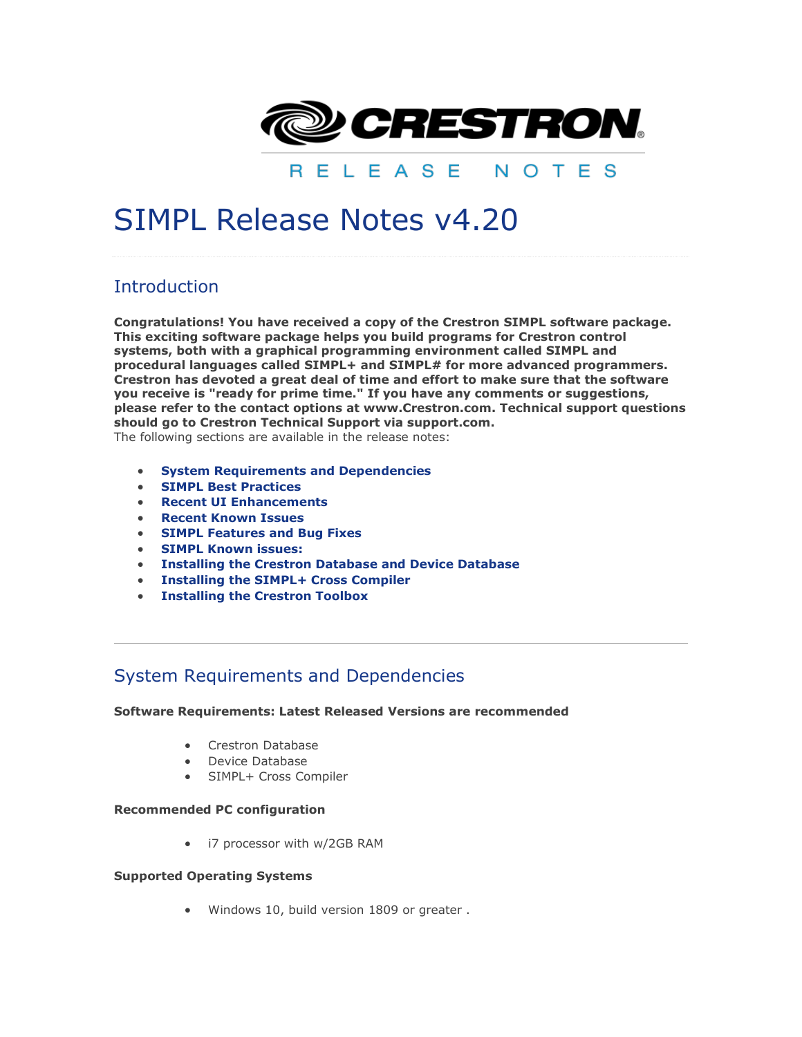

RELEASE NOTES

# SIMPL Release Notes v4.20

# **Introduction**

**Congratulations! You have received a copy of the Crestron SIMPL software package. This exciting software package helps you build programs for Crestron control systems, both with a graphical programming environment called SIMPL and procedural languages called SIMPL+ and SIMPL# for more advanced programmers. Crestron has devoted a great deal of time and effort to make sure that the software you receive is "ready for prime time." If you have any comments or suggestions, please refer to the contact options at www.Crestron.com. Technical support questions should go to Crestron Technical Support via support.com.**

The following sections are available in the release notes:

- **[System Requirements and Dependencies](simpl_release_notes.html#system_requirements)**
- **[SIMPL Best Practices](simpl_release_notes.html#simpl_best_practices)**
- **[Recent UI Enhancements](simpl_release_notes.html#simpl_UI_highlights)**
- **[Recent Known Issues](simpl_release_notes.html#recent_issues)**
- **[SIMPL Features and Bug Fixes](simpl_release_notes.html#simpl_rel_notes_new_features)**
- **[SIMPL Known issues:](simpl_release_notes.html#simpl_known_issues)**
- **[Installing the Crestron Database and Device Database](simpl_release_notes.html#simpl_rel_notes_installing_database)**
- **[Installing the SIMPL+ Cross Compiler](simpl_release_notes.html#simpl_rel_notes_installing_splus_crosscomp)**
- **[Installing the Crestron Toolbox](simpl_release_notes.html#simpl_rel_notes_installing_toolbox)**

# System Requirements and Dependencies

#### **Software Requirements: Latest Released Versions are recommended**

- Crestron Database
- Device Database
- SIMPL+ Cross Compiler

#### **Recommended PC configuration**

• i7 processor with w/2GB RAM

#### **Supported Operating Systems**

• Windows 10, build version 1809 or greater .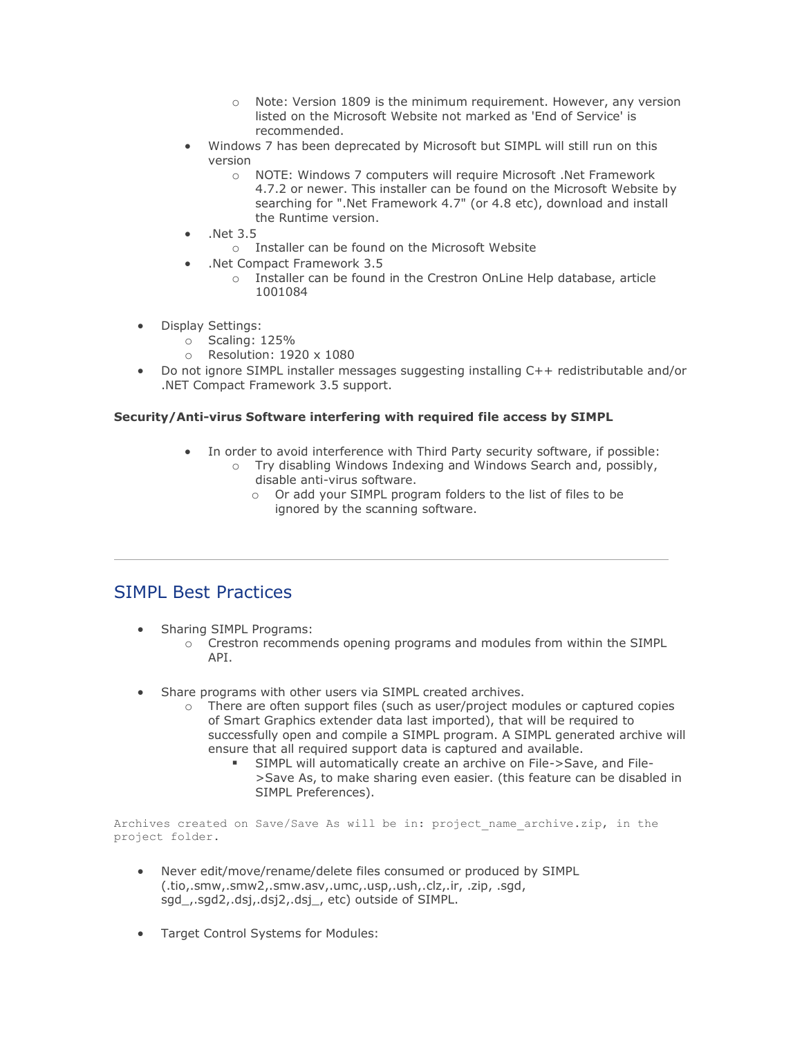- o Note: Version 1809 is the minimum requirement. However, any version listed on the Microsoft Website not marked as 'End of Service' is recommended.
- Windows 7 has been deprecated by Microsoft but SIMPL will still run on this version
	- o NOTE: Windows 7 computers will require Microsoft .Net Framework 4.7.2 or newer. This installer can be found on the Microsoft Website by searching for ".Net Framework 4.7" (or 4.8 etc), download and install the Runtime version.
- .Net 3.5
	- o Installer can be found on the Microsoft Website
- .Net Compact Framework 3.5
	- o Installer can be found in the Crestron OnLine Help database, article 1001084
- Display Settings:
	- o Scaling: 125%
	- o Resolution: 1920 x 1080
- Do not ignore SIMPL installer messages suggesting installing C++ redistributable and/or .NET Compact Framework 3.5 support.

#### **Security/Anti-virus Software interfering with required file access by SIMPL**

- In order to avoid interference with Third Party security software, if possible:  $\circ$  Try disabling Windows Indexing and Windows Search and, possibly,
	- disable anti-virus software.
		- o Or add your SIMPL program folders to the list of files to be ignored by the scanning software.

# SIMPL Best Practices

- Sharing SIMPL Programs:
	- o Crestron recommends opening programs and modules from within the SIMPL API.
- Share programs with other users via SIMPL created archives.
	- o There are often support files (such as user/project modules or captured copies of Smart Graphics extender data last imported), that will be required to successfully open and compile a SIMPL program. A SIMPL generated archive will ensure that all required support data is captured and available.
		- SIMPL will automatically create an archive on File->Save, and File->Save As, to make sharing even easier. (this feature can be disabled in SIMPL Preferences).

Archives created on Save/Save As will be in: project name archive.zip, in the project folder.

- Never edit/move/rename/delete files consumed or produced by SIMPL (.tio,.smw,.smw2,.smw.asv,.umc,.usp,.ush,.clz,.ir, .zip, .sgd, sgd\_,.sgd2,.dsj,.dsj2,.dsj\_, etc) outside of SIMPL.
- Target Control Systems for Modules: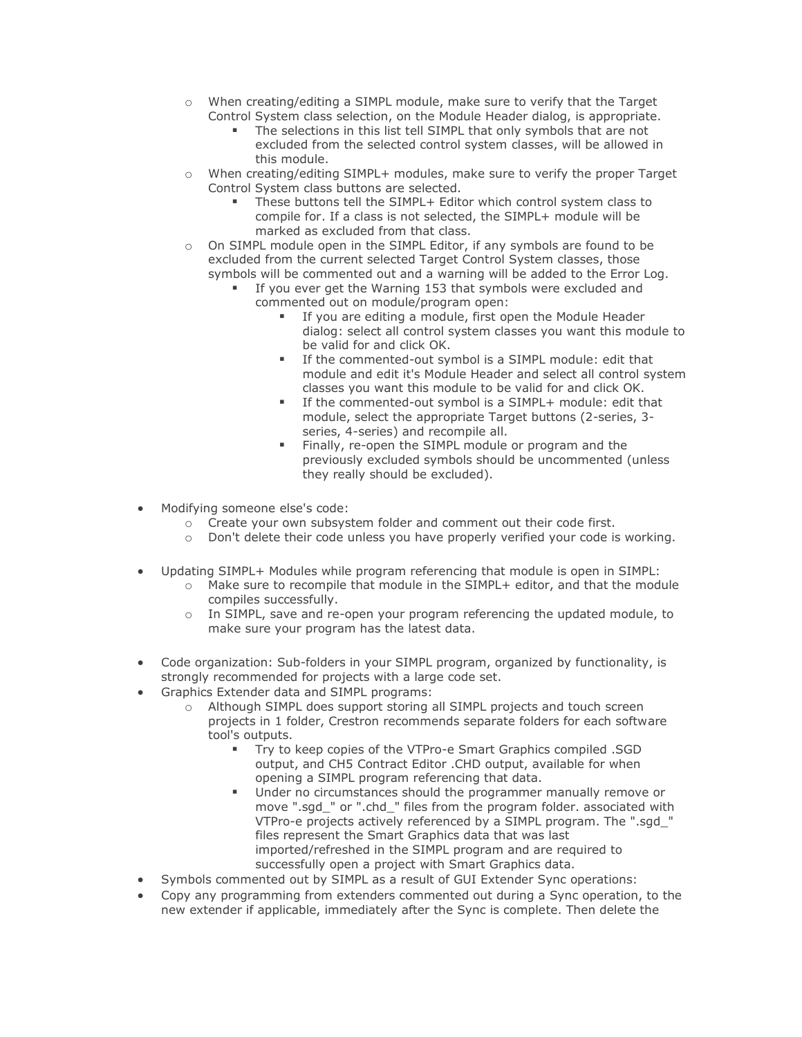- o When creating/editing a SIMPL module, make sure to verify that the Target Control System class selection, on the Module Header dialog, is appropriate.
	- **.** The selections in this list tell SIMPL that only symbols that are not excluded from the selected control system classes, will be allowed in this module.
- o When creating/editing SIMPL+ modules, make sure to verify the proper Target Control System class buttons are selected.
	- These buttons tell the SIMPL+ Editor which control system class to compile for. If a class is not selected, the SIMPL+ module will be marked as excluded from that class.
- $\circ$  On SIMPL module open in the SIMPL Editor, if any symbols are found to be excluded from the current selected Target Control System classes, those symbols will be commented out and a warning will be added to the Error Log.
	- If you ever get the Warning 153 that symbols were excluded and commented out on module/program open:
		- If you are editing a module, first open the Module Header dialog: select all control system classes you want this module to be valid for and click OK.
		- If the commented-out symbol is a SIMPL module: edit that module and edit it's Module Header and select all control system classes you want this module to be valid for and click OK.
		- If the commented-out symbol is a SIMPL+ module: edit that module, select the appropriate Target buttons (2-series, 3 series, 4-series) and recompile all.
		- Finally, re-open the SIMPL module or program and the previously excluded symbols should be uncommented (unless they really should be excluded).
- Modifying someone else's code:
	- o Create your own subsystem folder and comment out their code first.
	- o Don't delete their code unless you have properly verified your code is working.
- Updating SIMPL+ Modules while program referencing that module is open in SIMPL:
	- o Make sure to recompile that module in the SIMPL+ editor, and that the module compiles successfully.
	- $\circ$  In SIMPL, save and re-open your program referencing the updated module, to make sure your program has the latest data.
- Code organization: Sub-folders in your SIMPL program, organized by functionality, is strongly recommended for projects with a large code set.
- Graphics Extender data and SIMPL programs:
	- o Although SIMPL does support storing all SIMPL projects and touch screen projects in 1 folder, Crestron recommends separate folders for each software tool's outputs.
		- Try to keep copies of the VTPro-e Smart Graphics compiled .SGD output, and CH5 Contract Editor .CHD output, available for when opening a SIMPL program referencing that data.
		- Under no circumstances should the programmer manually remove or move ".sgd\_" or ".chd\_" files from the program folder. associated with VTPro-e projects actively referenced by a SIMPL program. The ".sgd\_" files represent the Smart Graphics data that was last imported/refreshed in the SIMPL program and are required to successfully open a project with Smart Graphics data.
- Symbols commented out by SIMPL as a result of GUI Extender Sync operations:
- Copy any programming from extenders commented out during a Sync operation, to the new extender if applicable, immediately after the Sync is complete. Then delete the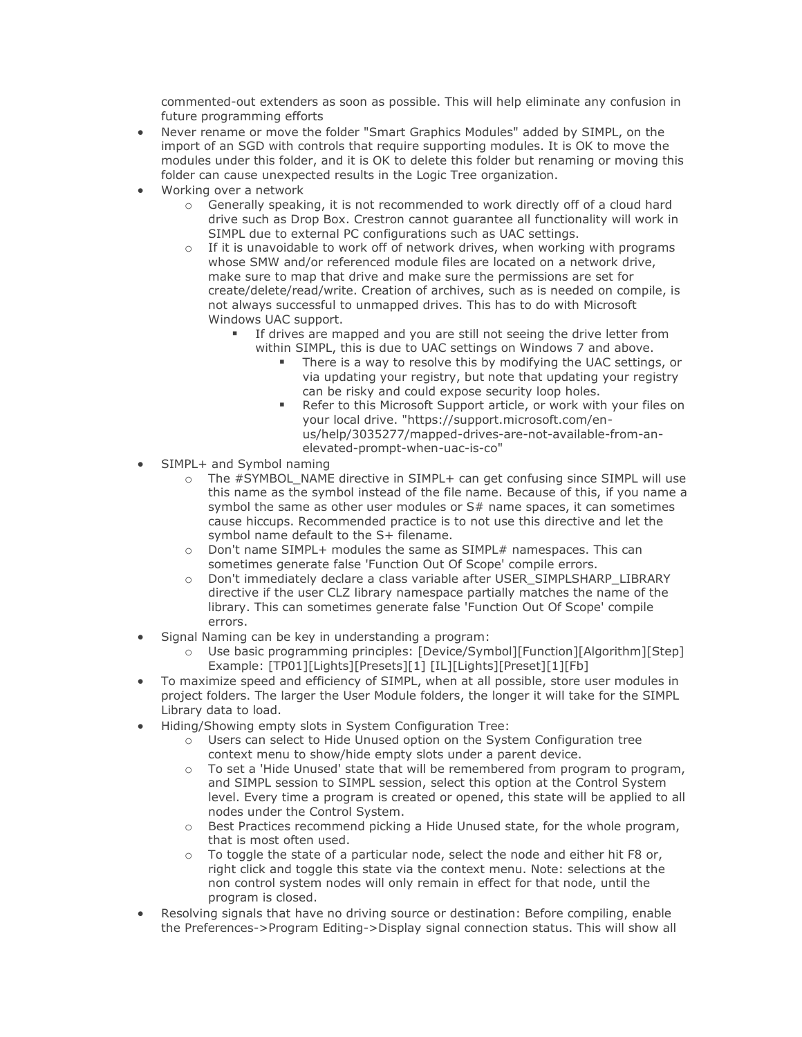commented-out extenders as soon as possible. This will help eliminate any confusion in future programming efforts

- Never rename or move the folder "Smart Graphics Modules" added by SIMPL, on the import of an SGD with controls that require supporting modules. It is OK to move the modules under this folder, and it is OK to delete this folder but renaming or moving this folder can cause unexpected results in the Logic Tree organization.
- Working over a network
	- o Generally speaking, it is not recommended to work directly off of a cloud hard drive such as Drop Box. Crestron cannot guarantee all functionality will work in SIMPL due to external PC configurations such as UAC settings.
	- $\circ$  If it is unavoidable to work off of network drives, when working with programs whose SMW and/or referenced module files are located on a network drive, make sure to map that drive and make sure the permissions are set for create/delete/read/write. Creation of archives, such as is needed on compile, is not always successful to unmapped drives. This has to do with Microsoft Windows UAC support.
		- If drives are mapped and you are still not seeing the drive letter from within SIMPL, this is due to UAC settings on Windows 7 and above.
			- There is a way to resolve this by modifying the UAC settings, or via updating your registry, but note that updating your registry can be risky and could expose security loop holes.
			- Refer to this Microsoft Support article, or work with your files on your local drive. "https://support.microsoft.com/enus/help/3035277/mapped-drives-are-not-available-from-anelevated-prompt-when-uac-is-co"
- SIMPL+ and Symbol naming
	- o The #SYMBOL\_NAME directive in SIMPL+ can get confusing since SIMPL will use this name as the symbol instead of the file name. Because of this, if you name a symbol the same as other user modules or  $S#$  name spaces, it can sometimes cause hiccups. Recommended practice is to not use this directive and let the symbol name default to the S+ filename.
	- $\circ$  Don't name SIMPL+ modules the same as SIMPL# namespaces. This can sometimes generate false 'Function Out Of Scope' compile errors.
	- o Don't immediately declare a class variable after USER\_SIMPLSHARP\_LIBRARY directive if the user CLZ library namespace partially matches the name of the library. This can sometimes generate false 'Function Out Of Scope' compile errors.
- Signal Naming can be key in understanding a program:
	- o Use basic programming principles: [Device/Symbol][Function][Algorithm][Step] Example: [TP01][Lights][Presets][1] [IL][Lights][Preset][1][Fb]
- To maximize speed and efficiency of SIMPL, when at all possible, store user modules in project folders. The larger the User Module folders, the longer it will take for the SIMPL Library data to load.
	- Hiding/Showing empty slots in System Configuration Tree:
		- o Users can select to Hide Unused option on the System Configuration tree context menu to show/hide empty slots under a parent device.
		- o To set a 'Hide Unused' state that will be remembered from program to program, and SIMPL session to SIMPL session, select this option at the Control System level. Every time a program is created or opened, this state will be applied to all nodes under the Control System.
		- $\circ$  Best Practices recommend picking a Hide Unused state, for the whole program, that is most often used.
		- $\circ$  To toggle the state of a particular node, select the node and either hit F8 or, right click and toggle this state via the context menu. Note: selections at the non control system nodes will only remain in effect for that node, until the program is closed.
- Resolving signals that have no driving source or destination: Before compiling, enable the Preferences->Program Editing->Display signal connection status. This will show all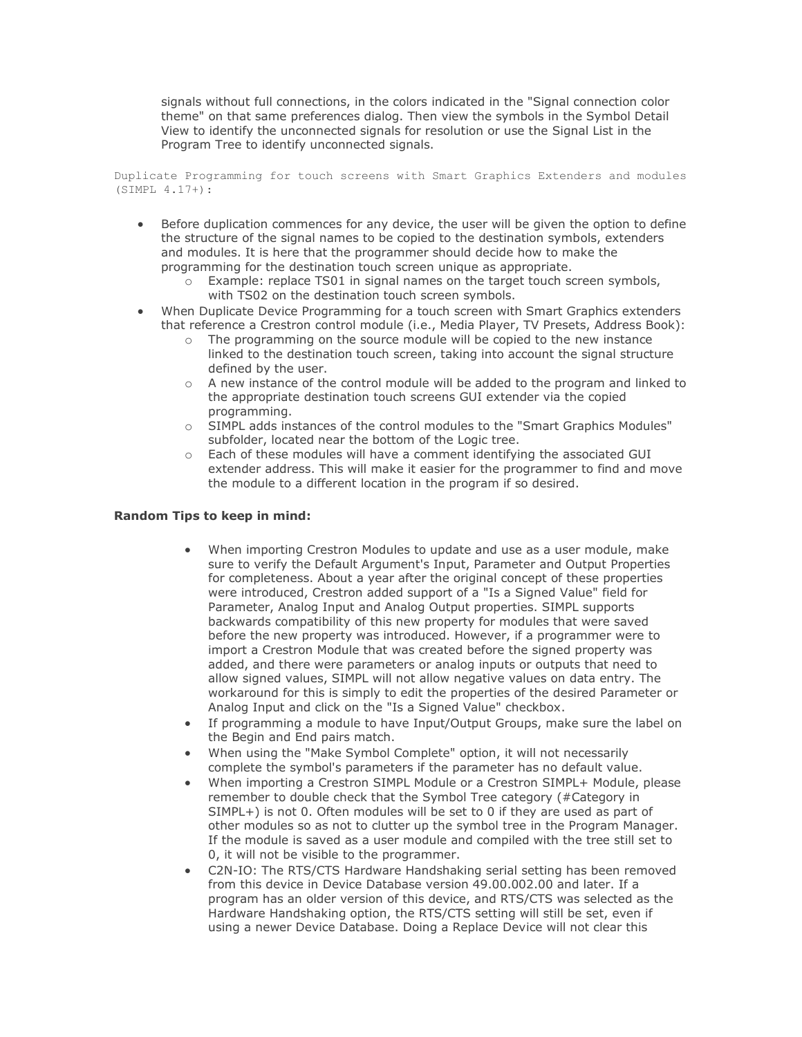signals without full connections, in the colors indicated in the "Signal connection color theme" on that same preferences dialog. Then view the symbols in the Symbol Detail View to identify the unconnected signals for resolution or use the Signal List in the Program Tree to identify unconnected signals.

Duplicate Programming for touch screens with Smart Graphics Extenders and modules (SIMPL 4.17+):

- Before duplication commences for any device, the user will be given the option to define the structure of the signal names to be copied to the destination symbols, extenders and modules. It is here that the programmer should decide how to make the programming for the destination touch screen unique as appropriate.
	- o Example: replace TS01 in signal names on the target touch screen symbols, with TS02 on the destination touch screen symbols.
- When Duplicate Device Programming for a touch screen with Smart Graphics extenders that reference a Crestron control module (i.e., Media Player, TV Presets, Address Book):
	- The programming on the source module will be copied to the new instance linked to the destination touch screen, taking into account the signal structure defined by the user.
	- o A new instance of the control module will be added to the program and linked to the appropriate destination touch screens GUI extender via the copied programming.
	- o SIMPL adds instances of the control modules to the "Smart Graphics Modules" subfolder, located near the bottom of the Logic tree.
	- o Each of these modules will have a comment identifying the associated GUI extender address. This will make it easier for the programmer to find and move the module to a different location in the program if so desired.

#### **Random Tips to keep in mind:**

- When importing Crestron Modules to update and use as a user module, make sure to verify the Default Argument's Input, Parameter and Output Properties for completeness. About a year after the original concept of these properties were introduced, Crestron added support of a "Is a Signed Value" field for Parameter, Analog Input and Analog Output properties. SIMPL supports backwards compatibility of this new property for modules that were saved before the new property was introduced. However, if a programmer were to import a Crestron Module that was created before the signed property was added, and there were parameters or analog inputs or outputs that need to allow signed values, SIMPL will not allow negative values on data entry. The workaround for this is simply to edit the properties of the desired Parameter or Analog Input and click on the "Is a Signed Value" checkbox.
- If programming a module to have Input/Output Groups, make sure the label on the Begin and End pairs match.
- When using the "Make Symbol Complete" option, it will not necessarily complete the symbol's parameters if the parameter has no default value.
- When importing a Crestron SIMPL Module or a Crestron SIMPL+ Module, please remember to double check that the Symbol Tree category (#Category in SIMPL+) is not 0. Often modules will be set to 0 if they are used as part of other modules so as not to clutter up the symbol tree in the Program Manager. If the module is saved as a user module and compiled with the tree still set to 0, it will not be visible to the programmer.
- C2N-IO: The RTS/CTS Hardware Handshaking serial setting has been removed from this device in Device Database version 49.00.002.00 and later. If a program has an older version of this device, and RTS/CTS was selected as the Hardware Handshaking option, the RTS/CTS setting will still be set, even if using a newer Device Database. Doing a Replace Device will not clear this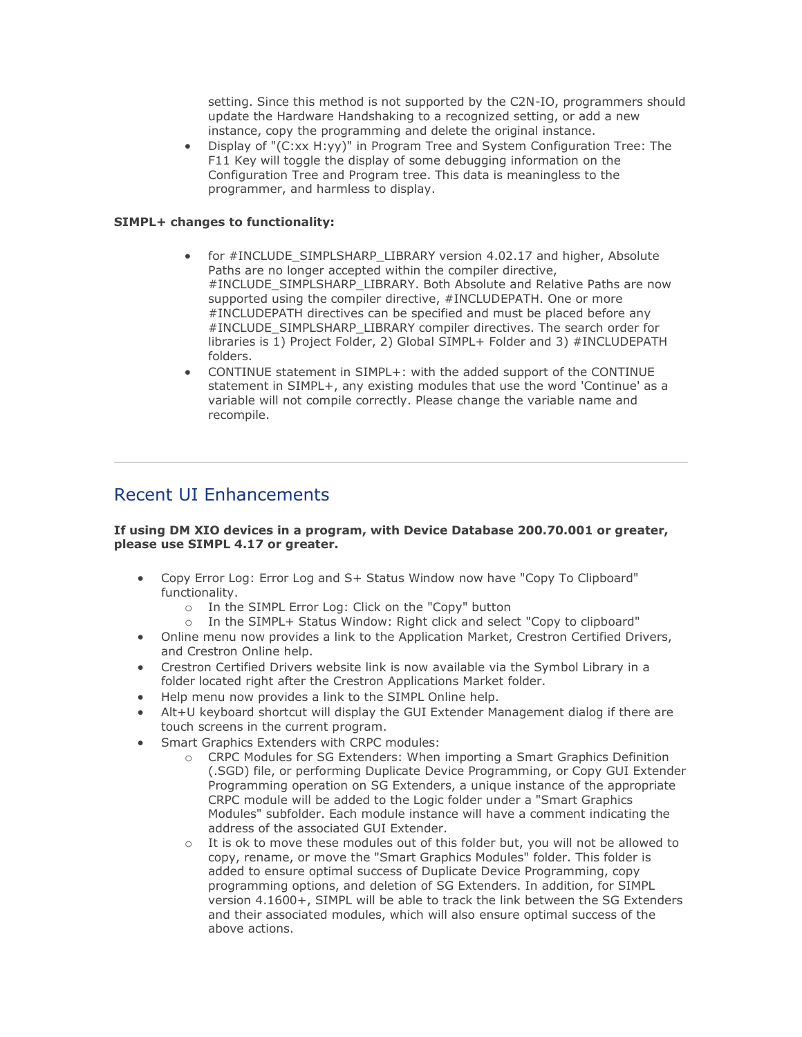setting. Since this method is not supported by the C2N-IO, programmers should update the Hardware Handshaking to a recognized setting, or add a new instance, copy the programming and delete the original instance.

• Display of "(C:xx H:yy)" in Program Tree and System Configuration Tree: The F11 Key will toggle the display of some debugging information on the Configuration Tree and Program tree. This data is meaningless to the programmer, and harmless to display.

#### **SIMPL+ changes to functionality:**

- for #INCLUDE\_SIMPLSHARP\_LIBRARY version 4.02.17 and higher, Absolute Paths are no longer accepted within the compiler directive, #INCLUDE\_SIMPLSHARP\_LIBRARY. Both Absolute and Relative Paths are now supported using the compiler directive, #INCLUDEPATH. One or more #INCLUDEPATH directives can be specified and must be placed before any #INCLUDE\_SIMPLSHARP\_LIBRARY compiler directives. The search order for libraries is 1) Project Folder, 2) Global SIMPL+ Folder and 3) #INCLUDEPATH folders.
- CONTINUE statement in SIMPL+: with the added support of the CONTINUE statement in SIMPL+, any existing modules that use the word 'Continue' as a variable will not compile correctly. Please change the variable name and recompile.

# Recent UI Enhancements

#### **If using DM XIO devices in a program, with Device Database 200.70.001 or greater, please use SIMPL 4.17 or greater.**

- Copy Error Log: Error Log and S+ Status Window now have "Copy To Clipboard" functionality.
	- o In the SIMPL Error Log: Click on the "Copy" button
	- o In the SIMPL+ Status Window: Right click and select "Copy to clipboard"
- Online menu now provides a link to the Application Market, Crestron Certified Drivers, and Crestron Online help.
- Crestron Certified Drivers website link is now available via the Symbol Library in a folder located right after the Crestron Applications Market folder.
- Help menu now provides a link to the SIMPL Online help.
- Alt+U keyboard shortcut will display the GUI Extender Management dialog if there are touch screens in the current program.
- Smart Graphics Extenders with CRPC modules:
	- o CRPC Modules for SG Extenders: When importing a Smart Graphics Definition (.SGD) file, or performing Duplicate Device Programming, or Copy GUI Extender Programming operation on SG Extenders, a unique instance of the appropriate CRPC module will be added to the Logic folder under a "Smart Graphics Modules" subfolder. Each module instance will have a comment indicating the address of the associated GUI Extender.
	- $\circ$  It is ok to move these modules out of this folder but, you will not be allowed to copy, rename, or move the "Smart Graphics Modules" folder. This folder is added to ensure optimal success of Duplicate Device Programming, copy programming options, and deletion of SG Extenders. In addition, for SIMPL version 4.1600+, SIMPL will be able to track the link between the SG Extenders and their associated modules, which will also ensure optimal success of the above actions.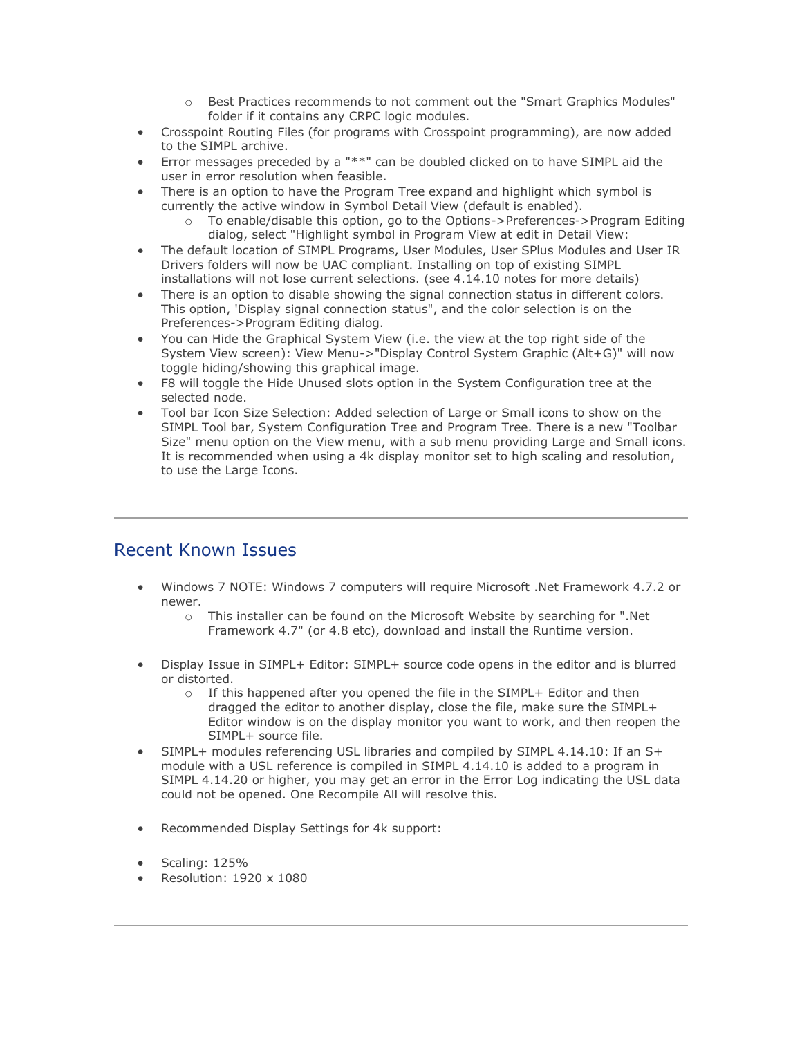- o Best Practices recommends to not comment out the "Smart Graphics Modules" folder if it contains any CRPC logic modules.
- Crosspoint Routing Files (for programs with Crosspoint programming), are now added to the SIMPL archive.
- Error messages preceded by a "\*\*" can be doubled clicked on to have SIMPL aid the user in error resolution when feasible.
- There is an option to have the Program Tree expand and highlight which symbol is currently the active window in Symbol Detail View (default is enabled).
	- o To enable/disable this option, go to the Options->Preferences->Program Editing dialog, select "Highlight symbol in Program View at edit in Detail View:
- The default location of SIMPL Programs, User Modules, User SPlus Modules and User IR Drivers folders will now be UAC compliant. Installing on top of existing SIMPL installations will not lose current selections. (see 4.14.10 notes for more details)
- There is an option to disable showing the signal connection status in different colors. This option, 'Display signal connection status", and the color selection is on the Preferences->Program Editing dialog.
- You can Hide the Graphical System View (i.e. the view at the top right side of the System View screen): View Menu->"Display Control System Graphic (Alt+G)" will now toggle hiding/showing this graphical image.
- F8 will toggle the Hide Unused slots option in the System Configuration tree at the selected node.
- Tool bar Icon Size Selection: Added selection of Large or Small icons to show on the SIMPL Tool bar, System Configuration Tree and Program Tree. There is a new "Toolbar Size" menu option on the View menu, with a sub menu providing Large and Small icons. It is recommended when using a 4k display monitor set to high scaling and resolution, to use the Large Icons.

# Recent Known Issues

- Windows 7 NOTE: Windows 7 computers will require Microsoft .Net Framework 4.7.2 or newer.
	- o This installer can be found on the Microsoft Website by searching for ".Net Framework 4.7" (or 4.8 etc), download and install the Runtime version.
- Display Issue in SIMPL+ Editor: SIMPL+ source code opens in the editor and is blurred or distorted.
	- $\circ$  If this happened after you opened the file in the SIMPL+ Editor and then dragged the editor to another display, close the file, make sure the SIMPL+ Editor window is on the display monitor you want to work, and then reopen the SIMPL+ source file.
- SIMPL+ modules referencing USL libraries and compiled by SIMPL 4.14.10: If an S+ module with a USL reference is compiled in SIMPL 4.14.10 is added to a program in SIMPL 4.14.20 or higher, you may get an error in the Error Log indicating the USL data could not be opened. One Recompile All will resolve this.
- Recommended Display Settings for 4k support:
- Scaling: 125%
- Resolution: 1920 x 1080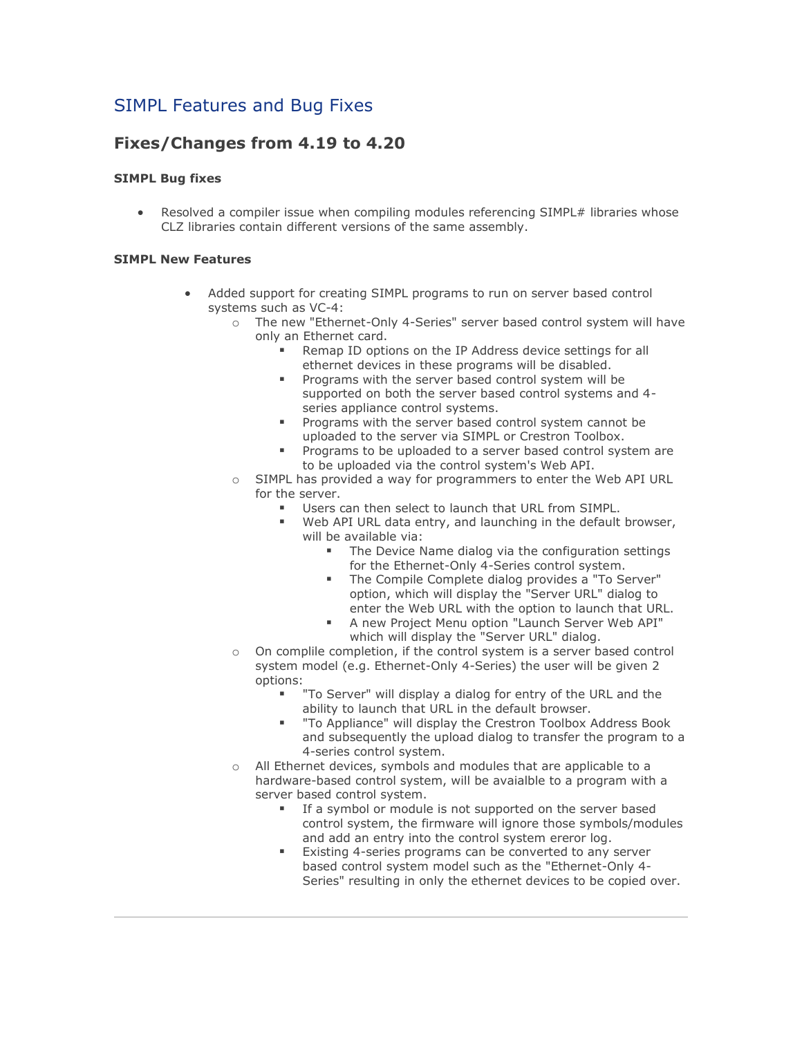# SIMPL Features and Bug Fixes

# **Fixes/Changes from 4.19 to 4.20**

#### **SIMPL Bug fixes**

Resolved a compiler issue when compiling modules referencing SIMPL# libraries whose CLZ libraries contain different versions of the same assembly.

#### **SIMPL New Features**

- Added support for creating SIMPL programs to run on server based control systems such as VC-4:
	- o The new "Ethernet-Only 4-Series" server based control system will have only an Ethernet card.
		- Remap ID options on the IP Address device settings for all ethernet devices in these programs will be disabled.
		- Programs with the server based control system will be supported on both the server based control systems and 4 series appliance control systems.
		- Programs with the server based control system cannot be uploaded to the server via SIMPL or Crestron Toolbox.
		- Programs to be uploaded to a server based control system are to be uploaded via the control system's Web API.
	- o SIMPL has provided a way for programmers to enter the Web API URL for the server.
		- Users can then select to launch that URL from SIMPL.
			- Web API URL data entry, and launching in the default browser, will be available via:
				- **The Device Name dialog via the configuration settings** for the Ethernet-Only 4-Series control system.
				- The Compile Complete dialog provides a "To Server" option, which will display the "Server URL" dialog to enter the Web URL with the option to launch that URL.
				- A new Project Menu option "Launch Server Web API" which will display the "Server URL" dialog.
	- o On complile completion, if the control system is a server based control system model (e.g. Ethernet-Only 4-Series) the user will be given 2 options:
		- "To Server" will display a dialog for entry of the URL and the ability to launch that URL in the default browser.
		- "To Appliance" will display the Crestron Toolbox Address Book and subsequently the upload dialog to transfer the program to a 4-series control system.
	- o All Ethernet devices, symbols and modules that are applicable to a hardware-based control system, will be avaialble to a program with a server based control system.
		- If a symbol or module is not supported on the server based control system, the firmware will ignore those symbols/modules and add an entry into the control system ereror log.
		- Existing 4-series programs can be converted to any server based control system model such as the "Ethernet-Only 4- Series" resulting in only the ethernet devices to be copied over.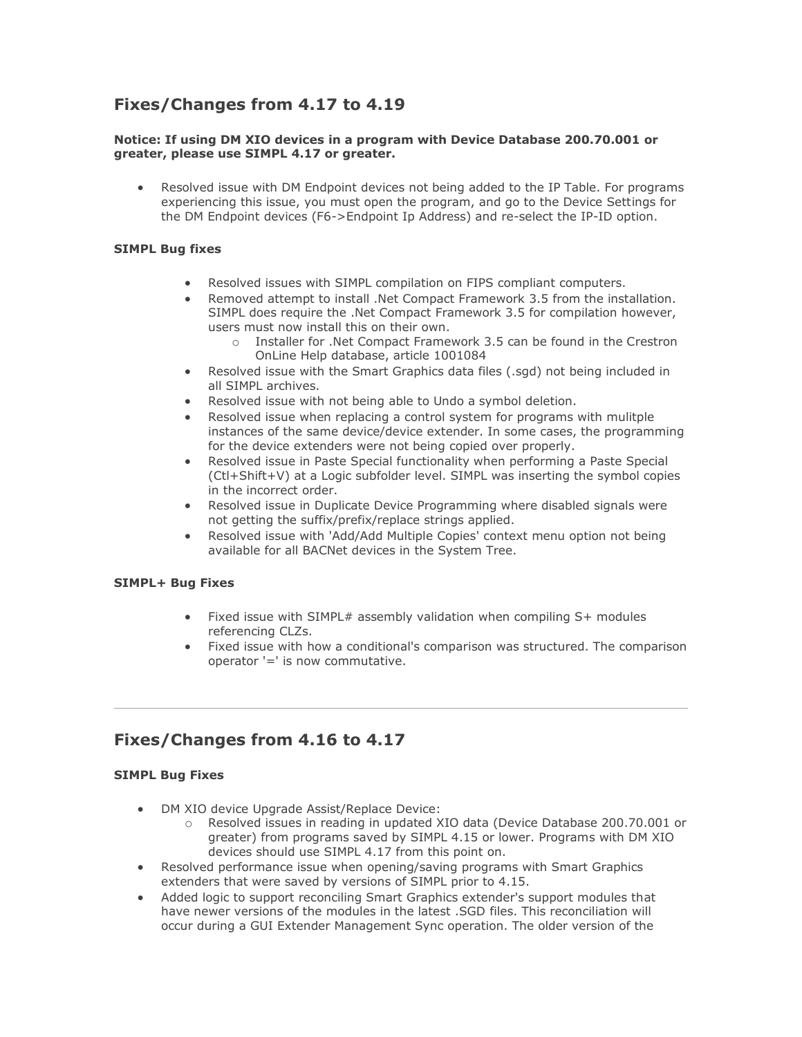# **Fixes/Changes from 4.17 to 4.19**

#### **Notice: If using DM XIO devices in a program with Device Database 200.70.001 or greater, please use SIMPL 4.17 or greater.**

Resolved issue with DM Endpoint devices not being added to the IP Table. For programs experiencing this issue, you must open the program, and go to the Device Settings for the DM Endpoint devices (F6->Endpoint Ip Address) and re-select the IP-ID option.

#### **SIMPL Bug fixes**

- Resolved issues with SIMPL compilation on FIPS compliant computers.
- Removed attempt to install .Net Compact Framework 3.5 from the installation. SIMPL does require the .Net Compact Framework 3.5 for compilation however, users must now install this on their own.
	- o Installer for .Net Compact Framework 3.5 can be found in the Crestron OnLine Help database, article 1001084
- Resolved issue with the Smart Graphics data files (.sgd) not being included in all SIMPL archives.
- Resolved issue with not being able to Undo a symbol deletion.
- Resolved issue when replacing a control system for programs with mulitple instances of the same device/device extender. In some cases, the programming for the device extenders were not being copied over properly.
- Resolved issue in Paste Special functionality when performing a Paste Special (Ctl+Shift+V) at a Logic subfolder level. SIMPL was inserting the symbol copies in the incorrect order.
- Resolved issue in Duplicate Device Programming where disabled signals were not getting the suffix/prefix/replace strings applied.
- Resolved issue with 'Add/Add Multiple Copies' context menu option not being available for all BACNet devices in the System Tree.

#### **SIMPL+ Bug Fixes**

- Fixed issue with SIMPL# assembly validation when compiling S+ modules referencing CLZs.
- Fixed issue with how a conditional's comparison was structured. The comparison operator '=' is now commutative.

### **Fixes/Changes from 4.16 to 4.17**

- DM XIO device Upgrade Assist/Replace Device:
	- o Resolved issues in reading in updated XIO data (Device Database 200.70.001 or greater) from programs saved by SIMPL 4.15 or lower. Programs with DM XIO devices should use SIMPL 4.17 from this point on.
- Resolved performance issue when opening/saving programs with Smart Graphics extenders that were saved by versions of SIMPL prior to 4.15.
- Added logic to support reconciling Smart Graphics extender's support modules that have newer versions of the modules in the latest .SGD files. This reconciliation will occur during a GUI Extender Management Sync operation. The older version of the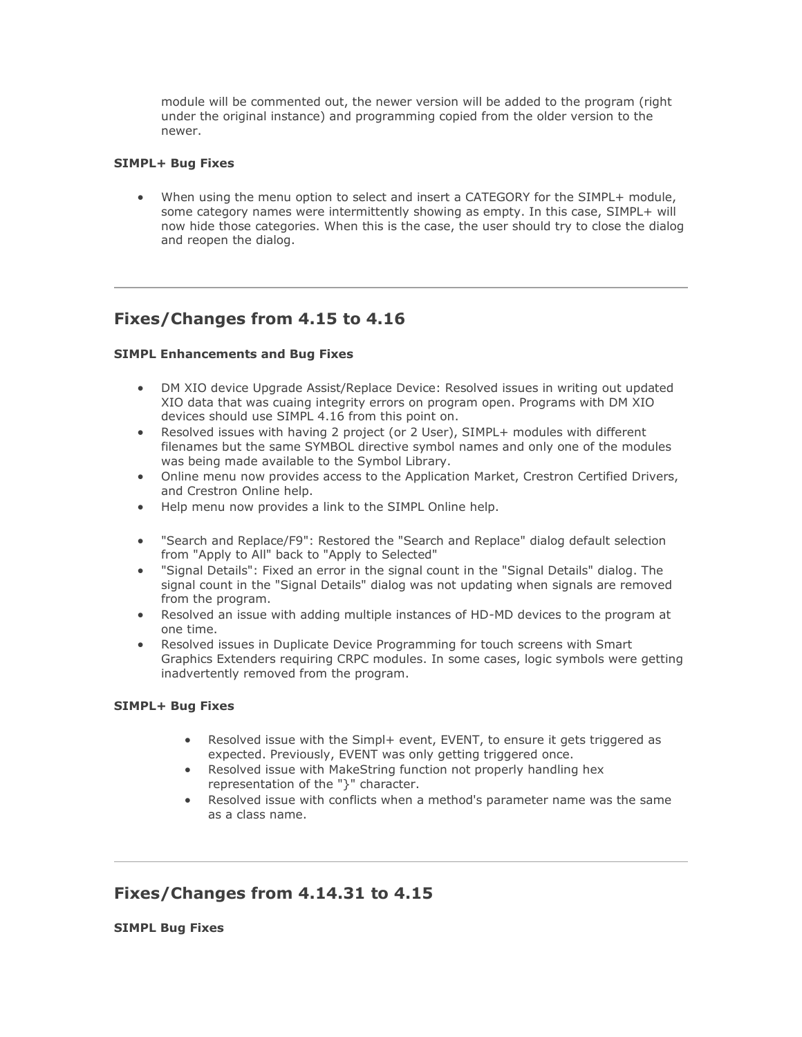module will be commented out, the newer version will be added to the program (right under the original instance) and programming copied from the older version to the newer.

#### **SIMPL+ Bug Fixes**

• When using the menu option to select and insert a CATEGORY for the SIMPL+ module, some category names were intermittently showing as empty. In this case, SIMPL+ will now hide those categories. When this is the case, the user should try to close the dialog and reopen the dialog.

### **Fixes/Changes from 4.15 to 4.16**

#### **SIMPL Enhancements and Bug Fixes**

- DM XIO device Upgrade Assist/Replace Device: Resolved issues in writing out updated XIO data that was cuaing integrity errors on program open. Programs with DM XIO devices should use SIMPL 4.16 from this point on.
- Resolved issues with having 2 project (or 2 User), SIMPL+ modules with different filenames but the same SYMBOL directive symbol names and only one of the modules was being made available to the Symbol Library.
- Online menu now provides access to the Application Market, Crestron Certified Drivers, and Crestron Online help.
- Help menu now provides a link to the SIMPL Online help.
- "Search and Replace/F9": Restored the "Search and Replace" dialog default selection from "Apply to All" back to "Apply to Selected"
- "Signal Details": Fixed an error in the signal count in the "Signal Details" dialog. The signal count in the "Signal Details" dialog was not updating when signals are removed from the program.
- Resolved an issue with adding multiple instances of HD-MD devices to the program at one time.
- Resolved issues in Duplicate Device Programming for touch screens with Smart Graphics Extenders requiring CRPC modules. In some cases, logic symbols were getting inadvertently removed from the program.

#### **SIMPL+ Bug Fixes**

- Resolved issue with the Simpl+ event, EVENT, to ensure it gets triggered as expected. Previously, EVENT was only getting triggered once.
- Resolved issue with MakeString function not properly handling hex representation of the "}" character.
- Resolved issue with conflicts when a method's parameter name was the same as a class name.

### **Fixes/Changes from 4.14.31 to 4.15**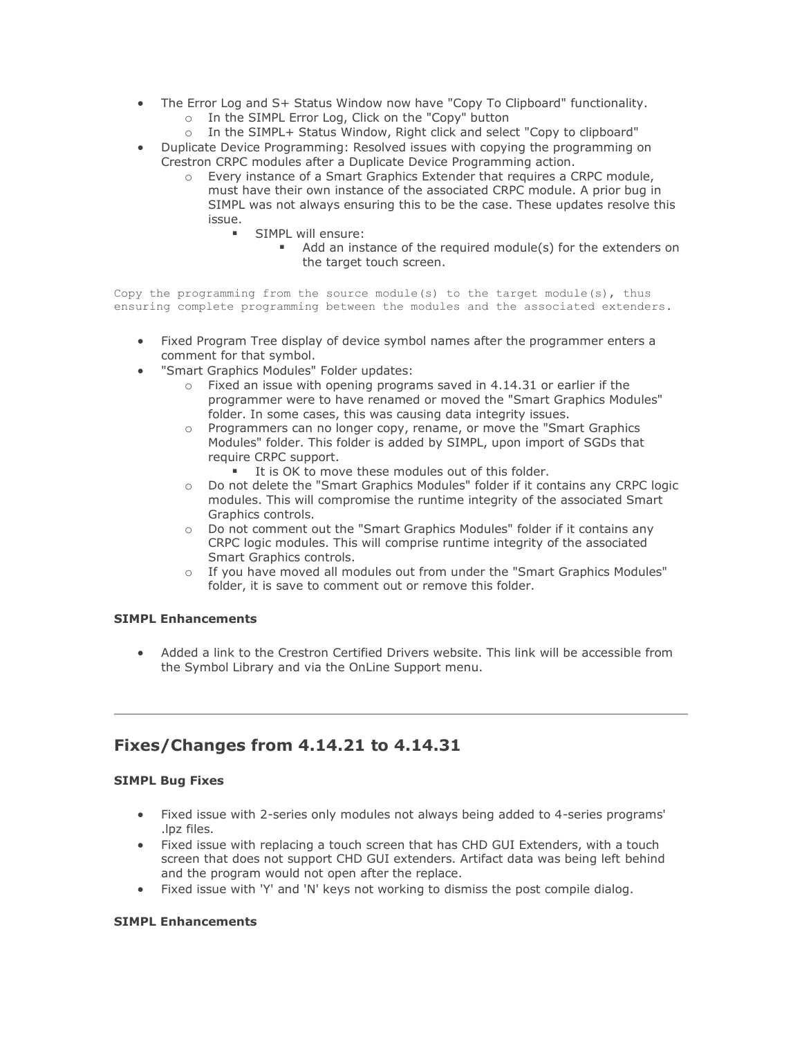- The Error Log and S+ Status Window now have "Copy To Clipboard" functionality.
	- o In the SIMPL Error Log, Click on the "Copy" button
	- o In the SIMPL+ Status Window, Right click and select "Copy to clipboard"
- Duplicate Device Programming: Resolved issues with copying the programming on Crestron CRPC modules after a Duplicate Device Programming action.
	- o Every instance of a Smart Graphics Extender that requires a CRPC module, must have their own instance of the associated CRPC module. A prior bug in SIMPL was not always ensuring this to be the case. These updates resolve this issue.
		- **•** SIMPL will ensure:
			- Add an instance of the required module(s) for the extenders on the target touch screen.

Copy the programming from the source module(s) to the target module(s), thus ensuring complete programming between the modules and the associated extenders.

- Fixed Program Tree display of device symbol names after the programmer enters a comment for that symbol.
- "Smart Graphics Modules" Folder updates:
	- $\circ$  Fixed an issue with opening programs saved in 4.14.31 or earlier if the programmer were to have renamed or moved the "Smart Graphics Modules" folder. In some cases, this was causing data integrity issues.
	- $\circ$  Programmers can no longer copy, rename, or move the "Smart Graphics" Modules" folder. This folder is added by SIMPL, upon import of SGDs that require CRPC support.
		- It is OK to move these modules out of this folder.
	- o Do not delete the "Smart Graphics Modules" folder if it contains any CRPC logic modules. This will compromise the runtime integrity of the associated Smart Graphics controls.
	- o Do not comment out the "Smart Graphics Modules" folder if it contains any CRPC logic modules. This will comprise runtime integrity of the associated Smart Graphics controls.
	- o If you have moved all modules out from under the "Smart Graphics Modules" folder, it is save to comment out or remove this folder.

#### **SIMPL Enhancements**

• Added a link to the Crestron Certified Drivers website. This link will be accessible from the Symbol Library and via the OnLine Support menu.

### **Fixes/Changes from 4.14.21 to 4.14.31**

#### **SIMPL Bug Fixes**

- Fixed issue with 2-series only modules not always being added to 4-series programs' .lpz files.
- Fixed issue with replacing a touch screen that has CHD GUI Extenders, with a touch screen that does not support CHD GUI extenders. Artifact data was being left behind and the program would not open after the replace.
- Fixed issue with 'Y' and 'N' keys not working to dismiss the post compile dialog.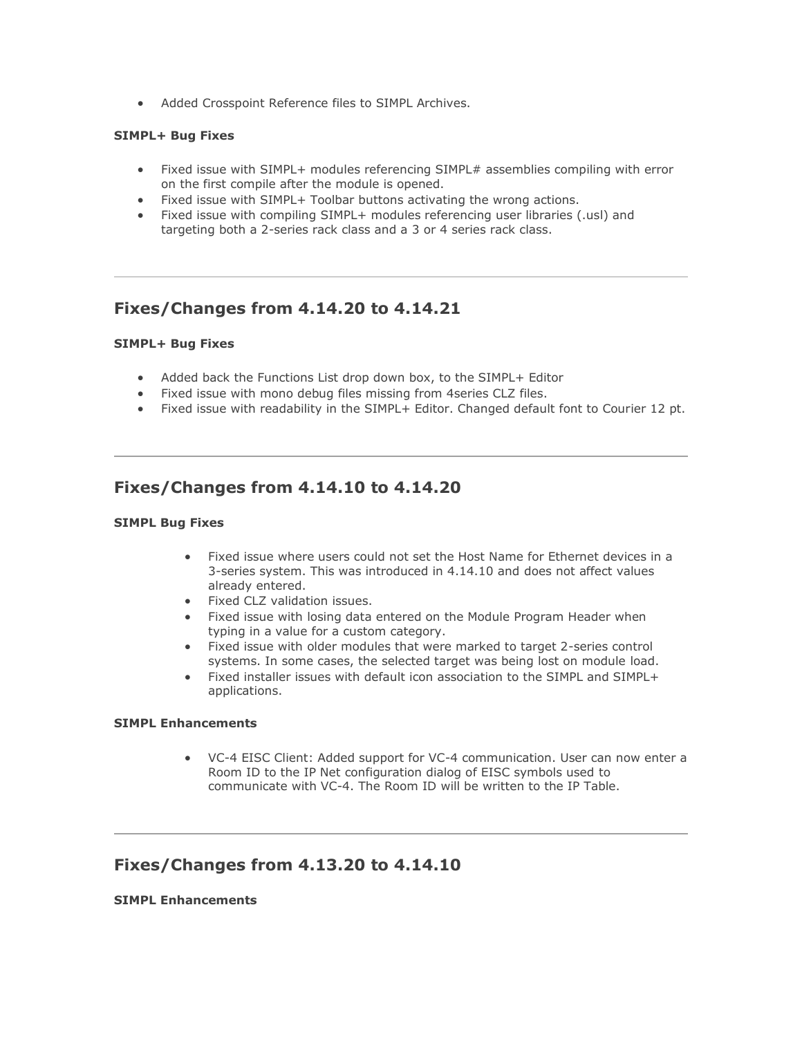• Added Crosspoint Reference files to SIMPL Archives.

#### **SIMPL+ Bug Fixes**

- Fixed issue with SIMPL+ modules referencing SIMPL# assemblies compiling with error on the first compile after the module is opened.
- Fixed issue with SIMPL+ Toolbar buttons activating the wrong actions.
- Fixed issue with compiling SIMPL+ modules referencing user libraries (.usl) and targeting both a 2-series rack class and a 3 or 4 series rack class.

### **Fixes/Changes from 4.14.20 to 4.14.21**

#### **SIMPL+ Bug Fixes**

- Added back the Functions List drop down box, to the SIMPL+ Editor
- Fixed issue with mono debug files missing from 4series CLZ files.
- Fixed issue with readability in the SIMPL+ Editor. Changed default font to Courier 12 pt.

### **Fixes/Changes from 4.14.10 to 4.14.20**

#### **SIMPL Bug Fixes**

- Fixed issue where users could not set the Host Name for Ethernet devices in a 3-series system. This was introduced in 4.14.10 and does not affect values already entered.
- Fixed CLZ validation issues.
- Fixed issue with losing data entered on the Module Program Header when typing in a value for a custom category.
- Fixed issue with older modules that were marked to target 2-series control systems. In some cases, the selected target was being lost on module load.
- Fixed installer issues with default icon association to the SIMPL and SIMPL+ applications.

#### **SIMPL Enhancements**

• VC-4 EISC Client: Added support for VC-4 communication. User can now enter a Room ID to the IP Net configuration dialog of EISC symbols used to communicate with VC-4. The Room ID will be written to the IP Table.

### **Fixes/Changes from 4.13.20 to 4.14.10**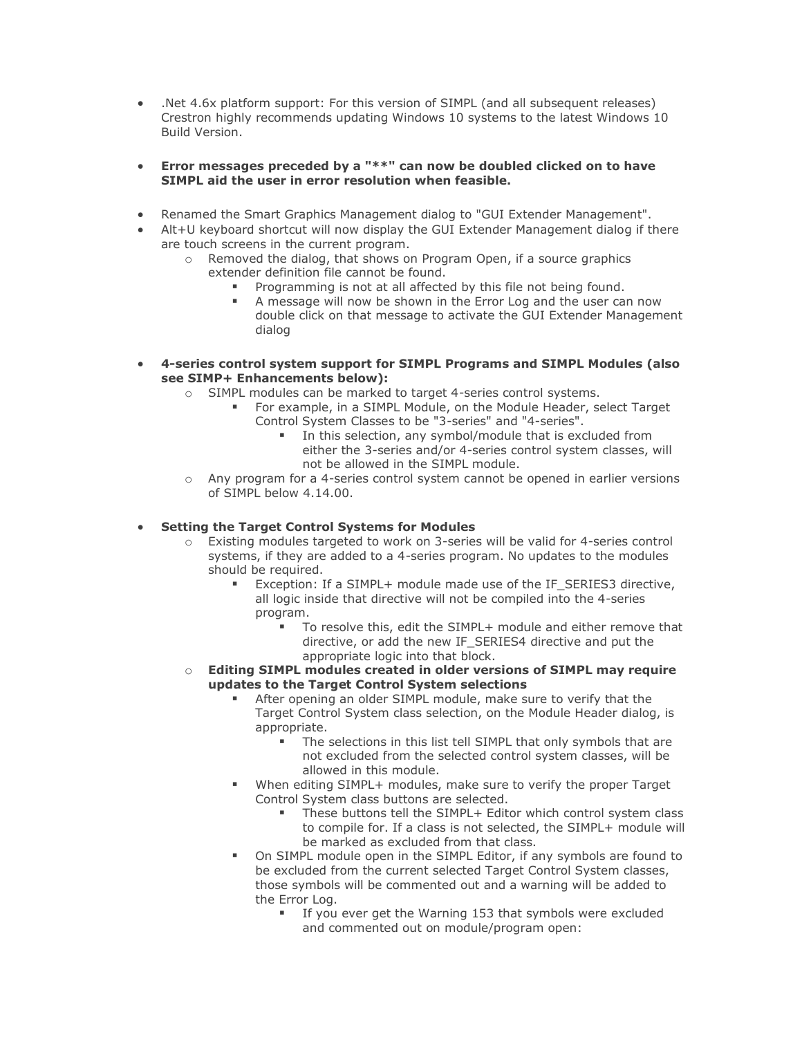- .Net 4.6x platform support: For this version of SIMPL (and all subsequent releases) Crestron highly recommends updating Windows 10 systems to the latest Windows 10 Build Version.
- **Error messages preceded by a "\*\*" can now be doubled clicked on to have SIMPL aid the user in error resolution when feasible.**
- Renamed the Smart Graphics Management dialog to "GUI Extender Management".
- Alt+U keyboard shortcut will now display the GUI Extender Management dialog if there are touch screens in the current program.
	- o Removed the dialog, that shows on Program Open, if a source graphics extender definition file cannot be found.
		- Programming is not at all affected by this file not being found.
		- A message will now be shown in the Error Log and the user can now double click on that message to activate the GUI Extender Management dialog
- **4-series control system support for SIMPL Programs and SIMPL Modules (also see SIMP+ Enhancements below):** 
	- o SIMPL modules can be marked to target 4-series control systems.
		- For example, in a SIMPL Module, on the Module Header, select Target Control System Classes to be "3-series" and "4-series".
			- In this selection, any symbol/module that is excluded from either the 3-series and/or 4-series control system classes, will not be allowed in the SIMPL module.
	- o Any program for a 4-series control system cannot be opened in earlier versions of SIMPL below 4.14.00.

#### • **Setting the Target Control Systems for Modules**

- o Existing modules targeted to work on 3-series will be valid for 4-series control systems, if they are added to a 4-series program. No updates to the modules should be required.
	- Exception: If a SIMPL+ module made use of the IF\_SERIES3 directive, all logic inside that directive will not be compiled into the 4-series program.
		- To resolve this, edit the SIMPL+ module and either remove that directive, or add the new IF\_SERIES4 directive and put the appropriate logic into that block.
- o **Editing SIMPL modules created in older versions of SIMPL may require updates to the Target Control System selections**
	- After opening an older SIMPL module, make sure to verify that the Target Control System class selection, on the Module Header dialog, is appropriate.
		- The selections in this list tell SIMPL that only symbols that are not excluded from the selected control system classes, will be allowed in this module.
	- When editing SIMPL+ modules, make sure to verify the proper Target Control System class buttons are selected.
		- These buttons tell the SIMPL+ Editor which control system class to compile for. If a class is not selected, the SIMPL+ module will be marked as excluded from that class.
	- On SIMPL module open in the SIMPL Editor, if any symbols are found to be excluded from the current selected Target Control System classes, those symbols will be commented out and a warning will be added to the Error Log.
		- If you ever get the Warning 153 that symbols were excluded and commented out on module/program open: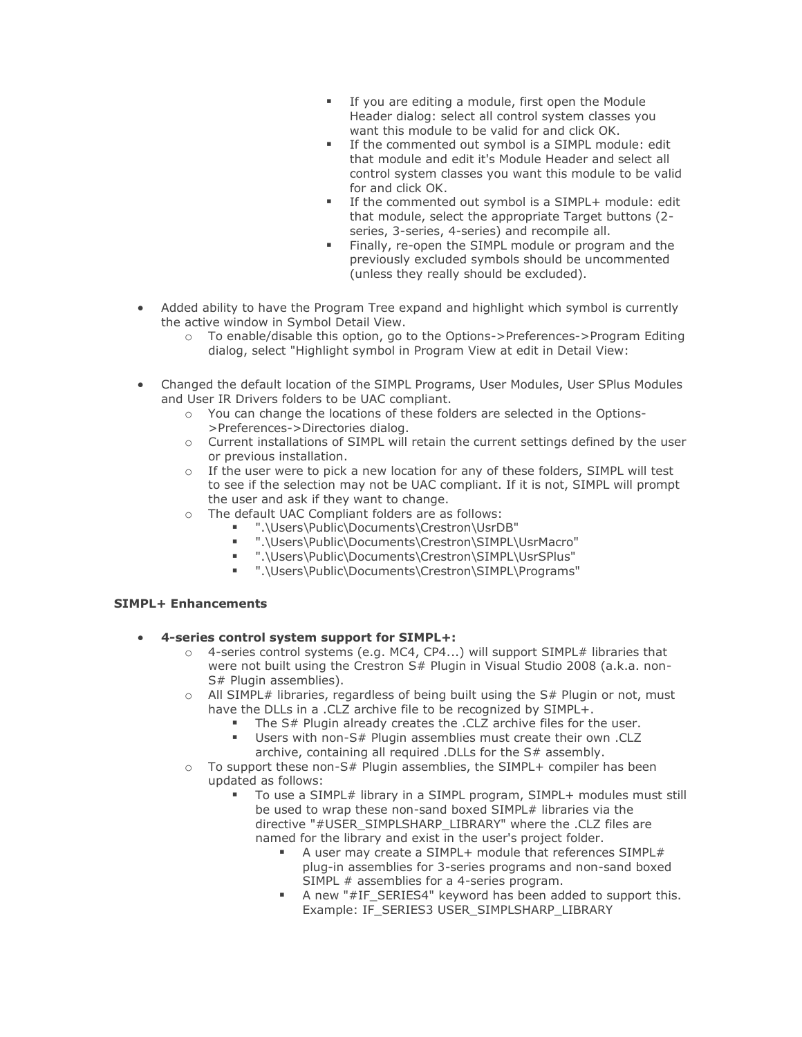- **EXEDENT** If you are editing a module, first open the Module Header dialog: select all control system classes you want this module to be valid for and click OK.
- If the commented out symbol is a SIMPL module: edit that module and edit it's Module Header and select all control system classes you want this module to be valid for and click OK.
- If the commented out symbol is a SIMPL+ module: edit that module, select the appropriate Target buttons (2 series, 3-series, 4-series) and recompile all.
- **EXTERGH** Finally, re-open the SIMPL module or program and the previously excluded symbols should be uncommented (unless they really should be excluded).
- Added ability to have the Program Tree expand and highlight which symbol is currently the active window in Symbol Detail View.
	- o To enable/disable this option, go to the Options->Preferences->Program Editing dialog, select "Highlight symbol in Program View at edit in Detail View:
- Changed the default location of the SIMPL Programs, User Modules, User SPlus Modules and User IR Drivers folders to be UAC compliant.
	- o You can change the locations of these folders are selected in the Options- >Preferences->Directories dialog.
	- o Current installations of SIMPL will retain the current settings defined by the user or previous installation.
	- $\circ$  If the user were to pick a new location for any of these folders, SIMPL will test to see if the selection may not be UAC compliant. If it is not, SIMPL will prompt the user and ask if they want to change.
	- o The default UAC Compliant folders are as follows:
		- ".\Users\Public\Documents\Crestron\UsrDB"
			- ".\Users\Public\Documents\Crestron\SIMPL\UsrMacro"
			- ".\Users\Public\Documents\Crestron\SIMPL\UsrSPlus"
			- ".\Users\Public\Documents\Crestron\SIMPL\Programs"

- **4-series control system support for SIMPL+:** 
	- $\circ$  4-series control systems (e.g. MC4, CP4...) will support SIMPL# libraries that were not built using the Crestron S# Plugin in Visual Studio 2008 (a.k.a. non-S# Plugin assemblies).
	- $\circ$  All SIMPL# libraries, regardless of being built using the S# Plugin or not, must have the DLLs in a .CLZ archive file to be recognized by SIMPL+.
		- The S# Plugin already creates the .CLZ archive files for the user.
		- Users with non-S# Plugin assemblies must create their own .CLZ archive, containing all required .DLLs for the S# assembly.
	- $\circ$  To support these non-S# Plugin assemblies, the SIMPL+ compiler has been updated as follows:
		- To use a SIMPL# library in a SIMPL program, SIMPL+ modules must still be used to wrap these non-sand boxed SIMPL# libraries via the directive "#USER\_SIMPLSHARP\_LIBRARY" where the .CLZ files are named for the library and exist in the user's project folder.
			- A user may create a SIMPL+ module that references SIMPL# plug-in assemblies for 3-series programs and non-sand boxed SIMPL # assemblies for a 4-series program.
			- A new "#IF\_SERIES4" keyword has been added to support this. Example: IF\_SERIES3 USER\_SIMPLSHARP\_LIBRARY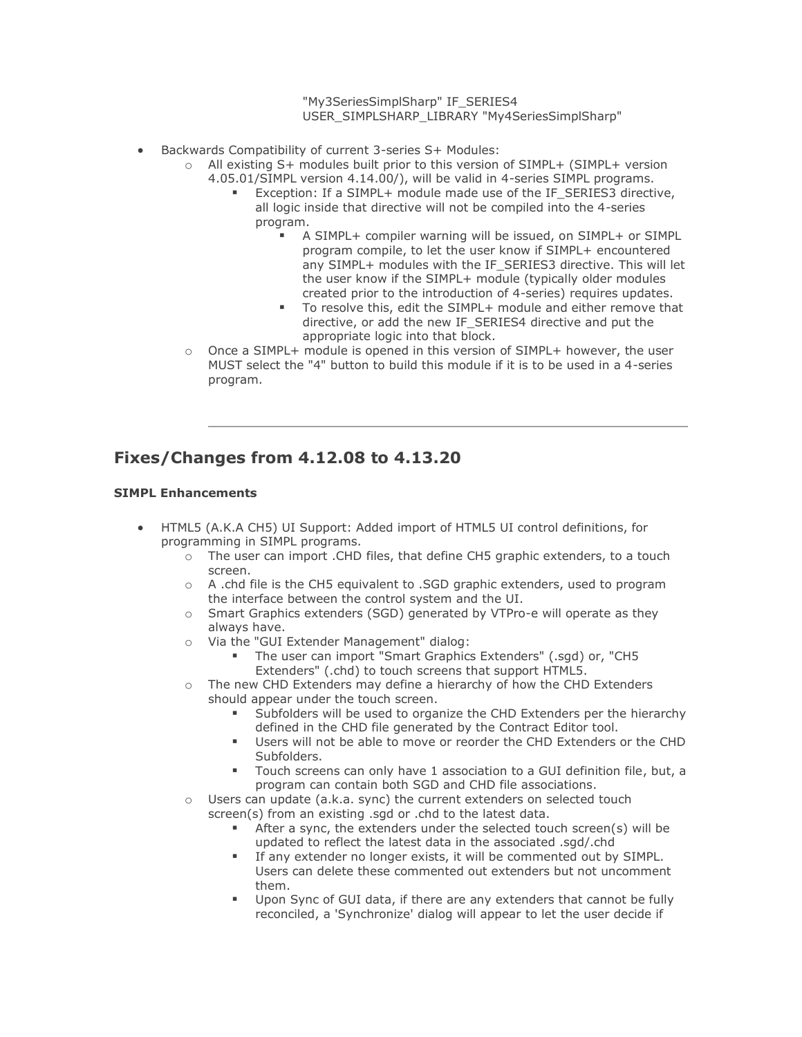"My3SeriesSimplSharp" IF\_SERIES4 USER\_SIMPLSHARP\_LIBRARY "My4SeriesSimplSharp"

- Backwards Compatibility of current 3-series S+ Modules:
	- o All existing S+ modules built prior to this version of SIMPL+ (SIMPL+ version
		- 4.05.01/SIMPL version 4.14.00/), will be valid in 4-series SIMPL programs.
			- Exception: If a SIMPL+ module made use of the IF\_SERIES3 directive, all logic inside that directive will not be compiled into the 4-series program.
				- A SIMPL+ compiler warning will be issued, on SIMPL+ or SIMPL program compile, to let the user know if SIMPL+ encountered any SIMPL+ modules with the IF\_SERIES3 directive. This will let the user know if the SIMPL+ module (typically older modules created prior to the introduction of 4-series) requires updates.
				- To resolve this, edit the SIMPL+ module and either remove that directive, or add the new IF\_SERIES4 directive and put the appropriate logic into that block.
	- o Once a SIMPL+ module is opened in this version of SIMPL+ however, the user MUST select the "4" button to build this module if it is to be used in a 4-series program.

### **Fixes/Changes from 4.12.08 to 4.13.20**

- HTML5 (A.K.A CH5) UI Support: Added import of HTML5 UI control definitions, for programming in SIMPL programs.
	- o The user can import .CHD files, that define CH5 graphic extenders, to a touch screen.
	- o A .chd file is the CH5 equivalent to .SGD graphic extenders, used to program the interface between the control system and the UI.
	- o Smart Graphics extenders (SGD) generated by VTPro-e will operate as they always have.
	- o Via the "GUI Extender Management" dialog:
		- The user can import "Smart Graphics Extenders" (.sgd) or, "CH5 Extenders" (.chd) to touch screens that support HTML5.
	- o The new CHD Extenders may define a hierarchy of how the CHD Extenders should appear under the touch screen.
		- Subfolders will be used to organize the CHD Extenders per the hierarchy defined in the CHD file generated by the Contract Editor tool.
		- Users will not be able to move or reorder the CHD Extenders or the CHD Subfolders.
		- Touch screens can only have 1 association to a GUI definition file, but, a program can contain both SGD and CHD file associations.
	- o Users can update (a.k.a. sync) the current extenders on selected touch screen(s) from an existing .sgd or .chd to the latest data.
		- After a sync, the extenders under the selected touch screen(s) will be updated to reflect the latest data in the associated .sgd/.chd
		- If any extender no longer exists, it will be commented out by SIMPL. Users can delete these commented out extenders but not uncomment them.
		- Upon Sync of GUI data, if there are any extenders that cannot be fully reconciled, a 'Synchronize' dialog will appear to let the user decide if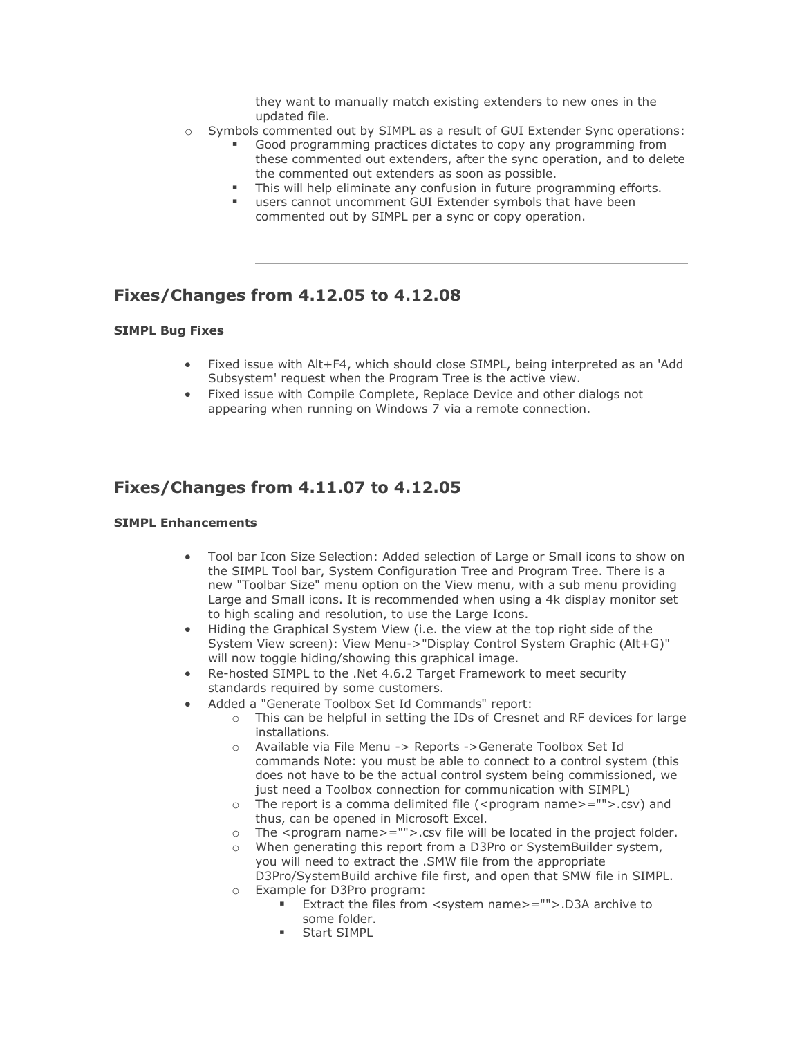they want to manually match existing extenders to new ones in the updated file.

- o Symbols commented out by SIMPL as a result of GUI Extender Sync operations:
	- Good programming practices dictates to copy any programming from these commented out extenders, after the sync operation, and to delete the commented out extenders as soon as possible.
	- This will help eliminate any confusion in future programming efforts.
	- users cannot uncomment GUI Extender symbols that have been commented out by SIMPL per a sync or copy operation.

### **Fixes/Changes from 4.12.05 to 4.12.08**

#### **SIMPL Bug Fixes**

- Fixed issue with Alt+F4, which should close SIMPL, being interpreted as an 'Add Subsystem' request when the Program Tree is the active view.
- Fixed issue with Compile Complete, Replace Device and other dialogs not appearing when running on Windows 7 via a remote connection.

### **Fixes/Changes from 4.11.07 to 4.12.05**

- Tool bar Icon Size Selection: Added selection of Large or Small icons to show on the SIMPL Tool bar, System Configuration Tree and Program Tree. There is a new "Toolbar Size" menu option on the View menu, with a sub menu providing Large and Small icons. It is recommended when using a 4k display monitor set to high scaling and resolution, to use the Large Icons.
- Hiding the Graphical System View (i.e. the view at the top right side of the System View screen): View Menu->"Display Control System Graphic (Alt+G)" will now toggle hiding/showing this graphical image.
- Re-hosted SIMPL to the .Net 4.6.2 Target Framework to meet security standards required by some customers.
- Added a "Generate Toolbox Set Id Commands" report:
	- o This can be helpful in setting the IDs of Cresnet and RF devices for large installations.
	- o Available via File Menu -> Reports ->Generate Toolbox Set Id commands Note: you must be able to connect to a control system (this does not have to be the actual control system being commissioned, we just need a Toolbox connection for communication with SIMPL)
	- o The report is a comma delimited file (<program name>="">.csv) and thus, can be opened in Microsoft Excel.
	- $\circ$  The <program name>="">.csv file will be located in the project folder.
	- $\circ$  When generating this report from a D3Pro or SystemBuilder system, you will need to extract the .SMW file from the appropriate D3Pro/SystemBuild archive file first, and open that SMW file in SIMPL.
	- o Example for D3Pro program:
		- Extract the files from <system name>="">.D3A archive to some folder.
		- Start SIMPL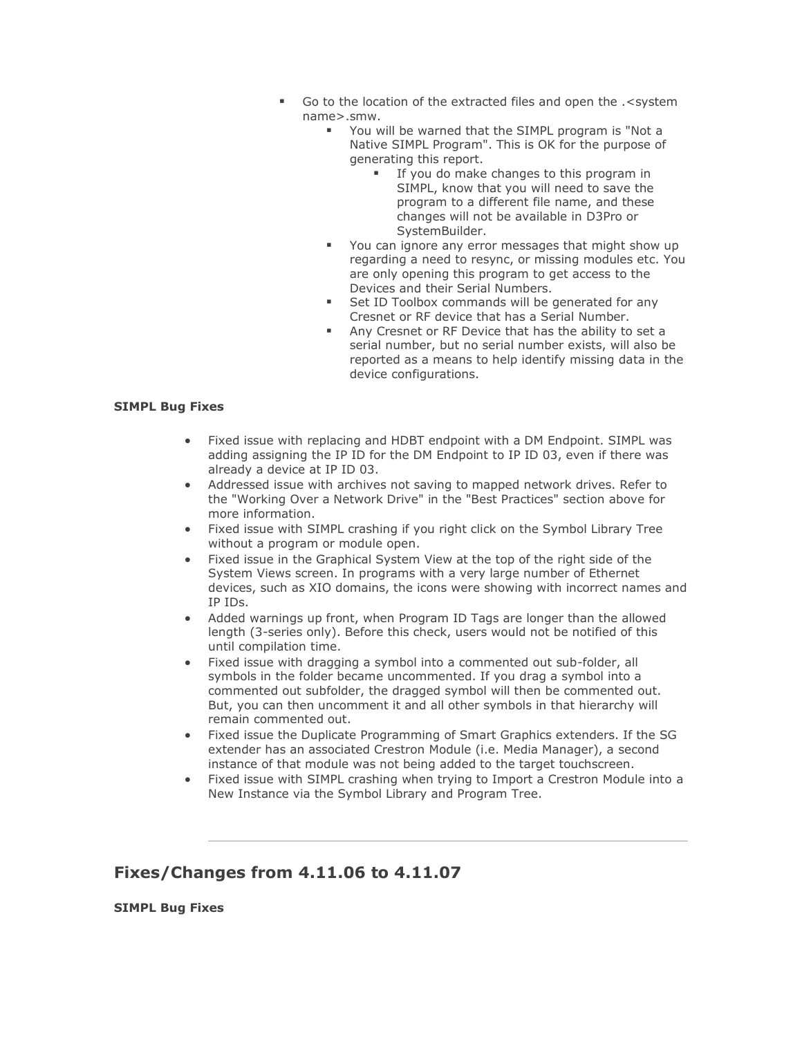- Go to the location of the extracted files and open the .< system name>.smw.
	- You will be warned that the SIMPL program is "Not a Native SIMPL Program". This is OK for the purpose of generating this report.
		- **■** If you do make changes to this program in SIMPL, know that you will need to save the program to a different file name, and these changes will not be available in D3Pro or SystemBuilder.
	- You can ignore any error messages that might show up regarding a need to resync, or missing modules etc. You are only opening this program to get access to the Devices and their Serial Numbers.
	- Set ID Toolbox commands will be generated for any Cresnet or RF device that has a Serial Number.
	- Any Cresnet or RF Device that has the ability to set a serial number, but no serial number exists, will also be reported as a means to help identify missing data in the device configurations.

#### **SIMPL Bug Fixes**

- Fixed issue with replacing and HDBT endpoint with a DM Endpoint. SIMPL was adding assigning the IP ID for the DM Endpoint to IP ID 03, even if there was already a device at IP ID 03.
- Addressed issue with archives not saving to mapped network drives. Refer to the "Working Over a Network Drive" in the "Best Practices" section above for more information.
- Fixed issue with SIMPL crashing if you right click on the Symbol Library Tree without a program or module open.
- Fixed issue in the Graphical System View at the top of the right side of the System Views screen. In programs with a very large number of Ethernet devices, such as XIO domains, the icons were showing with incorrect names and IP IDs.
- Added warnings up front, when Program ID Tags are longer than the allowed length (3-series only). Before this check, users would not be notified of this until compilation time.
- Fixed issue with dragging a symbol into a commented out sub-folder, all symbols in the folder became uncommented. If you drag a symbol into a commented out subfolder, the dragged symbol will then be commented out. But, you can then uncomment it and all other symbols in that hierarchy will remain commented out.
- Fixed issue the Duplicate Programming of Smart Graphics extenders. If the SG extender has an associated Crestron Module (i.e. Media Manager), a second instance of that module was not being added to the target touchscreen.
- Fixed issue with SIMPL crashing when trying to Import a Crestron Module into a New Instance via the Symbol Library and Program Tree.

### **Fixes/Changes from 4.11.06 to 4.11.07**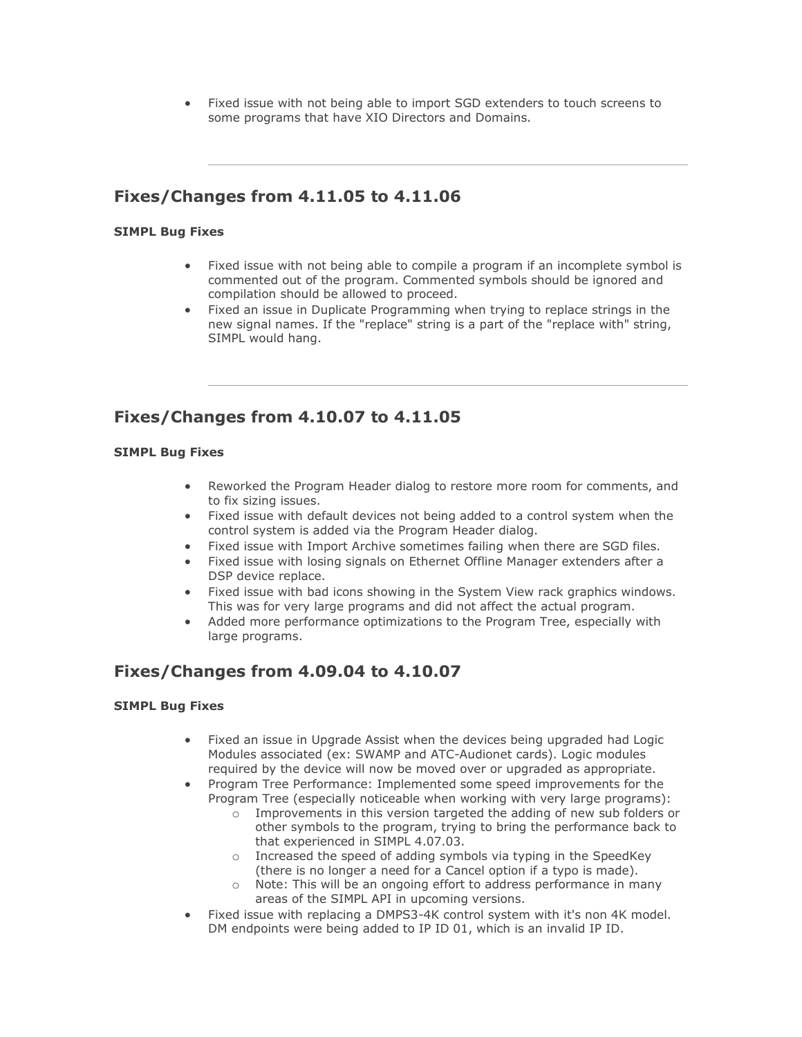• Fixed issue with not being able to import SGD extenders to touch screens to some programs that have XIO Directors and Domains.

# **Fixes/Changes from 4.11.05 to 4.11.06**

#### **SIMPL Bug Fixes**

- Fixed issue with not being able to compile a program if an incomplete symbol is commented out of the program. Commented symbols should be ignored and compilation should be allowed to proceed.
- Fixed an issue in Duplicate Programming when trying to replace strings in the new signal names. If the "replace" string is a part of the "replace with" string, SIMPL would hang.

### **Fixes/Changes from 4.10.07 to 4.11.05**

#### **SIMPL Bug Fixes**

- Reworked the Program Header dialog to restore more room for comments, and to fix sizing issues.
- Fixed issue with default devices not being added to a control system when the control system is added via the Program Header dialog.
- Fixed issue with Import Archive sometimes failing when there are SGD files.
- Fixed issue with losing signals on Ethernet Offline Manager extenders after a DSP device replace.
- Fixed issue with bad icons showing in the System View rack graphics windows. This was for very large programs and did not affect the actual program.
- Added more performance optimizations to the Program Tree, especially with large programs.

### **Fixes/Changes from 4.09.04 to 4.10.07**

- Fixed an issue in Upgrade Assist when the devices being upgraded had Logic Modules associated (ex: SWAMP and ATC-Audionet cards). Logic modules required by the device will now be moved over or upgraded as appropriate.
- Program Tree Performance: Implemented some speed improvements for the Program Tree (especially noticeable when working with very large programs):
	- o Improvements in this version targeted the adding of new sub folders or other symbols to the program, trying to bring the performance back to that experienced in SIMPL 4.07.03.
	- o Increased the speed of adding symbols via typing in the SpeedKey (there is no longer a need for a Cancel option if a typo is made).
	- o Note: This will be an ongoing effort to address performance in many areas of the SIMPL API in upcoming versions.
- Fixed issue with replacing a DMPS3-4K control system with it's non 4K model. DM endpoints were being added to IP ID 01, which is an invalid IP ID.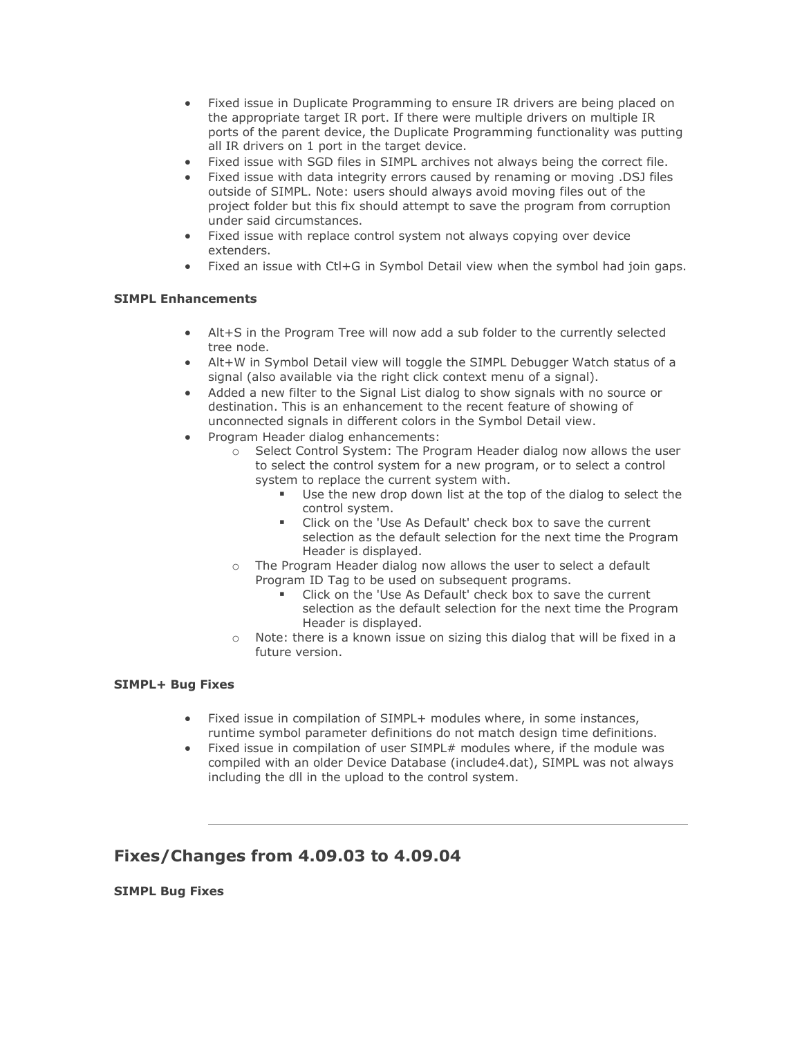- Fixed issue in Duplicate Programming to ensure IR drivers are being placed on the appropriate target IR port. If there were multiple drivers on multiple IR ports of the parent device, the Duplicate Programming functionality was putting all IR drivers on 1 port in the target device.
- Fixed issue with SGD files in SIMPL archives not always being the correct file.
- Fixed issue with data integrity errors caused by renaming or moving .DSJ files outside of SIMPL. Note: users should always avoid moving files out of the project folder but this fix should attempt to save the program from corruption under said circumstances.
- Fixed issue with replace control system not always copying over device extenders.
- Fixed an issue with Ctl+G in Symbol Detail view when the symbol had join gaps.

#### **SIMPL Enhancements**

- Alt+S in the Program Tree will now add a sub folder to the currently selected tree node.
- Alt+W in Symbol Detail view will toggle the SIMPL Debugger Watch status of a signal (also available via the right click context menu of a signal).
- Added a new filter to the Signal List dialog to show signals with no source or destination. This is an enhancement to the recent feature of showing of unconnected signals in different colors in the Symbol Detail view.
- Program Header dialog enhancements:
	- o Select Control System: The Program Header dialog now allows the user to select the control system for a new program, or to select a control system to replace the current system with.
		- Use the new drop down list at the top of the dialog to select the control system.
		- Click on the 'Use As Default' check box to save the current selection as the default selection for the next time the Program Header is displayed.
	- o The Program Header dialog now allows the user to select a default Program ID Tag to be used on subsequent programs.
		- Click on the 'Use As Default' check box to save the current selection as the default selection for the next time the Program Header is displayed.
	- $\circ$  Note: there is a known issue on sizing this dialog that will be fixed in a future version.

#### **SIMPL+ Bug Fixes**

- Fixed issue in compilation of SIMPL+ modules where, in some instances, runtime symbol parameter definitions do not match design time definitions.
- Fixed issue in compilation of user SIMPL# modules where, if the module was compiled with an older Device Database (include4.dat), SIMPL was not always including the dll in the upload to the control system.

### **Fixes/Changes from 4.09.03 to 4.09.04**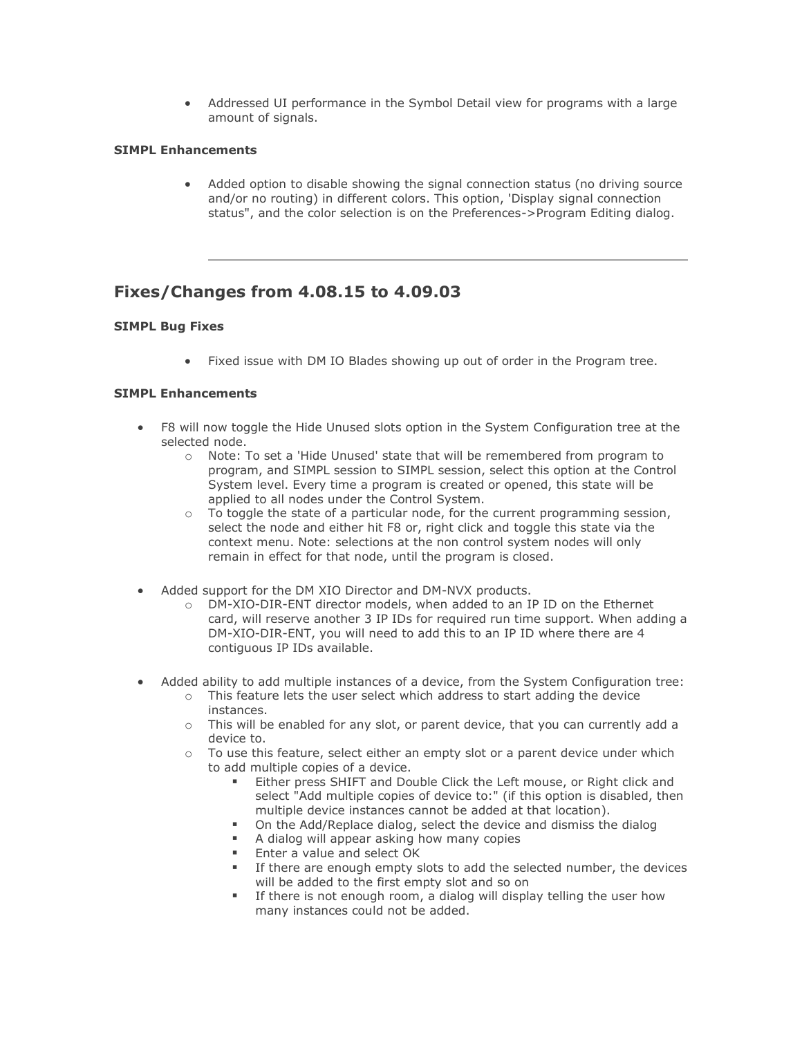• Addressed UI performance in the Symbol Detail view for programs with a large amount of signals.

#### **SIMPL Enhancements**

• Added option to disable showing the signal connection status (no driving source and/or no routing) in different colors. This option, 'Display signal connection status", and the color selection is on the Preferences->Program Editing dialog.

### **Fixes/Changes from 4.08.15 to 4.09.03**

#### **SIMPL Bug Fixes**

• Fixed issue with DM IO Blades showing up out of order in the Program tree.

- F8 will now toggle the Hide Unused slots option in the System Configuration tree at the selected node.
	- o Note: To set a 'Hide Unused' state that will be remembered from program to program, and SIMPL session to SIMPL session, select this option at the Control System level. Every time a program is created or opened, this state will be applied to all nodes under the Control System.
	- $\circ$  To toggle the state of a particular node, for the current programming session, select the node and either hit F8 or, right click and toggle this state via the context menu. Note: selections at the non control system nodes will only remain in effect for that node, until the program is closed.
- Added support for the DM XIO Director and DM-NVX products.
	- o DM-XIO-DIR-ENT director models, when added to an IP ID on the Ethernet card, will reserve another 3 IP IDs for required run time support. When adding a DM-XIO-DIR-ENT, you will need to add this to an IP ID where there are 4 contiguous IP IDs available.
- Added ability to add multiple instances of a device, from the System Configuration tree:
	- $\circ$  This feature lets the user select which address to start adding the device instances.
	- o This will be enabled for any slot, or parent device, that you can currently add a device to.
	- o To use this feature, select either an empty slot or a parent device under which to add multiple copies of a device.
		- Either press SHIFT and Double Click the Left mouse, or Right click and select "Add multiple copies of device to:" (if this option is disabled, then multiple device instances cannot be added at that location).
		- On the Add/Replace dialog, select the device and dismiss the dialog
		- A dialog will appear asking how many copies
		- Enter a value and select OK
		- If there are enough empty slots to add the selected number, the devices will be added to the first empty slot and so on
		- If there is not enough room, a dialog will display telling the user how many instances could not be added.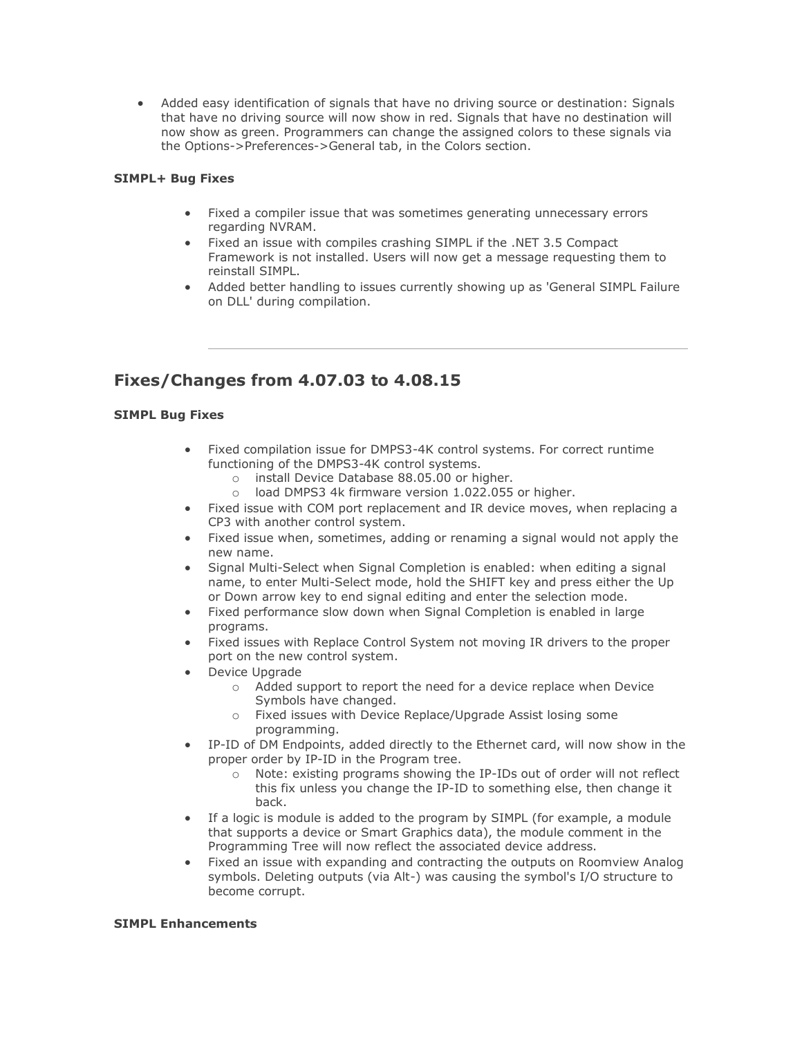• Added easy identification of signals that have no driving source or destination: Signals that have no driving source will now show in red. Signals that have no destination will now show as green. Programmers can change the assigned colors to these signals via the Options->Preferences->General tab, in the Colors section.

#### **SIMPL+ Bug Fixes**

- Fixed a compiler issue that was sometimes generating unnecessary errors regarding NVRAM.
- Fixed an issue with compiles crashing SIMPL if the .NET 3.5 Compact Framework is not installed. Users will now get a message requesting them to reinstall SIMPL.
- Added better handling to issues currently showing up as 'General SIMPL Failure on DLL' during compilation.

### **Fixes/Changes from 4.07.03 to 4.08.15**

#### **SIMPL Bug Fixes**

- Fixed compilation issue for DMPS3-4K control systems. For correct runtime functioning of the DMPS3-4K control systems.
	- o install Device Database 88.05.00 or higher.
	- o load DMPS3 4k firmware version 1.022.055 or higher.
- Fixed issue with COM port replacement and IR device moves, when replacing a CP3 with another control system.
- Fixed issue when, sometimes, adding or renaming a signal would not apply the new name.
- Signal Multi-Select when Signal Completion is enabled: when editing a signal name, to enter Multi-Select mode, hold the SHIFT key and press either the Up or Down arrow key to end signal editing and enter the selection mode.
- Fixed performance slow down when Signal Completion is enabled in large programs.
- Fixed issues with Replace Control System not moving IR drivers to the proper port on the new control system.
- Device Upgrade
	- o Added support to report the need for a device replace when Device Symbols have changed.
	- o Fixed issues with Device Replace/Upgrade Assist losing some programming.
- IP-ID of DM Endpoints, added directly to the Ethernet card, will now show in the proper order by IP-ID in the Program tree.
	- o Note: existing programs showing the IP-IDs out of order will not reflect this fix unless you change the IP-ID to something else, then change it back.
- If a logic is module is added to the program by SIMPL (for example, a module that supports a device or Smart Graphics data), the module comment in the Programming Tree will now reflect the associated device address.
- Fixed an issue with expanding and contracting the outputs on Roomview Analog symbols. Deleting outputs (via Alt-) was causing the symbol's I/O structure to become corrupt.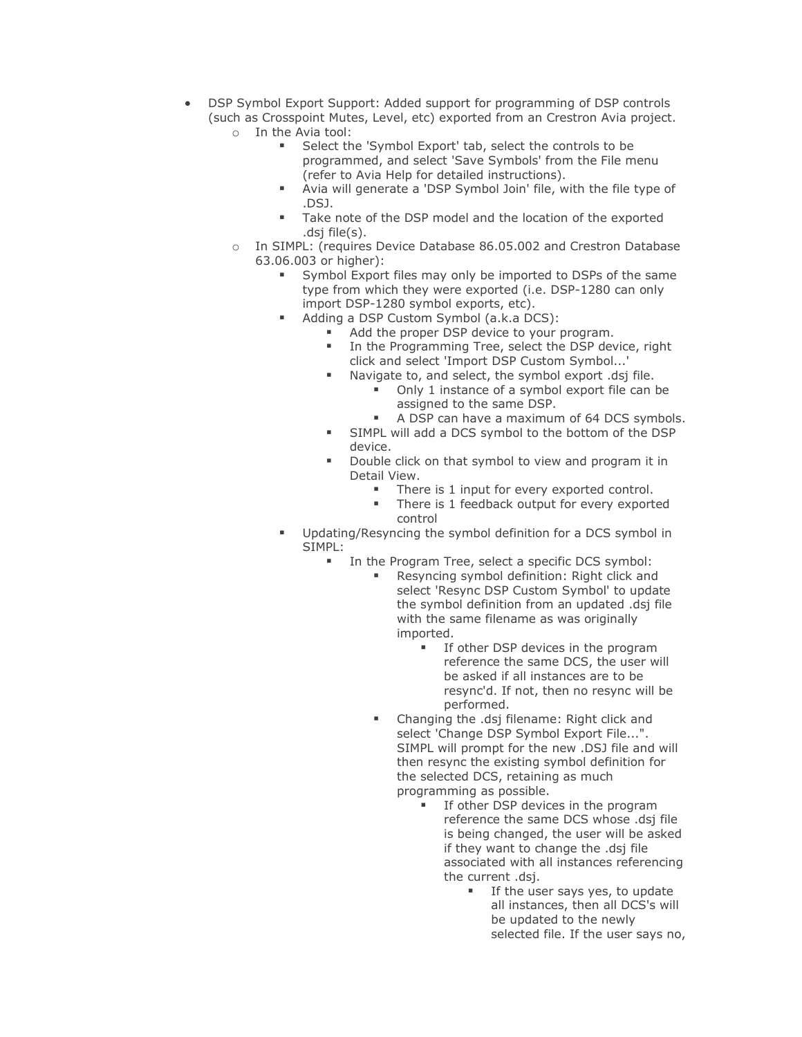- DSP Symbol Export Support: Added support for programming of DSP controls (such as Crosspoint Mutes, Level, etc) exported from an Crestron Avia project. o In the Avia tool:
	- Select the 'Symbol Export' tab, select the controls to be
		- programmed, and select 'Save Symbols' from the File menu (refer to Avia Help for detailed instructions).
		- Avia will generate a 'DSP Symbol Join' file, with the file type of .DSJ.
		- Take note of the DSP model and the location of the exported .dsj file(s).
	- o In SIMPL: (requires Device Database 86.05.002 and Crestron Database 63.06.003 or higher):
		- Symbol Export files may only be imported to DSPs of the same type from which they were exported (i.e. DSP-1280 can only import DSP-1280 symbol exports, etc).
			- Adding a DSP Custom Symbol (a.k.a DCS):
				- Add the proper DSP device to your program.
					- **■** In the Programming Tree, select the DSP device, right click and select 'Import DSP Custom Symbol...'
					- Navigate to, and select, the symbol export .dsj file.
						- Only 1 instance of a symbol export file can be assigned to the same DSP.
						- A DSP can have a maximum of 64 DCS symbols.
					- SIMPL will add a DCS symbol to the bottom of the DSP device.
					- Double click on that symbol to view and program it in Detail View.
						- There is 1 input for every exported control.
						- **There is 1 feedback output for every exported** control
		- Updating/Resyncing the symbol definition for a DCS symbol in SIMPL:
			- In the Program Tree, select a specific DCS symbol:
				- Resyncing symbol definition: Right click and select 'Resync DSP Custom Symbol' to update the symbol definition from an updated .dsj file with the same filename as was originally imported.
					- If other DSP devices in the program reference the same DCS, the user will be asked if all instances are to be resync'd. If not, then no resync will be performed.
				- Changing the .dsj filename: Right click and select 'Change DSP Symbol Export File...". SIMPL will prompt for the new .DSJ file and will then resync the existing symbol definition for the selected DCS, retaining as much programming as possible.
					- **■** If other DSP devices in the program reference the same DCS whose .dsj file is being changed, the user will be asked if they want to change the .dsj file associated with all instances referencing the current .dsj.
						- If the user says yes, to update all instances, then all DCS's will be updated to the newly selected file. If the user says no,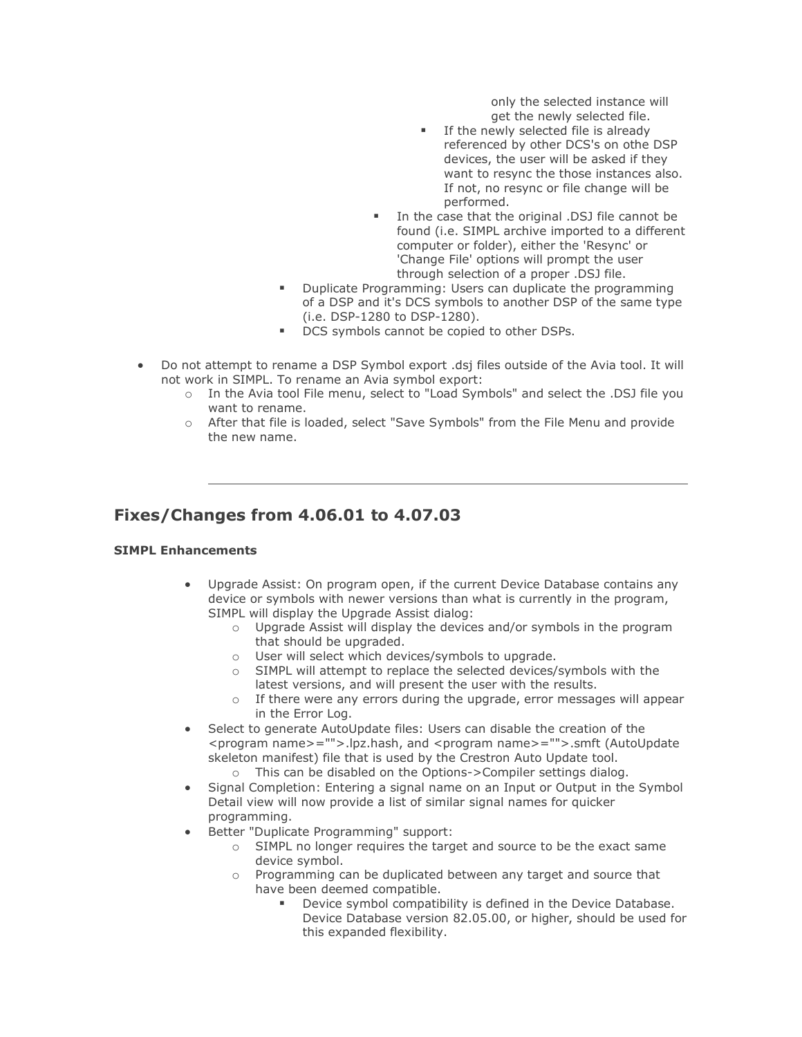only the selected instance will get the newly selected file.

- **EXECT** If the newly selected file is already referenced by other DCS's on othe DSP devices, the user will be asked if they want to resync the those instances also. If not, no resync or file change will be performed.
- In the case that the original .DSJ file cannot be found (i.e. SIMPL archive imported to a different computer or folder), either the 'Resync' or 'Change File' options will prompt the user through selection of a proper .DSJ file.
- Duplicate Programming: Users can duplicate the programming of a DSP and it's DCS symbols to another DSP of the same type (i.e. DSP-1280 to DSP-1280).
- DCS symbols cannot be copied to other DSPs.
- Do not attempt to rename a DSP Symbol export .dsj files outside of the Avia tool. It will not work in SIMPL. To rename an Avia symbol export:
	- o In the Avia tool File menu, select to "Load Symbols" and select the .DSJ file you want to rename.
	- o After that file is loaded, select "Save Symbols" from the File Menu and provide the new name.

### **Fixes/Changes from 4.06.01 to 4.07.03**

- Upgrade Assist: On program open, if the current Device Database contains any device or symbols with newer versions than what is currently in the program, SIMPL will display the Upgrade Assist dialog:
	- o Upgrade Assist will display the devices and/or symbols in the program that should be upgraded.
	- o User will select which devices/symbols to upgrade.
	- o SIMPL will attempt to replace the selected devices/symbols with the latest versions, and will present the user with the results.
	- o If there were any errors during the upgrade, error messages will appear in the Error Log.
- Select to generate AutoUpdate files: Users can disable the creation of the <program name>="">.lpz.hash, and <program name>="">.smft (AutoUpdate skeleton manifest) file that is used by the Crestron Auto Update tool.
	- o This can be disabled on the Options->Compiler settings dialog.
- Signal Completion: Entering a signal name on an Input or Output in the Symbol Detail view will now provide a list of similar signal names for quicker programming.
- Better "Duplicate Programming" support:
	- $\circ$  SIMPL no longer requires the target and source to be the exact same device symbol.
	- $\circ$  Programming can be duplicated between any target and source that have been deemed compatible.
		- Device symbol compatibility is defined in the Device Database. Device Database version 82.05.00, or higher, should be used for this expanded flexibility.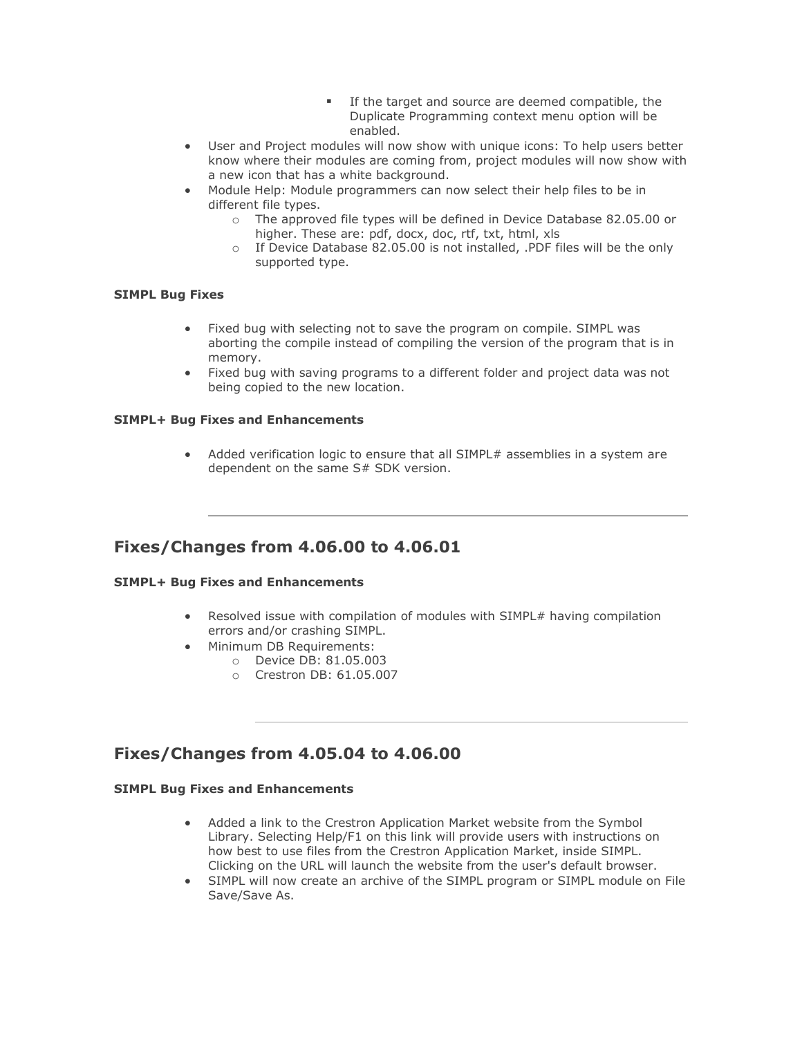- **EXE** If the target and source are deemed compatible, the Duplicate Programming context menu option will be enabled.
- User and Project modules will now show with unique icons: To help users better know where their modules are coming from, project modules will now show with a new icon that has a white background.
- Module Help: Module programmers can now select their help files to be in different file types.
	- o The approved file types will be defined in Device Database 82.05.00 or higher. These are: pdf, docx, doc, rtf, txt, html, xls
	- o If Device Database 82.05.00 is not installed, .PDF files will be the only supported type.

#### **SIMPL Bug Fixes**

- Fixed bug with selecting not to save the program on compile. SIMPL was aborting the compile instead of compiling the version of the program that is in memory.
- Fixed bug with saving programs to a different folder and project data was not being copied to the new location.

#### **SIMPL+ Bug Fixes and Enhancements**

• Added verification logic to ensure that all SIMPL# assemblies in a system are dependent on the same S# SDK version.

### **Fixes/Changes from 4.06.00 to 4.06.01**

#### **SIMPL+ Bug Fixes and Enhancements**

- Resolved issue with compilation of modules with SIMPL# having compilation errors and/or crashing SIMPL.
- Minimum DB Requirements:
	- o Device DB: 81.05.003
		- o Crestron DB: 61.05.007

### **Fixes/Changes from 4.05.04 to 4.06.00**

- Added a link to the Crestron Application Market website from the Symbol Library. Selecting Help/F1 on this link will provide users with instructions on how best to use files from the Crestron Application Market, inside SIMPL. Clicking on the URL will launch the website from the user's default browser.
- SIMPL will now create an archive of the SIMPL program or SIMPL module on File Save/Save As.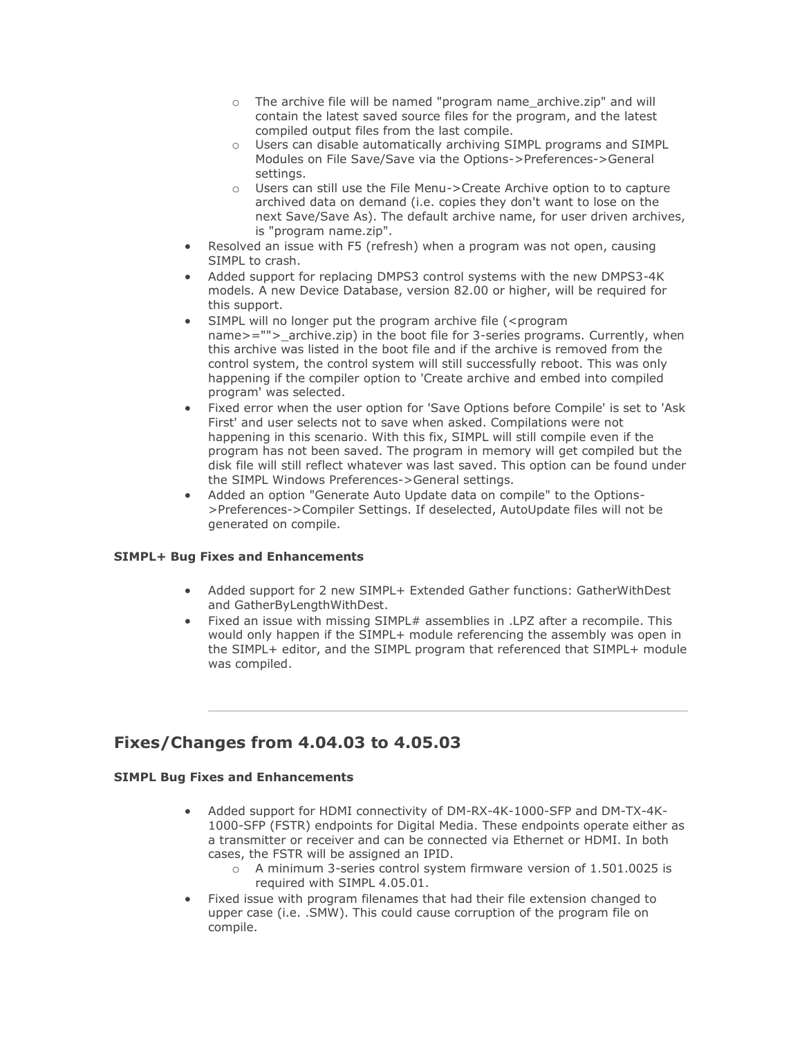- o The archive file will be named "program name\_archive.zip" and will contain the latest saved source files for the program, and the latest compiled output files from the last compile.
- o Users can disable automatically archiving SIMPL programs and SIMPL Modules on File Save/Save via the Options->Preferences->General settings.
- o Users can still use the File Menu->Create Archive option to to capture archived data on demand (i.e. copies they don't want to lose on the next Save/Save As). The default archive name, for user driven archives, is "program name.zip".
- Resolved an issue with F5 (refresh) when a program was not open, causing SIMPL to crash.
- Added support for replacing DMPS3 control systems with the new DMPS3-4K models. A new Device Database, version 82.00 or higher, will be required for this support.
- SIMPL will no longer put the program archive file (<program name>=""> archive.zip) in the boot file for 3-series programs. Currently, when this archive was listed in the boot file and if the archive is removed from the control system, the control system will still successfully reboot. This was only happening if the compiler option to 'Create archive and embed into compiled program' was selected.
- Fixed error when the user option for 'Save Options before Compile' is set to 'Ask First' and user selects not to save when asked. Compilations were not happening in this scenario. With this fix, SIMPL will still compile even if the program has not been saved. The program in memory will get compiled but the disk file will still reflect whatever was last saved. This option can be found under the SIMPL Windows Preferences->General settings.
- Added an option "Generate Auto Update data on compile" to the Options- >Preferences->Compiler Settings. If deselected, AutoUpdate files will not be generated on compile.

#### **SIMPL+ Bug Fixes and Enhancements**

- Added support for 2 new SIMPL+ Extended Gather functions: GatherWithDest and GatherByLengthWithDest.
- Fixed an issue with missing SIMPL# assemblies in .LPZ after a recompile. This would only happen if the SIMPL+ module referencing the assembly was open in the SIMPL+ editor, and the SIMPL program that referenced that SIMPL+ module was compiled.

### **Fixes/Changes from 4.04.03 to 4.05.03**

- Added support for HDMI connectivity of DM-RX-4K-1000-SFP and DM-TX-4K-1000-SFP (FSTR) endpoints for Digital Media. These endpoints operate either as a transmitter or receiver and can be connected via Ethernet or HDMI. In both cases, the FSTR will be assigned an IPID.
	- o A minimum 3-series control system firmware version of 1.501.0025 is required with SIMPL 4.05.01.
- Fixed issue with program filenames that had their file extension changed to upper case (i.e. .SMW). This could cause corruption of the program file on compile.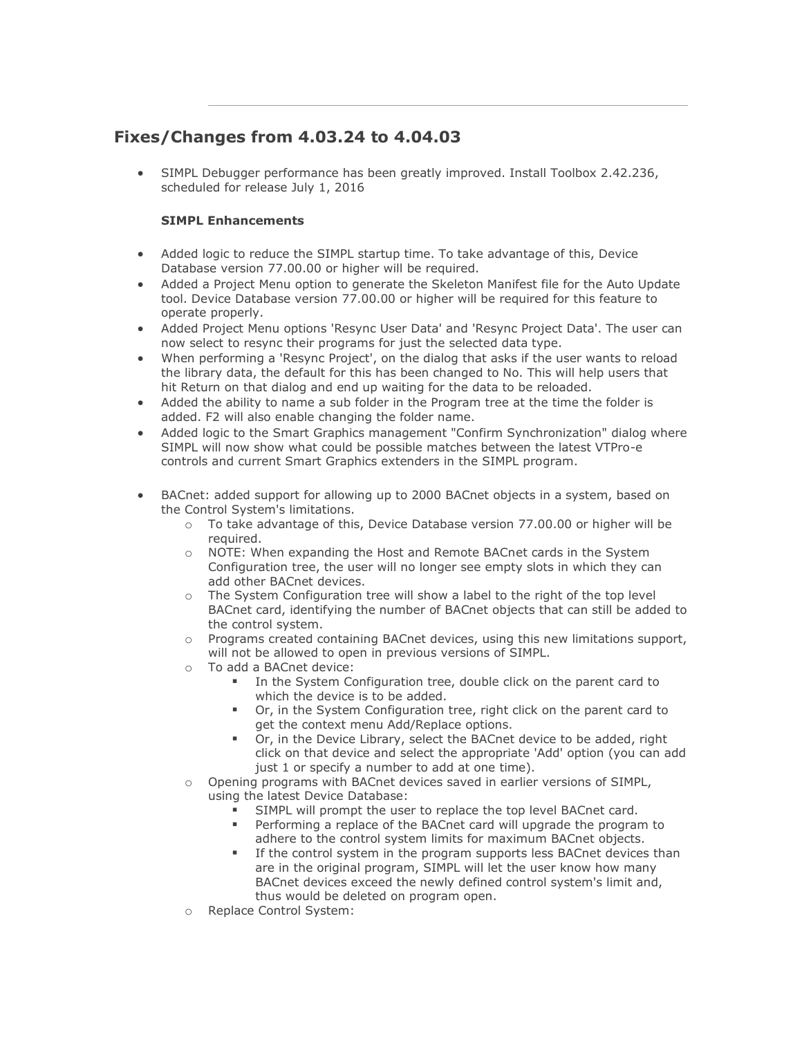# **Fixes/Changes from 4.03.24 to 4.04.03**

• SIMPL Debugger performance has been greatly improved. Install Toolbox 2.42.236, scheduled for release July 1, 2016

- Added logic to reduce the SIMPL startup time. To take advantage of this, Device Database version 77.00.00 or higher will be required.
- Added a Project Menu option to generate the Skeleton Manifest file for the Auto Update tool. Device Database version 77.00.00 or higher will be required for this feature to operate properly.
- Added Project Menu options 'Resync User Data' and 'Resync Project Data'. The user can now select to resync their programs for just the selected data type.
- When performing a 'Resync Project', on the dialog that asks if the user wants to reload the library data, the default for this has been changed to No. This will help users that hit Return on that dialog and end up waiting for the data to be reloaded.
- Added the ability to name a sub folder in the Program tree at the time the folder is added. F2 will also enable changing the folder name.
- Added logic to the Smart Graphics management "Confirm Synchronization" dialog where SIMPL will now show what could be possible matches between the latest VTPro-e controls and current Smart Graphics extenders in the SIMPL program.
- BACnet: added support for allowing up to 2000 BACnet objects in a system, based on the Control System's limitations.
	- o To take advantage of this, Device Database version 77.00.00 or higher will be required.
	- o NOTE: When expanding the Host and Remote BACnet cards in the System Configuration tree, the user will no longer see empty slots in which they can add other BACnet devices.
	- o The System Configuration tree will show a label to the right of the top level BACnet card, identifying the number of BACnet objects that can still be added to the control system.
	- $\circ$  Programs created containing BACnet devices, using this new limitations support, will not be allowed to open in previous versions of SIMPL.
	- o To add a BACnet device:
		- In the System Configuration tree, double click on the parent card to which the device is to be added.
		- Or, in the System Configuration tree, right click on the parent card to get the context menu Add/Replace options.
		- Or, in the Device Library, select the BACnet device to be added, right click on that device and select the appropriate 'Add' option (you can add just 1 or specify a number to add at one time).
	- o Opening programs with BACnet devices saved in earlier versions of SIMPL, using the latest Device Database:
		- SIMPL will prompt the user to replace the top level BACnet card.
		- Performing a replace of the BACnet card will upgrade the program to adhere to the control system limits for maximum BACnet objects.
		- If the control system in the program supports less BACnet devices than are in the original program, SIMPL will let the user know how many BACnet devices exceed the newly defined control system's limit and, thus would be deleted on program open.
	- o Replace Control System: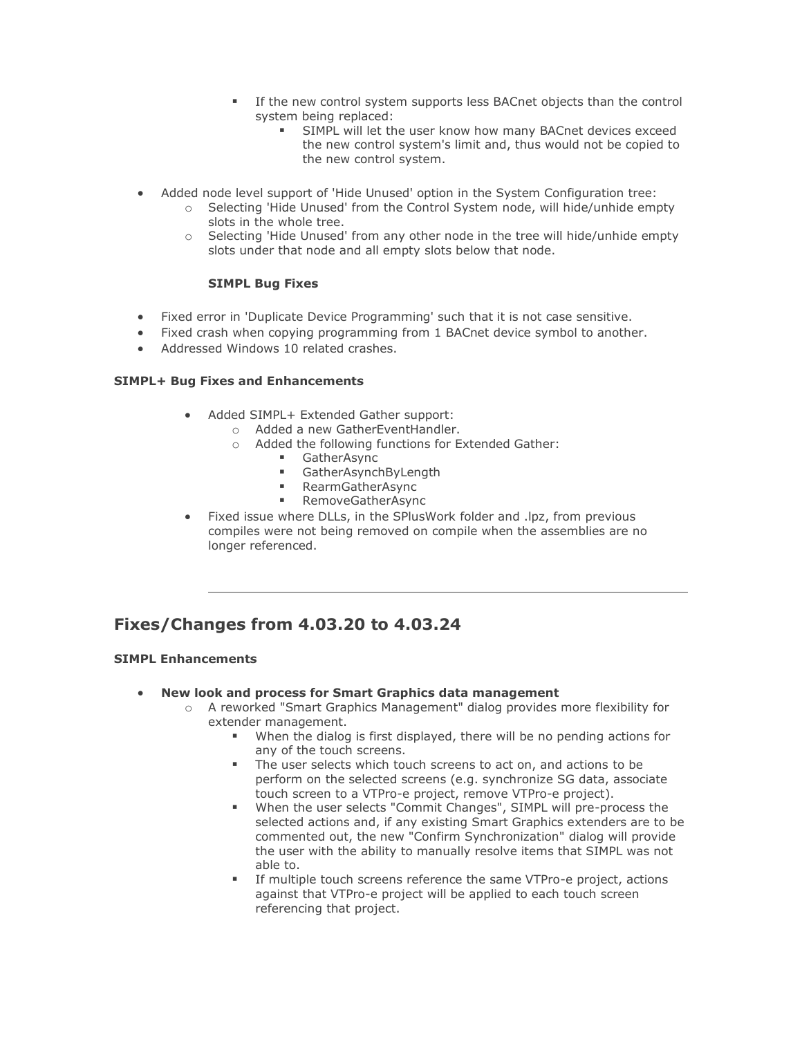- **EXECT** If the new control system supports less BACnet objects than the control system being replaced:
	- **EXECT** SIMPL will let the user know how many BACnet devices exceed the new control system's limit and, thus would not be copied to the new control system.
- Added node level support of 'Hide Unused' option in the System Configuration tree:
	- o Selecting 'Hide Unused' from the Control System node, will hide/unhide empty slots in the whole tree.
	- o Selecting 'Hide Unused' from any other node in the tree will hide/unhide empty slots under that node and all empty slots below that node.

#### **SIMPL Bug Fixes**

- Fixed error in 'Duplicate Device Programming' such that it is not case sensitive.
- Fixed crash when copying programming from 1 BACnet device symbol to another.
- Addressed Windows 10 related crashes.

#### **SIMPL+ Bug Fixes and Enhancements**

- Added SIMPL+ Extended Gather support:
	- o Added a new GatherEventHandler.
	- o Added the following functions for Extended Gather:
		- GatherAsync
		- **GatherAsynchByLength**
		- RearmGatherAsync
		- RemoveGatherAsync
- Fixed issue where DLLs, in the SPlusWork folder and .lpz, from previous compiles were not being removed on compile when the assemblies are no longer referenced.

# **Fixes/Changes from 4.03.20 to 4.03.24**

- **New look and process for Smart Graphics data management**
	- o A reworked "Smart Graphics Management" dialog provides more flexibility for extender management.
		- When the dialog is first displayed, there will be no pending actions for any of the touch screens.
		- The user selects which touch screens to act on, and actions to be perform on the selected screens (e.g. synchronize SG data, associate touch screen to a VTPro-e project, remove VTPro-e project).
		- When the user selects "Commit Changes", SIMPL will pre-process the selected actions and, if any existing Smart Graphics extenders are to be commented out, the new "Confirm Synchronization" dialog will provide the user with the ability to manually resolve items that SIMPL was not able to.
		- If multiple touch screens reference the same VTPro-e project, actions against that VTPro-e project will be applied to each touch screen referencing that project.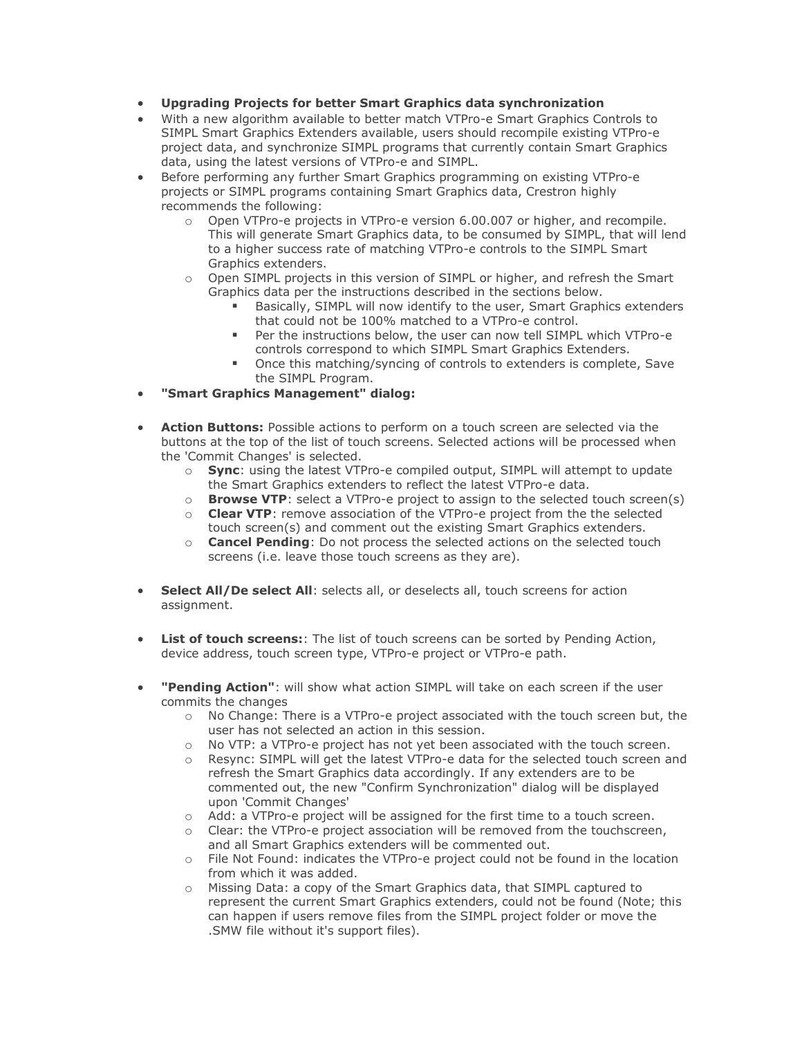- **Upgrading Projects for better Smart Graphics data synchronization**
- With a new algorithm available to better match VTPro-e Smart Graphics Controls to SIMPL Smart Graphics Extenders available, users should recompile existing VTPro-e project data, and synchronize SIMPL programs that currently contain Smart Graphics data, using the latest versions of VTPro-e and SIMPL.
- Before performing any further Smart Graphics programming on existing VTPro-e projects or SIMPL programs containing Smart Graphics data, Crestron highly recommends the following:
	- o Open VTPro-e projects in VTPro-e version 6.00.007 or higher, and recompile. This will generate Smart Graphics data, to be consumed by SIMPL, that will lend to a higher success rate of matching VTPro-e controls to the SIMPL Smart Graphics extenders.
	- o Open SIMPL projects in this version of SIMPL or higher, and refresh the Smart Graphics data per the instructions described in the sections below.
		- Basically, SIMPL will now identify to the user, Smart Graphics extenders that could not be 100% matched to a VTPro-e control.
		- Per the instructions below, the user can now tell SIMPL which VTPro-e controls correspond to which SIMPL Smart Graphics Extenders.
		- Once this matching/syncing of controls to extenders is complete, Save the SIMPL Program.
- **"Smart Graphics Management" dialog:**
- **Action Buttons:** Possible actions to perform on a touch screen are selected via the buttons at the top of the list of touch screens. Selected actions will be processed when the 'Commit Changes' is selected.
	- o **Sync**: using the latest VTPro-e compiled output, SIMPL will attempt to update the Smart Graphics extenders to reflect the latest VTPro-e data.
	- o **Browse VTP**: select a VTPro-e project to assign to the selected touch screen(s)
	- o **Clear VTP**: remove association of the VTPro-e project from the the selected touch screen(s) and comment out the existing Smart Graphics extenders.
	- o **Cancel Pending**: Do not process the selected actions on the selected touch screens (i.e. leave those touch screens as they are).
- **Select All/De select All**: selects all, or deselects all, touch screens for action assignment.
- **List of touch screens:**: The list of touch screens can be sorted by Pending Action, device address, touch screen type, VTPro-e project or VTPro-e path.
- **"Pending Action"**: will show what action SIMPL will take on each screen if the user commits the changes
	- $\circ$  No Change: There is a VTPro-e project associated with the touch screen but, the user has not selected an action in this session.
	- o No VTP: a VTPro-e project has not yet been associated with the touch screen.
	- o Resync: SIMPL will get the latest VTPro-e data for the selected touch screen and refresh the Smart Graphics data accordingly. If any extenders are to be commented out, the new "Confirm Synchronization" dialog will be displayed upon 'Commit Changes'
	- o Add: a VTPro-e project will be assigned for the first time to a touch screen.
	- o Clear: the VTPro-e project association will be removed from the touchscreen, and all Smart Graphics extenders will be commented out.
	- o File Not Found: indicates the VTPro-e project could not be found in the location from which it was added.
	- o Missing Data: a copy of the Smart Graphics data, that SIMPL captured to represent the current Smart Graphics extenders, could not be found (Note; this can happen if users remove files from the SIMPL project folder or move the .SMW file without it's support files).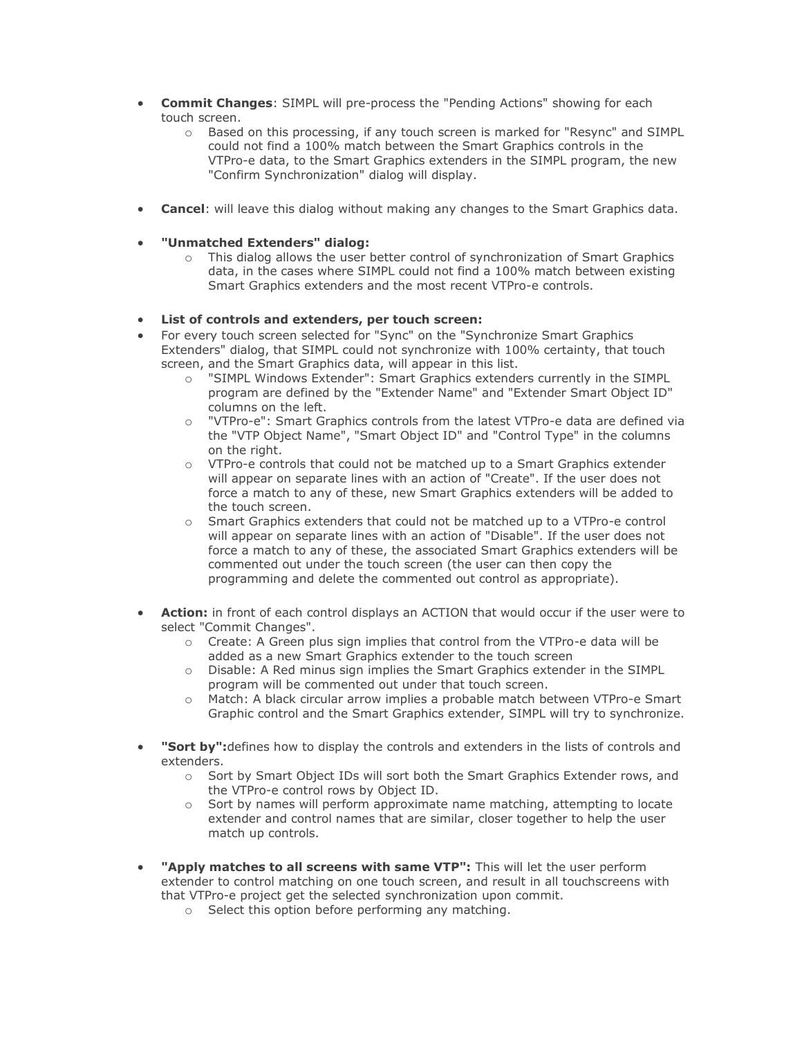- **Commit Changes**: SIMPL will pre-process the "Pending Actions" showing for each touch screen.
	- o Based on this processing, if any touch screen is marked for "Resync" and SIMPL could not find a 100% match between the Smart Graphics controls in the VTPro-e data, to the Smart Graphics extenders in the SIMPL program, the new "Confirm Synchronization" dialog will display.
- **Cancel**: will leave this dialog without making any changes to the Smart Graphics data.

#### • **"Unmatched Extenders" dialog:**

o This dialog allows the user better control of synchronization of Smart Graphics data, in the cases where SIMPL could not find a 100% match between existing Smart Graphics extenders and the most recent VTPro-e controls.

#### • **List of controls and extenders, per touch screen:**

- For every touch screen selected for "Sync" on the "Synchronize Smart Graphics Extenders" dialog, that SIMPL could not synchronize with 100% certainty, that touch screen, and the Smart Graphics data, will appear in this list.
	- o "SIMPL Windows Extender": Smart Graphics extenders currently in the SIMPL program are defined by the "Extender Name" and "Extender Smart Object ID" columns on the left.
	- o "VTPro-e": Smart Graphics controls from the latest VTPro-e data are defined via the "VTP Object Name", "Smart Object ID" and "Control Type" in the columns on the right.
	- o VTPro-e controls that could not be matched up to a Smart Graphics extender will appear on separate lines with an action of "Create". If the user does not force a match to any of these, new Smart Graphics extenders will be added to the touch screen.
	- o Smart Graphics extenders that could not be matched up to a VTPro-e control will appear on separate lines with an action of "Disable". If the user does not force a match to any of these, the associated Smart Graphics extenders will be commented out under the touch screen (the user can then copy the programming and delete the commented out control as appropriate).
- **Action:** in front of each control displays an ACTION that would occur if the user were to select "Commit Changes".
	- o Create: A Green plus sign implies that control from the VTPro-e data will be added as a new Smart Graphics extender to the touch screen
	- o Disable: A Red minus sign implies the Smart Graphics extender in the SIMPL program will be commented out under that touch screen.
	- o Match: A black circular arrow implies a probable match between VTPro-e Smart Graphic control and the Smart Graphics extender, SIMPL will try to synchronize.
- **"Sort by":**defines how to display the controls and extenders in the lists of controls and extenders.
	- o Sort by Smart Object IDs will sort both the Smart Graphics Extender rows, and the VTPro-e control rows by Object ID.
	- Sort by names will perform approximate name matching, attempting to locate extender and control names that are similar, closer together to help the user match up controls.
- **"Apply matches to all screens with same VTP":** This will let the user perform extender to control matching on one touch screen, and result in all touchscreens with that VTPro-e project get the selected synchronization upon commit.
	- o Select this option before performing any matching.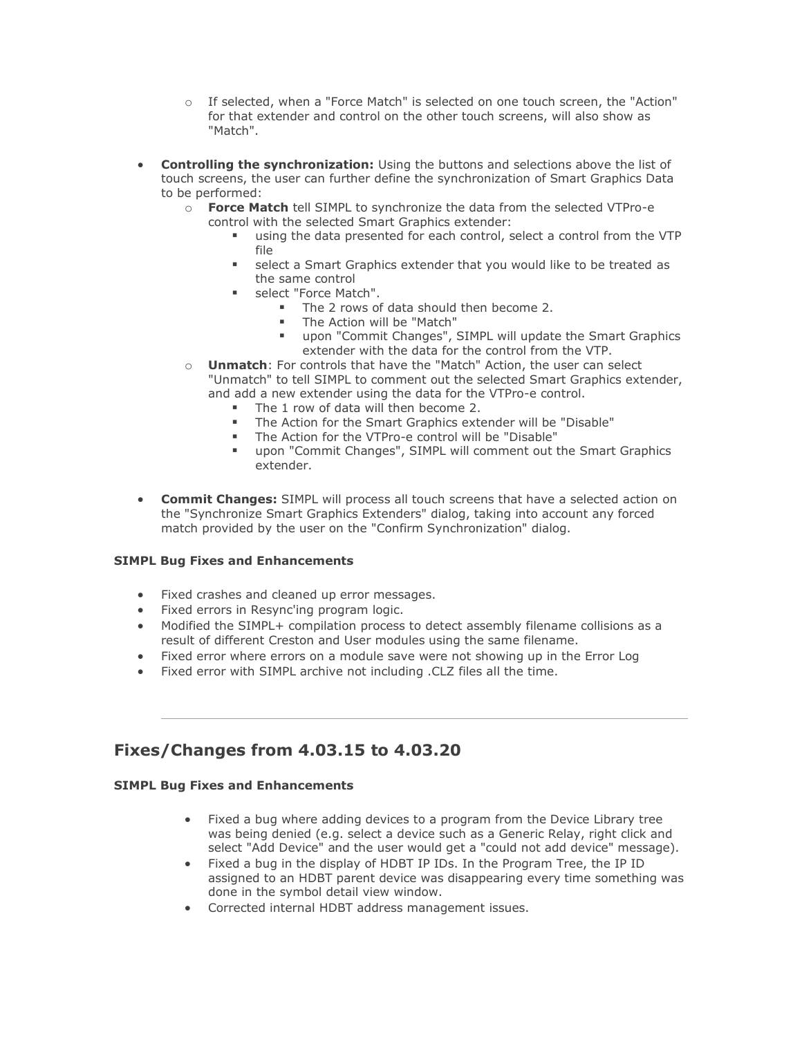- o If selected, when a "Force Match" is selected on one touch screen, the "Action" for that extender and control on the other touch screens, will also show as "Match".
- **Controlling the synchronization:** Using the buttons and selections above the list of touch screens, the user can further define the synchronization of Smart Graphics Data to be performed:
	- o **Force Match** tell SIMPL to synchronize the data from the selected VTPro-e control with the selected Smart Graphics extender:
		- using the data presented for each control, select a control from the VTP file
		- select a Smart Graphics extender that you would like to be treated as the same control
		- **■** select "Force Match".
			- The 2 rows of data should then become 2.
			- The Action will be "Match"
			- upon "Commit Changes", SIMPL will update the Smart Graphics extender with the data for the control from the VTP.
	- o **Unmatch**: For controls that have the "Match" Action, the user can select "Unmatch" to tell SIMPL to comment out the selected Smart Graphics extender, and add a new extender using the data for the VTPro-e control.
		- The 1 row of data will then become 2.
		- The Action for the Smart Graphics extender will be "Disable"
		- The Action for the VTPro-e control will be "Disable"
		- upon "Commit Changes", SIMPL will comment out the Smart Graphics extender.
- **Commit Changes:** SIMPL will process all touch screens that have a selected action on the "Synchronize Smart Graphics Extenders" dialog, taking into account any forced match provided by the user on the "Confirm Synchronization" dialog.

#### **SIMPL Bug Fixes and Enhancements**

- Fixed crashes and cleaned up error messages.
- Fixed errors in Resync'ing program logic.
- Modified the SIMPL+ compilation process to detect assembly filename collisions as a result of different Creston and User modules using the same filename.
- Fixed error where errors on a module save were not showing up in the Error Log
- Fixed error with SIMPL archive not including .CLZ files all the time.

### **Fixes/Changes from 4.03.15 to 4.03.20**

- Fixed a bug where adding devices to a program from the Device Library tree was being denied (e.g. select a device such as a Generic Relay, right click and select "Add Device" and the user would get a "could not add device" message).
- Fixed a bug in the display of HDBT IP IDs. In the Program Tree, the IP ID assigned to an HDBT parent device was disappearing every time something was done in the symbol detail view window.
- Corrected internal HDBT address management issues.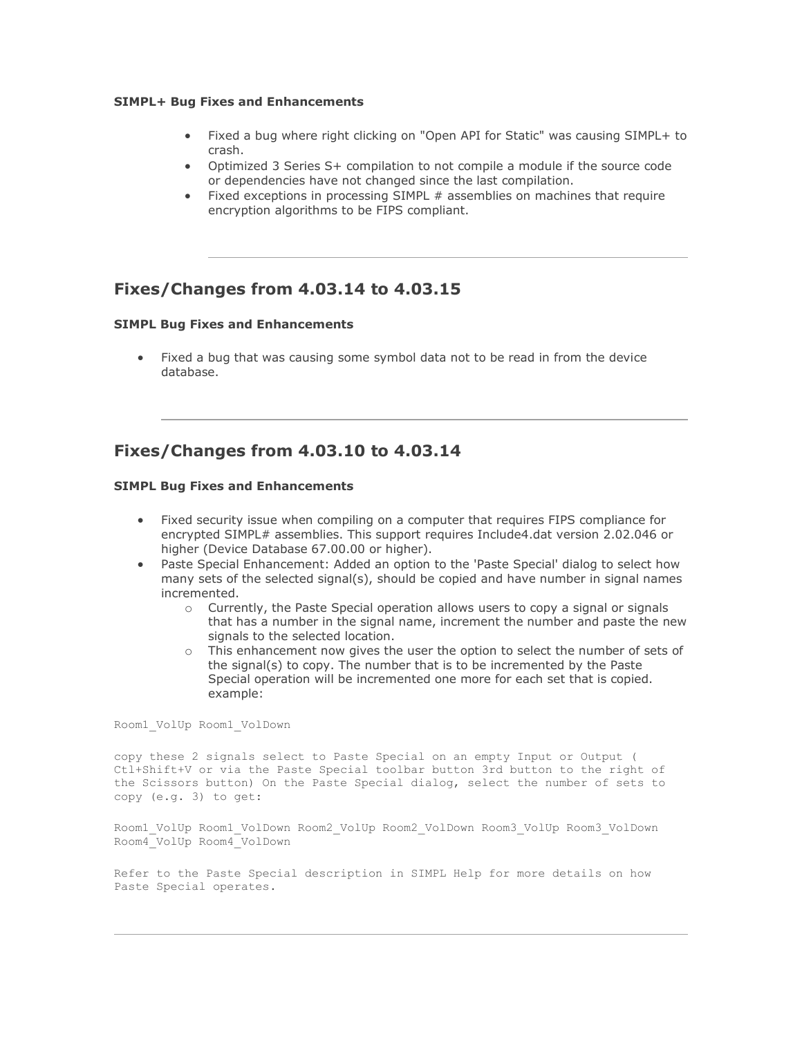#### **SIMPL+ Bug Fixes and Enhancements**

- Fixed a bug where right clicking on "Open API for Static" was causing SIMPL+ to crash.
- Optimized 3 Series S+ compilation to not compile a module if the source code or dependencies have not changed since the last compilation.
- Fixed exceptions in processing SIMPL # assemblies on machines that require encryption algorithms to be FIPS compliant.

### **Fixes/Changes from 4.03.14 to 4.03.15**

#### **SIMPL Bug Fixes and Enhancements**

Fixed a bug that was causing some symbol data not to be read in from the device database.

### **Fixes/Changes from 4.03.10 to 4.03.14**

#### **SIMPL Bug Fixes and Enhancements**

- Fixed security issue when compiling on a computer that requires FIPS compliance for encrypted SIMPL# assemblies. This support requires Include4.dat version 2.02.046 or higher (Device Database 67.00.00 or higher).
- Paste Special Enhancement: Added an option to the 'Paste Special' dialog to select how many sets of the selected signal(s), should be copied and have number in signal names incremented.
	- $\circ$  Currently, the Paste Special operation allows users to copy a signal or signals that has a number in the signal name, increment the number and paste the new signals to the selected location.
	- o This enhancement now gives the user the option to select the number of sets of the signal(s) to copy. The number that is to be incremented by the Paste Special operation will be incremented one more for each set that is copied. example:

Room1\_VolUp Room1\_VolDown

copy these 2 signals select to Paste Special on an empty Input or Output ( Ctl+Shift+V or via the Paste Special toolbar button 3rd button to the right of the Scissors button) On the Paste Special dialog, select the number of sets to copy (e.g. 3) to get:

Room1\_VolUp Room1\_VolDown Room2\_VolUp Room2\_VolDown Room3\_VolUp Room3\_VolDown Room4\_VolUp Room4\_VolDown

Refer to the Paste Special description in SIMPL Help for more details on how Paste Special operates.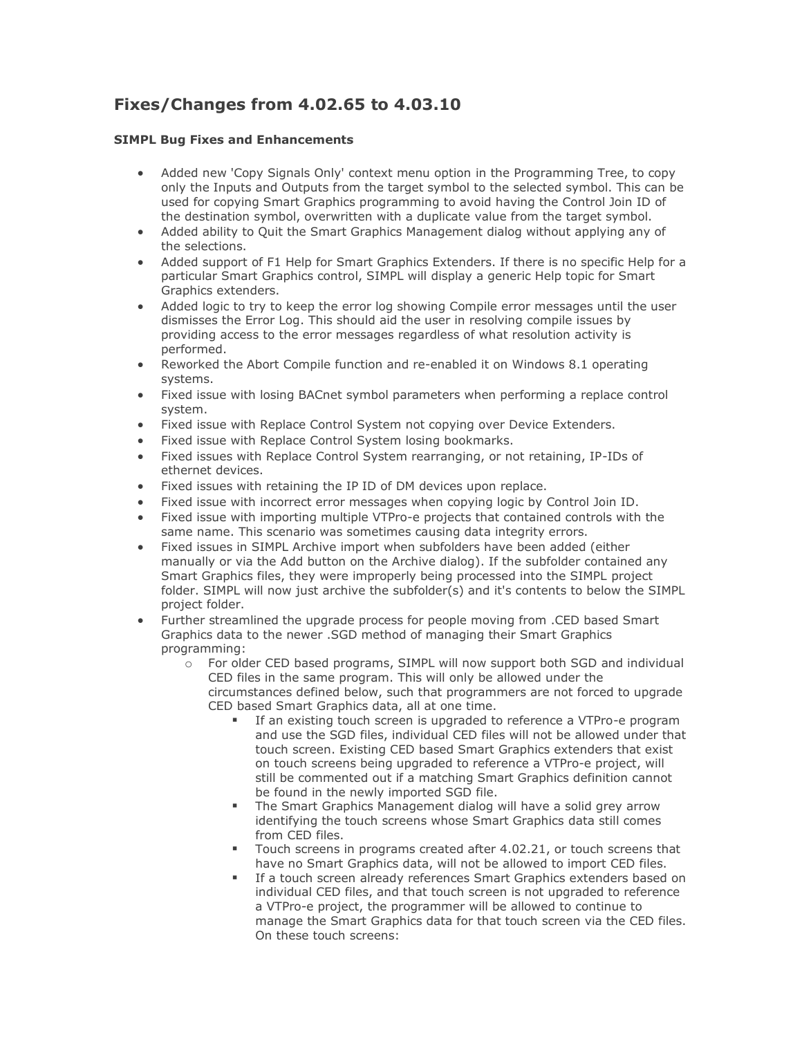# **Fixes/Changes from 4.02.65 to 4.03.10**

- Added new 'Copy Signals Only' context menu option in the Programming Tree, to copy only the Inputs and Outputs from the target symbol to the selected symbol. This can be used for copying Smart Graphics programming to avoid having the Control Join ID of the destination symbol, overwritten with a duplicate value from the target symbol.
- Added ability to Quit the Smart Graphics Management dialog without applying any of the selections.
- Added support of F1 Help for Smart Graphics Extenders. If there is no specific Help for a particular Smart Graphics control, SIMPL will display a generic Help topic for Smart Graphics extenders.
- Added logic to try to keep the error log showing Compile error messages until the user dismisses the Error Log. This should aid the user in resolving compile issues by providing access to the error messages regardless of what resolution activity is performed.
- Reworked the Abort Compile function and re-enabled it on Windows 8.1 operating systems.
- Fixed issue with losing BACnet symbol parameters when performing a replace control system.
- Fixed issue with Replace Control System not copying over Device Extenders.
- Fixed issue with Replace Control System losing bookmarks.
- Fixed issues with Replace Control System rearranging, or not retaining, IP-IDs of ethernet devices.
- Fixed issues with retaining the IP ID of DM devices upon replace.
- Fixed issue with incorrect error messages when copying logic by Control Join ID.
- Fixed issue with importing multiple VTPro-e projects that contained controls with the same name. This scenario was sometimes causing data integrity errors.
- Fixed issues in SIMPL Archive import when subfolders have been added (either manually or via the Add button on the Archive dialog). If the subfolder contained any Smart Graphics files, they were improperly being processed into the SIMPL project folder. SIMPL will now just archive the subfolder(s) and it's contents to below the SIMPL project folder.
- Further streamlined the upgrade process for people moving from .CED based Smart Graphics data to the newer .SGD method of managing their Smart Graphics programming:
	- o For older CED based programs, SIMPL will now support both SGD and individual CED files in the same program. This will only be allowed under the circumstances defined below, such that programmers are not forced to upgrade CED based Smart Graphics data, all at one time.
		- If an existing touch screen is upgraded to reference a VTPro-e program and use the SGD files, individual CED files will not be allowed under that touch screen. Existing CED based Smart Graphics extenders that exist on touch screens being upgraded to reference a VTPro-e project, will still be commented out if a matching Smart Graphics definition cannot be found in the newly imported SGD file.
		- The Smart Graphics Management dialog will have a solid grey arrow identifying the touch screens whose Smart Graphics data still comes from CED files.
		- Touch screens in programs created after 4.02.21, or touch screens that have no Smart Graphics data, will not be allowed to import CED files.
		- If a touch screen already references Smart Graphics extenders based on individual CED files, and that touch screen is not upgraded to reference a VTPro-e project, the programmer will be allowed to continue to manage the Smart Graphics data for that touch screen via the CED files. On these touch screens: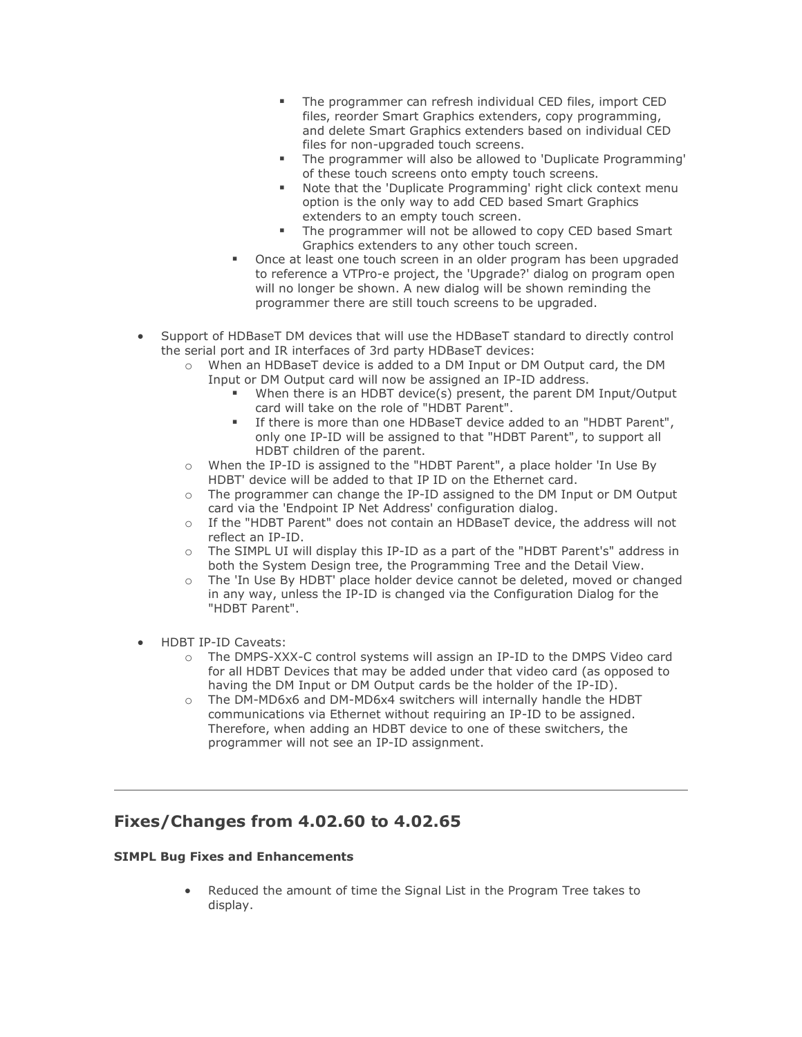- **·** The programmer can refresh individual CED files, import CED files, reorder Smart Graphics extenders, copy programming, and delete Smart Graphics extenders based on individual CED files for non-upgraded touch screens.
- The programmer will also be allowed to 'Duplicate Programming' of these touch screens onto empty touch screens.
- Note that the 'Duplicate Programming' right click context menu option is the only way to add CED based Smart Graphics extenders to an empty touch screen.
- The programmer will not be allowed to copy CED based Smart Graphics extenders to any other touch screen.
- Once at least one touch screen in an older program has been upgraded to reference a VTPro-e project, the 'Upgrade?' dialog on program open will no longer be shown. A new dialog will be shown reminding the programmer there are still touch screens to be upgraded.
- Support of HDBaseT DM devices that will use the HDBaseT standard to directly control the serial port and IR interfaces of 3rd party HDBaseT devices:
	- o When an HDBaseT device is added to a DM Input or DM Output card, the DM Input or DM Output card will now be assigned an IP-ID address.
		- When there is an HDBT device(s) present, the parent DM Input/Output card will take on the role of "HDBT Parent".
		- If there is more than one HDBaseT device added to an "HDBT Parent", only one IP-ID will be assigned to that "HDBT Parent", to support all HDBT children of the parent.
	- o When the IP-ID is assigned to the "HDBT Parent", a place holder 'In Use By HDBT' device will be added to that IP ID on the Ethernet card.
	- $\circ$  The programmer can change the IP-ID assigned to the DM Input or DM Output card via the 'Endpoint IP Net Address' configuration dialog.
	- o If the "HDBT Parent" does not contain an HDBaseT device, the address will not reflect an IP-ID.
	- o The SIMPL UI will display this IP-ID as a part of the "HDBT Parent's" address in both the System Design tree, the Programming Tree and the Detail View.
	- The 'In Use By HDBT' place holder device cannot be deleted, moved or changed in any way, unless the IP-ID is changed via the Configuration Dialog for the "HDBT Parent".
- HDBT IP-ID Caveats:
	- o The DMPS-XXX-C control systems will assign an IP-ID to the DMPS Video card for all HDBT Devices that may be added under that video card (as opposed to having the DM Input or DM Output cards be the holder of the IP-ID).
	- o The DM-MD6x6 and DM-MD6x4 switchers will internally handle the HDBT communications via Ethernet without requiring an IP-ID to be assigned. Therefore, when adding an HDBT device to one of these switchers, the programmer will not see an IP-ID assignment.

### **Fixes/Changes from 4.02.60 to 4.02.65**

#### **SIMPL Bug Fixes and Enhancements**

• Reduced the amount of time the Signal List in the Program Tree takes to display.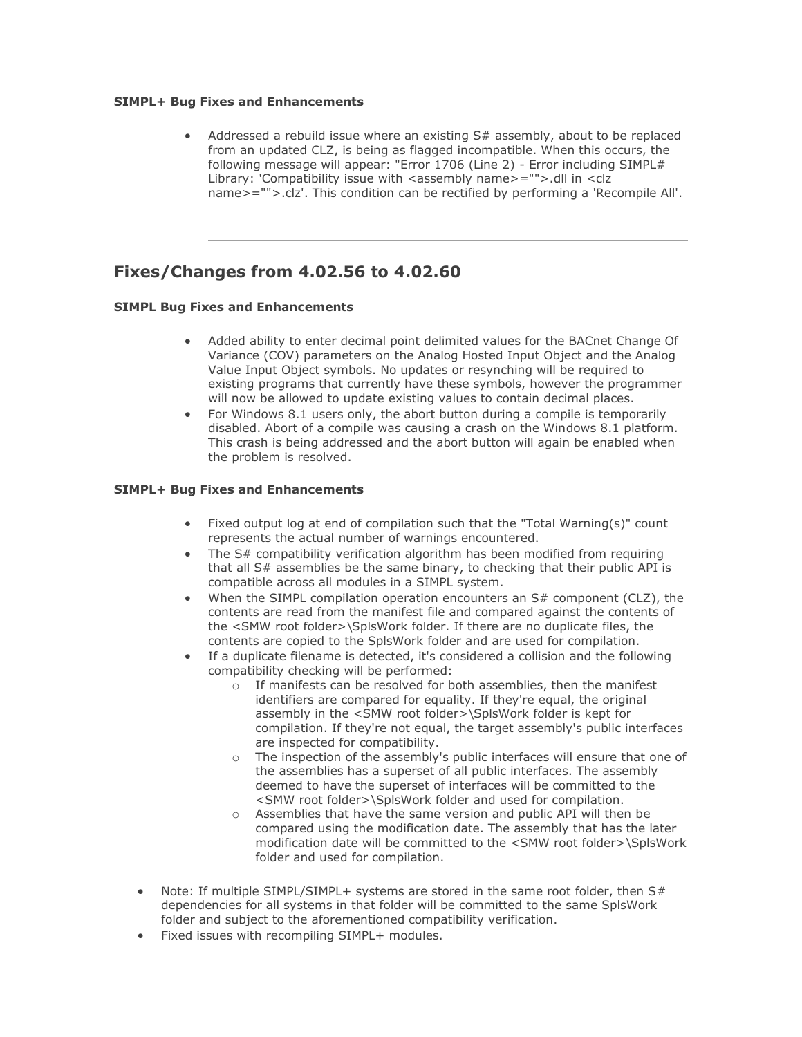#### **SIMPL+ Bug Fixes and Enhancements**

Addressed a rebuild issue where an existing  $S#$  assembly, about to be replaced from an updated CLZ, is being as flagged incompatible. When this occurs, the following message will appear: "Error 1706 (Line 2) - Error including SIMPL# Library: 'Compatibility issue with <assembly name>="">.dll in <clz name>="">.clz'. This condition can be rectified by performing a 'Recompile All'.

### **Fixes/Changes from 4.02.56 to 4.02.60**

#### **SIMPL Bug Fixes and Enhancements**

- Added ability to enter decimal point delimited values for the BACnet Change Of Variance (COV) parameters on the Analog Hosted Input Object and the Analog Value Input Object symbols. No updates or resynching will be required to existing programs that currently have these symbols, however the programmer will now be allowed to update existing values to contain decimal places.
- For Windows 8.1 users only, the abort button during a compile is temporarily disabled. Abort of a compile was causing a crash on the Windows 8.1 platform. This crash is being addressed and the abort button will again be enabled when the problem is resolved.

- Fixed output log at end of compilation such that the "Total Warning(s)" count represents the actual number of warnings encountered.
- The S# compatibility verification algorithm has been modified from requiring that all S# assemblies be the same binary, to checking that their public API is compatible across all modules in a SIMPL system.
- When the SIMPL compilation operation encounters an S# component (CLZ), the contents are read from the manifest file and compared against the contents of the <SMW root folder>\SplsWork folder. If there are no duplicate files, the contents are copied to the SplsWork folder and are used for compilation.
- If a duplicate filename is detected, it's considered a collision and the following compatibility checking will be performed:
	- o If manifests can be resolved for both assemblies, then the manifest identifiers are compared for equality. If they're equal, the original assembly in the <SMW root folder>\SplsWork folder is kept for compilation. If they're not equal, the target assembly's public interfaces are inspected for compatibility.
	- o The inspection of the assembly's public interfaces will ensure that one of the assemblies has a superset of all public interfaces. The assembly deemed to have the superset of interfaces will be committed to the <SMW root folder>\SplsWork folder and used for compilation.
	- o Assemblies that have the same version and public API will then be compared using the modification date. The assembly that has the later modification date will be committed to the <SMW root folder>\SplsWork folder and used for compilation.
- Note: If multiple SIMPL/SIMPL+ systems are stored in the same root folder, then  $S#$ dependencies for all systems in that folder will be committed to the same SplsWork folder and subject to the aforementioned compatibility verification.
- Fixed issues with recompiling SIMPL+ modules.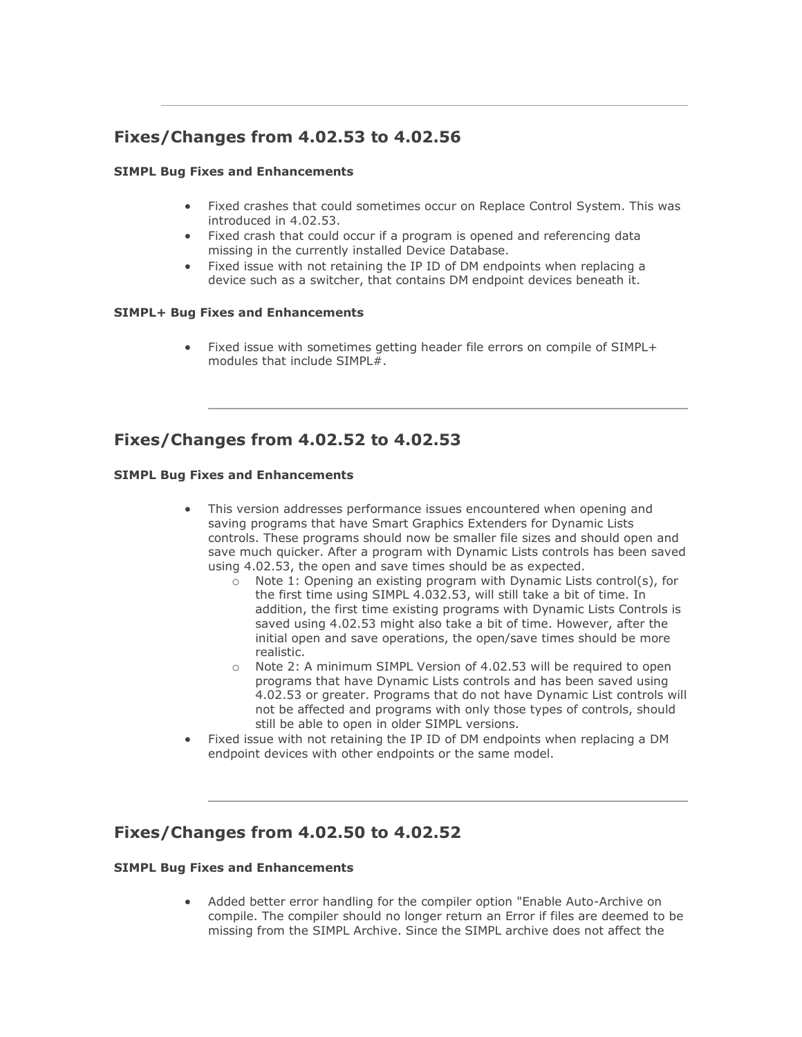# **Fixes/Changes from 4.02.53 to 4.02.56**

#### **SIMPL Bug Fixes and Enhancements**

- Fixed crashes that could sometimes occur on Replace Control System. This was introduced in 4.02.53.
- Fixed crash that could occur if a program is opened and referencing data missing in the currently installed Device Database.
- Fixed issue with not retaining the IP ID of DM endpoints when replacing a device such as a switcher, that contains DM endpoint devices beneath it.

#### **SIMPL+ Bug Fixes and Enhancements**

• Fixed issue with sometimes getting header file errors on compile of SIMPL+ modules that include SIMPL#.

### **Fixes/Changes from 4.02.52 to 4.02.53**

#### **SIMPL Bug Fixes and Enhancements**

- This version addresses performance issues encountered when opening and saving programs that have Smart Graphics Extenders for Dynamic Lists controls. These programs should now be smaller file sizes and should open and save much quicker. After a program with Dynamic Lists controls has been saved using 4.02.53, the open and save times should be as expected.
	- $\circ$  Note 1: Opening an existing program with Dynamic Lists control(s), for the first time using SIMPL 4.032.53, will still take a bit of time. In addition, the first time existing programs with Dynamic Lists Controls is saved using 4.02.53 might also take a bit of time. However, after the initial open and save operations, the open/save times should be more realistic.
	- o Note 2: A minimum SIMPL Version of 4.02.53 will be required to open programs that have Dynamic Lists controls and has been saved using 4.02.53 or greater. Programs that do not have Dynamic List controls will not be affected and programs with only those types of controls, should still be able to open in older SIMPL versions.
- Fixed issue with not retaining the IP ID of DM endpoints when replacing a DM endpoint devices with other endpoints or the same model.

### **Fixes/Changes from 4.02.50 to 4.02.52**

#### **SIMPL Bug Fixes and Enhancements**

• Added better error handling for the compiler option "Enable Auto-Archive on compile. The compiler should no longer return an Error if files are deemed to be missing from the SIMPL Archive. Since the SIMPL archive does not affect the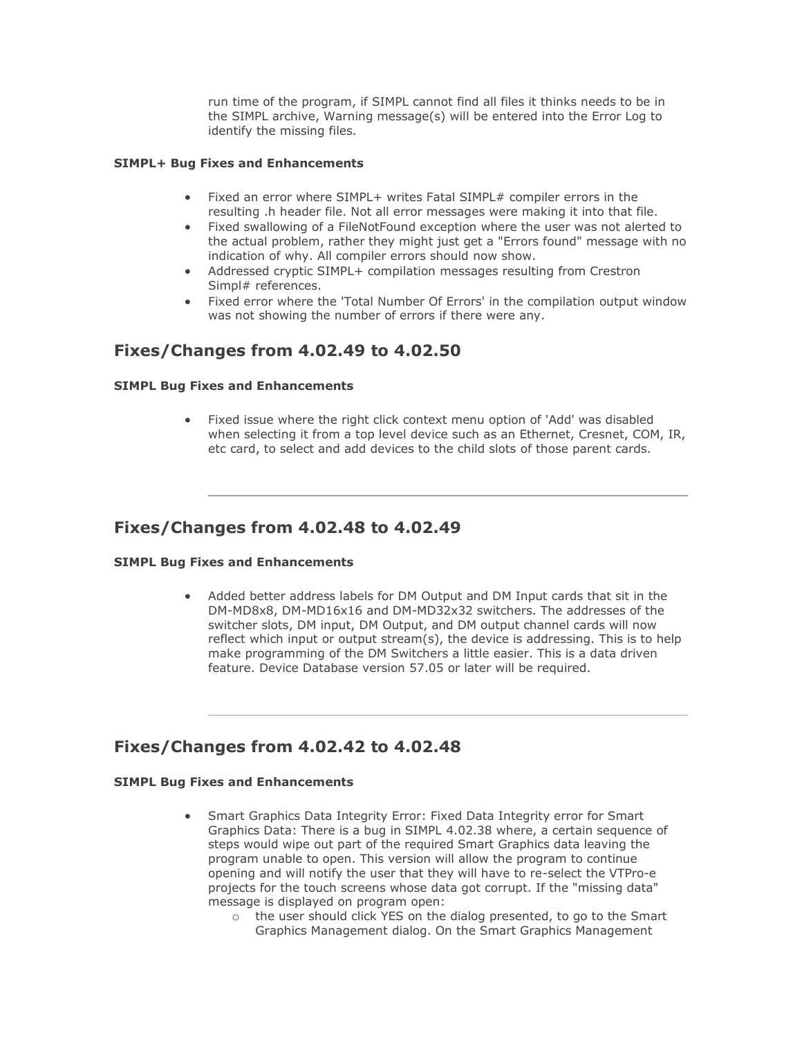run time of the program, if SIMPL cannot find all files it thinks needs to be in the SIMPL archive, Warning message(s) will be entered into the Error Log to identify the missing files.

#### **SIMPL+ Bug Fixes and Enhancements**

- Fixed an error where SIMPL+ writes Fatal SIMPL# compiler errors in the resulting .h header file. Not all error messages were making it into that file.
- Fixed swallowing of a FileNotFound exception where the user was not alerted to the actual problem, rather they might just get a "Errors found" message with no indication of why. All compiler errors should now show.
- Addressed cryptic SIMPL+ compilation messages resulting from Crestron Simpl# references.
- Fixed error where the 'Total Number Of Errors' in the compilation output window was not showing the number of errors if there were any.

### **Fixes/Changes from 4.02.49 to 4.02.50**

#### **SIMPL Bug Fixes and Enhancements**

• Fixed issue where the right click context menu option of 'Add' was disabled when selecting it from a top level device such as an Ethernet, Cresnet, COM, IR, etc card, to select and add devices to the child slots of those parent cards.

### **Fixes/Changes from 4.02.48 to 4.02.49**

#### **SIMPL Bug Fixes and Enhancements**

• Added better address labels for DM Output and DM Input cards that sit in the DM-MD8x8, DM-MD16x16 and DM-MD32x32 switchers. The addresses of the switcher slots, DM input, DM Output, and DM output channel cards will now reflect which input or output stream(s), the device is addressing. This is to help make programming of the DM Switchers a little easier. This is a data driven feature. Device Database version 57.05 or later will be required.

### **Fixes/Changes from 4.02.42 to 4.02.48**

- Smart Graphics Data Integrity Error: Fixed Data Integrity error for Smart Graphics Data: There is a bug in SIMPL 4.02.38 where, a certain sequence of steps would wipe out part of the required Smart Graphics data leaving the program unable to open. This version will allow the program to continue opening and will notify the user that they will have to re-select the VTPro-e projects for the touch screens whose data got corrupt. If the "missing data" message is displayed on program open:
	- $\circ$  the user should click YES on the dialog presented, to go to the Smart Graphics Management dialog. On the Smart Graphics Management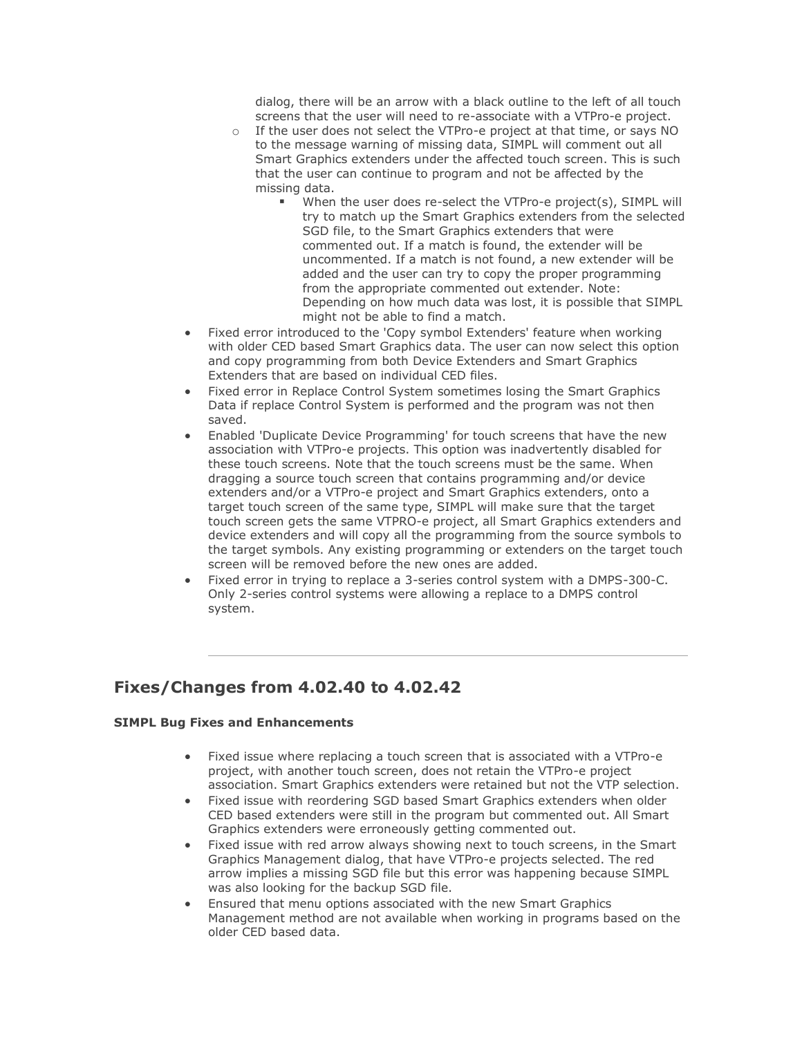dialog, there will be an arrow with a black outline to the left of all touch screens that the user will need to re-associate with a VTPro-e project.

- o If the user does not select the VTPro-e project at that time, or says NO to the message warning of missing data, SIMPL will comment out all Smart Graphics extenders under the affected touch screen. This is such that the user can continue to program and not be affected by the missing data.
	- When the user does re-select the VTPro-e project(s), SIMPL will try to match up the Smart Graphics extenders from the selected SGD file, to the Smart Graphics extenders that were commented out. If a match is found, the extender will be uncommented. If a match is not found, a new extender will be added and the user can try to copy the proper programming from the appropriate commented out extender. Note: Depending on how much data was lost, it is possible that SIMPL might not be able to find a match.
- Fixed error introduced to the 'Copy symbol Extenders' feature when working with older CED based Smart Graphics data. The user can now select this option and copy programming from both Device Extenders and Smart Graphics Extenders that are based on individual CED files.
- Fixed error in Replace Control System sometimes losing the Smart Graphics Data if replace Control System is performed and the program was not then saved.
- Enabled 'Duplicate Device Programming' for touch screens that have the new association with VTPro-e projects. This option was inadvertently disabled for these touch screens. Note that the touch screens must be the same. When dragging a source touch screen that contains programming and/or device extenders and/or a VTPro-e project and Smart Graphics extenders, onto a target touch screen of the same type, SIMPL will make sure that the target touch screen gets the same VTPRO-e project, all Smart Graphics extenders and device extenders and will copy all the programming from the source symbols to the target symbols. Any existing programming or extenders on the target touch screen will be removed before the new ones are added.
- Fixed error in trying to replace a 3-series control system with a DMPS-300-C. Only 2-series control systems were allowing a replace to a DMPS control system.

### **Fixes/Changes from 4.02.40 to 4.02.42**

- Fixed issue where replacing a touch screen that is associated with a VTPro-e project, with another touch screen, does not retain the VTPro-e project association. Smart Graphics extenders were retained but not the VTP selection.
- Fixed issue with reordering SGD based Smart Graphics extenders when older CED based extenders were still in the program but commented out. All Smart Graphics extenders were erroneously getting commented out.
- Fixed issue with red arrow always showing next to touch screens, in the Smart Graphics Management dialog, that have VTPro-e projects selected. The red arrow implies a missing SGD file but this error was happening because SIMPL was also looking for the backup SGD file.
- Ensured that menu options associated with the new Smart Graphics Management method are not available when working in programs based on the older CED based data.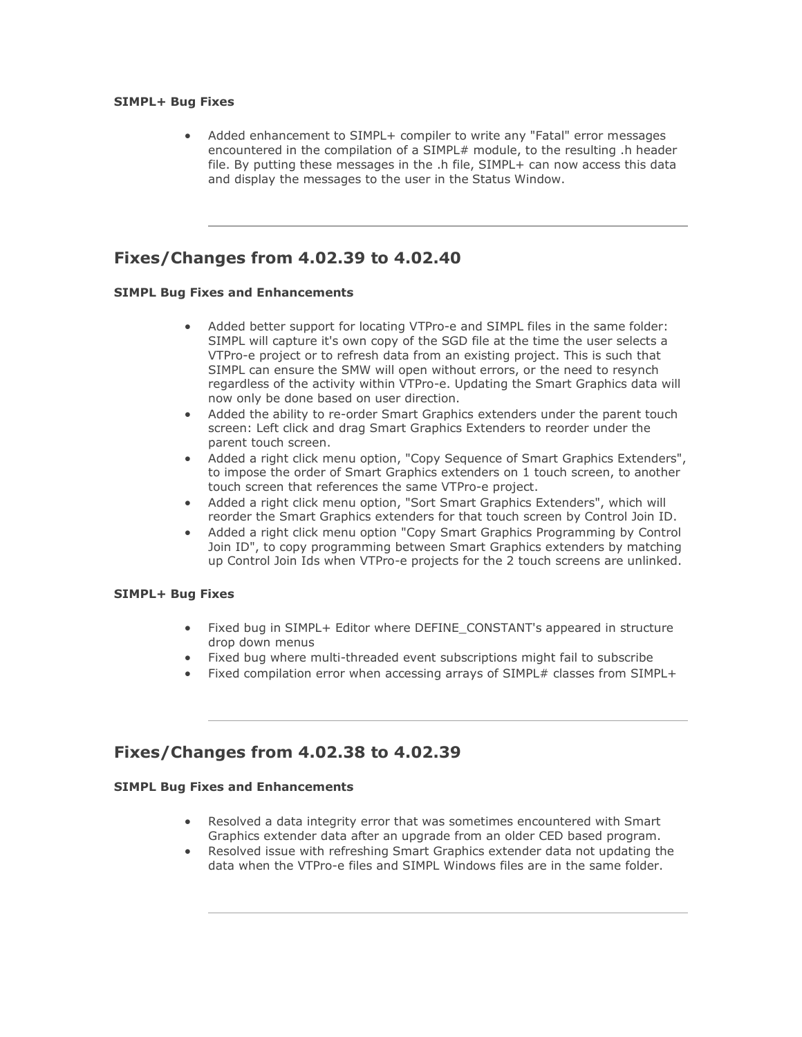#### **SIMPL+ Bug Fixes**

• Added enhancement to SIMPL+ compiler to write any "Fatal" error messages encountered in the compilation of a SIMPL# module, to the resulting .h header file. By putting these messages in the .h file, SIMPL+ can now access this data and display the messages to the user in the Status Window.

### **Fixes/Changes from 4.02.39 to 4.02.40**

#### **SIMPL Bug Fixes and Enhancements**

- Added better support for locating VTPro-e and SIMPL files in the same folder: SIMPL will capture it's own copy of the SGD file at the time the user selects a VTPro-e project or to refresh data from an existing project. This is such that SIMPL can ensure the SMW will open without errors, or the need to resynch regardless of the activity within VTPro-e. Updating the Smart Graphics data will now only be done based on user direction.
- Added the ability to re-order Smart Graphics extenders under the parent touch screen: Left click and drag Smart Graphics Extenders to reorder under the parent touch screen.
- Added a right click menu option, "Copy Sequence of Smart Graphics Extenders", to impose the order of Smart Graphics extenders on 1 touch screen, to another touch screen that references the same VTPro-e project.
- Added a right click menu option, "Sort Smart Graphics Extenders", which will reorder the Smart Graphics extenders for that touch screen by Control Join ID.
- Added a right click menu option "Copy Smart Graphics Programming by Control Join ID", to copy programming between Smart Graphics extenders by matching up Control Join Ids when VTPro-e projects for the 2 touch screens are unlinked.

#### **SIMPL+ Bug Fixes**

- Fixed bug in SIMPL+ Editor where DEFINE CONSTANT's appeared in structure drop down menus
- Fixed bug where multi-threaded event subscriptions might fail to subscribe
- Fixed compilation error when accessing arrays of SIMPL# classes from SIMPL+

### **Fixes/Changes from 4.02.38 to 4.02.39**

- Resolved a data integrity error that was sometimes encountered with Smart Graphics extender data after an upgrade from an older CED based program.
- Resolved issue with refreshing Smart Graphics extender data not updating the data when the VTPro-e files and SIMPL Windows files are in the same folder.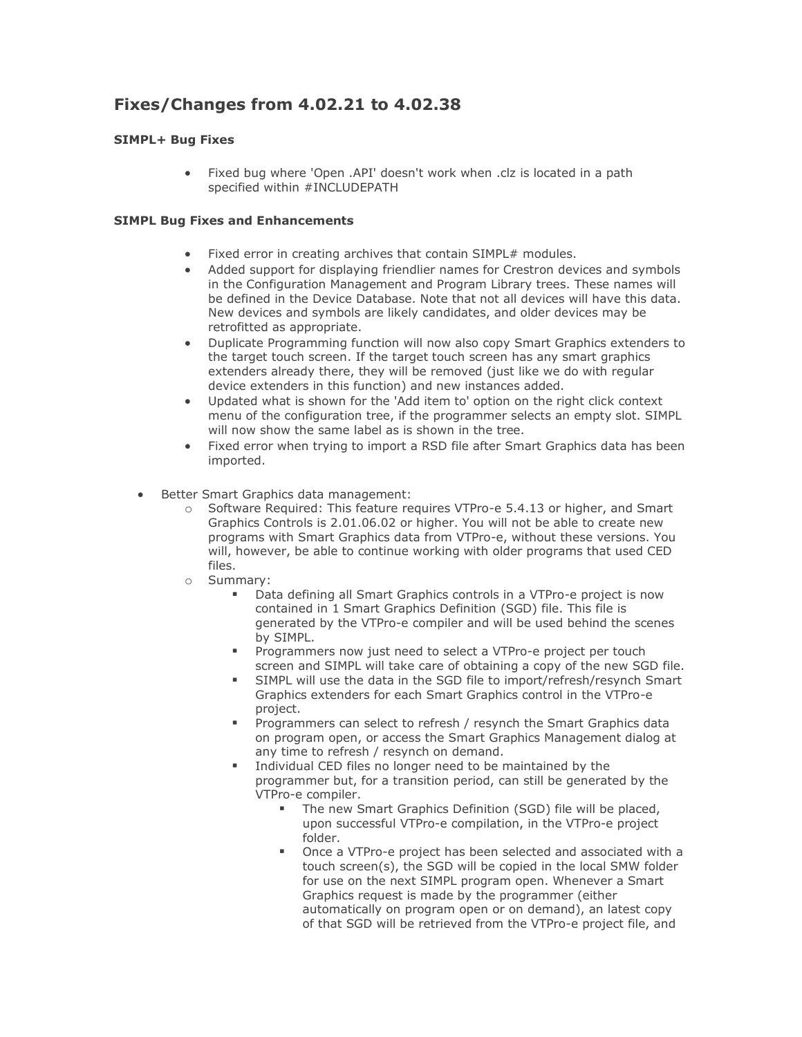# **Fixes/Changes from 4.02.21 to 4.02.38**

#### **SIMPL+ Bug Fixes**

• Fixed bug where 'Open .API' doesn't work when .clz is located in a path specified within #INCLUDEPATH

- Fixed error in creating archives that contain SIMPL# modules.
- Added support for displaying friendlier names for Crestron devices and symbols in the Configuration Management and Program Library trees. These names will be defined in the Device Database. Note that not all devices will have this data. New devices and symbols are likely candidates, and older devices may be retrofitted as appropriate.
- Duplicate Programming function will now also copy Smart Graphics extenders to the target touch screen. If the target touch screen has any smart graphics extenders already there, they will be removed (just like we do with regular device extenders in this function) and new instances added.
- Updated what is shown for the 'Add item to' option on the right click context menu of the configuration tree, if the programmer selects an empty slot. SIMPL will now show the same label as is shown in the tree.
- Fixed error when trying to import a RSD file after Smart Graphics data has been imported.
- Better Smart Graphics data management:
	- o Software Required: This feature requires VTPro-e 5.4.13 or higher, and Smart Graphics Controls is 2.01.06.02 or higher. You will not be able to create new programs with Smart Graphics data from VTPro-e, without these versions. You will, however, be able to continue working with older programs that used CED files.
	- o Summary:
		- Data defining all Smart Graphics controls in a VTPro-e project is now contained in 1 Smart Graphics Definition (SGD) file. This file is generated by the VTPro-e compiler and will be used behind the scenes by SIMPL.
		- **•** Programmers now just need to select a VTPro-e project per touch screen and SIMPL will take care of obtaining a copy of the new SGD file.
		- SIMPL will use the data in the SGD file to import/refresh/resynch Smart Graphics extenders for each Smart Graphics control in the VTPro-e project.
		- Programmers can select to refresh / resynch the Smart Graphics data on program open, or access the Smart Graphics Management dialog at any time to refresh / resynch on demand.
		- Individual CED files no longer need to be maintained by the programmer but, for a transition period, can still be generated by the VTPro-e compiler.
			- The new Smart Graphics Definition (SGD) file will be placed, upon successful VTPro-e compilation, in the VTPro-e project folder.
			- Once a VTPro-e project has been selected and associated with a touch screen(s), the SGD will be copied in the local SMW folder for use on the next SIMPL program open. Whenever a Smart Graphics request is made by the programmer (either automatically on program open or on demand), an latest copy of that SGD will be retrieved from the VTPro-e project file, and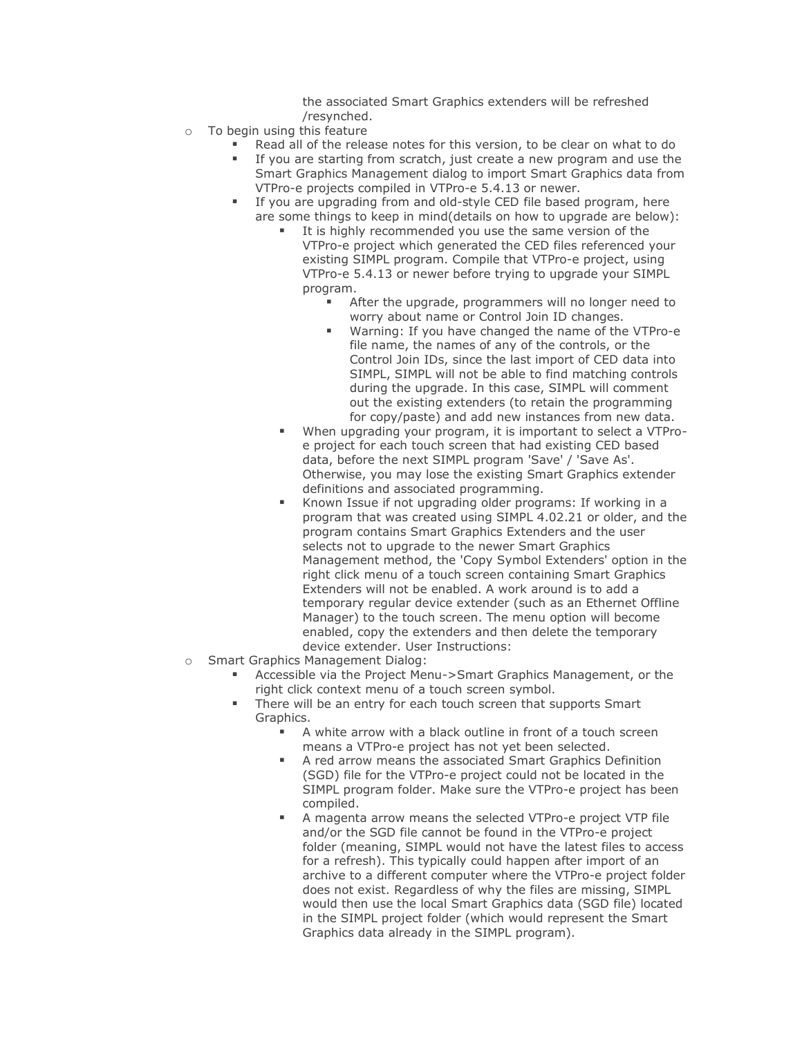the associated Smart Graphics extenders will be refreshed /resynched.

- o To begin using this feature
	- Read all of the release notes for this version, to be clear on what to do
	- If you are starting from scratch, just create a new program and use the Smart Graphics Management dialog to import Smart Graphics data from VTPro-e projects compiled in VTPro-e 5.4.13 or newer.
	- If you are upgrading from and old-style CED file based program, here are some things to keep in mind(details on how to upgrade are below):
		- It is highly recommended you use the same version of the VTPro-e project which generated the CED files referenced your existing SIMPL program. Compile that VTPro-e project, using VTPro-e 5.4.13 or newer before trying to upgrade your SIMPL program.
			- After the upgrade, programmers will no longer need to worry about name or Control Join ID changes.
			- Warning: If you have changed the name of the VTPro-e file name, the names of any of the controls, or the Control Join IDs, since the last import of CED data into SIMPL, SIMPL will not be able to find matching controls during the upgrade. In this case, SIMPL will comment out the existing extenders (to retain the programming for copy/paste) and add new instances from new data.
		- When upgrading your program, it is important to select a VTProe project for each touch screen that had existing CED based data, before the next SIMPL program 'Save' / 'Save As'. Otherwise, you may lose the existing Smart Graphics extender definitions and associated programming.
		- Known Issue if not upgrading older programs: If working in a program that was created using SIMPL 4.02.21 or older, and the program contains Smart Graphics Extenders and the user selects not to upgrade to the newer Smart Graphics Management method, the 'Copy Symbol Extenders' option in the right click menu of a touch screen containing Smart Graphics Extenders will not be enabled. A work around is to add a temporary regular device extender (such as an Ethernet Offline Manager) to the touch screen. The menu option will become enabled, copy the extenders and then delete the temporary device extender. User Instructions:
- o Smart Graphics Management Dialog:
	- Accessible via the Project Menu->Smart Graphics Management, or the right click context menu of a touch screen symbol.
	- There will be an entry for each touch screen that supports Smart Graphics.
		- A white arrow with a black outline in front of a touch screen means a VTPro-e project has not yet been selected.
		- A red arrow means the associated Smart Graphics Definition (SGD) file for the VTPro-e project could not be located in the SIMPL program folder. Make sure the VTPro-e project has been compiled.
		- A magenta arrow means the selected VTPro-e project VTP file and/or the SGD file cannot be found in the VTPro-e project folder (meaning, SIMPL would not have the latest files to access for a refresh). This typically could happen after import of an archive to a different computer where the VTPro-e project folder does not exist. Regardless of why the files are missing, SIMPL would then use the local Smart Graphics data (SGD file) located in the SIMPL project folder (which would represent the Smart Graphics data already in the SIMPL program).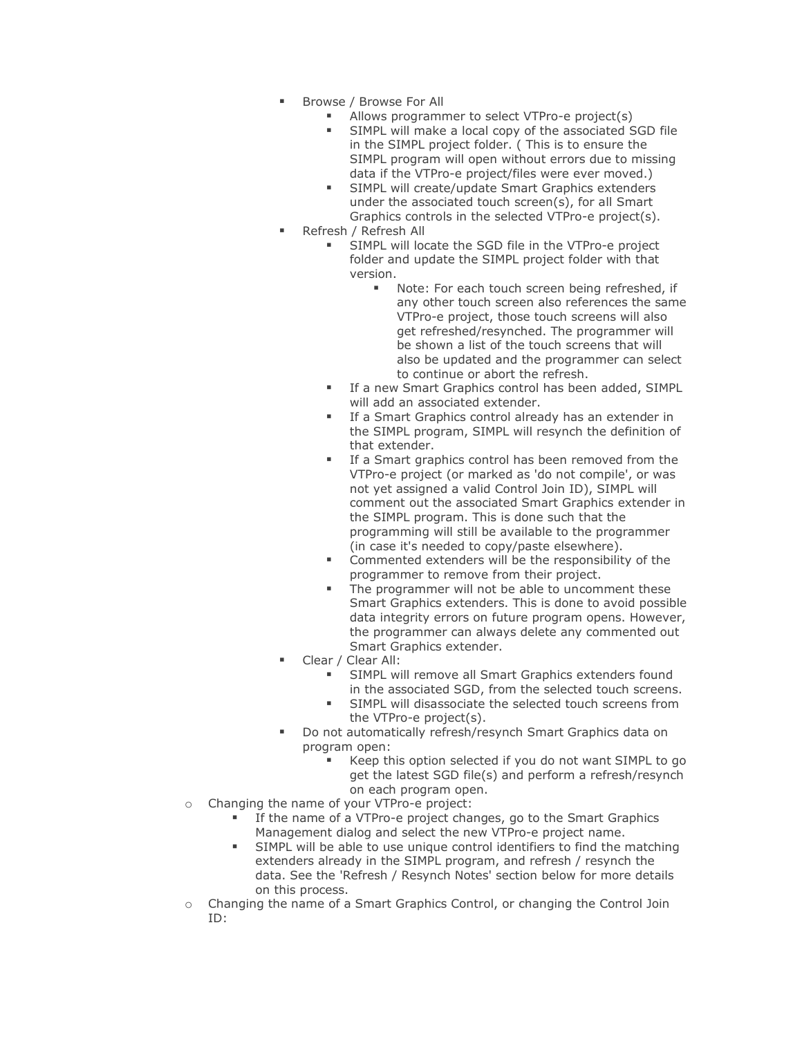- Browse / Browse For All
	- Allows programmer to select VTPro-e project(s)
	- SIMPL will make a local copy of the associated SGD file in the SIMPL project folder. ( This is to ensure the SIMPL program will open without errors due to missing data if the VTPro-e project/files were ever moved.)
	- **EXECUTE:** SIMPL will create/update Smart Graphics extenders under the associated touch screen(s), for all Smart Graphics controls in the selected VTPro-e project(s).
- Refresh / Refresh All
	- SIMPL will locate the SGD file in the VTPro-e project folder and update the SIMPL project folder with that version.
		- Note: For each touch screen being refreshed, if any other touch screen also references the same VTPro-e project, those touch screens will also get refreshed/resynched. The programmer will be shown a list of the touch screens that will also be updated and the programmer can select to continue or abort the refresh.
	- **EXECT:** If a new Smart Graphics control has been added, SIMPL will add an associated extender.
	- **EXECT:** If a Smart Graphics control already has an extender in the SIMPL program, SIMPL will resynch the definition of that extender.
	- If a Smart graphics control has been removed from the VTPro-e project (or marked as 'do not compile', or was not yet assigned a valid Control Join ID), SIMPL will comment out the associated Smart Graphics extender in the SIMPL program. This is done such that the programming will still be available to the programmer (in case it's needed to copy/paste elsewhere).
	- Commented extenders will be the responsibility of the programmer to remove from their project.
	- The programmer will not be able to uncomment these Smart Graphics extenders. This is done to avoid possible data integrity errors on future program opens. However, the programmer can always delete any commented out Smart Graphics extender.
- Clear / Clear All:
	- SIMPL will remove all Smart Graphics extenders found in the associated SGD, from the selected touch screens.
	- **EXECTE SIMPL will disassociate the selected touch screens from** the VTPro-e project(s).
	- Do not automatically refresh/resynch Smart Graphics data on program open:
		- Keep this option selected if you do not want SIMPL to go get the latest SGD file(s) and perform a refresh/resynch on each program open.
- o Changing the name of your VTPro-e project:
	- **.** If the name of a VTPro-e project changes, go to the Smart Graphics Management dialog and select the new VTPro-e project name.
	- SIMPL will be able to use unique control identifiers to find the matching extenders already in the SIMPL program, and refresh / resynch the data. See the 'Refresh / Resynch Notes' section below for more details on this process.
- o Changing the name of a Smart Graphics Control, or changing the Control Join ID: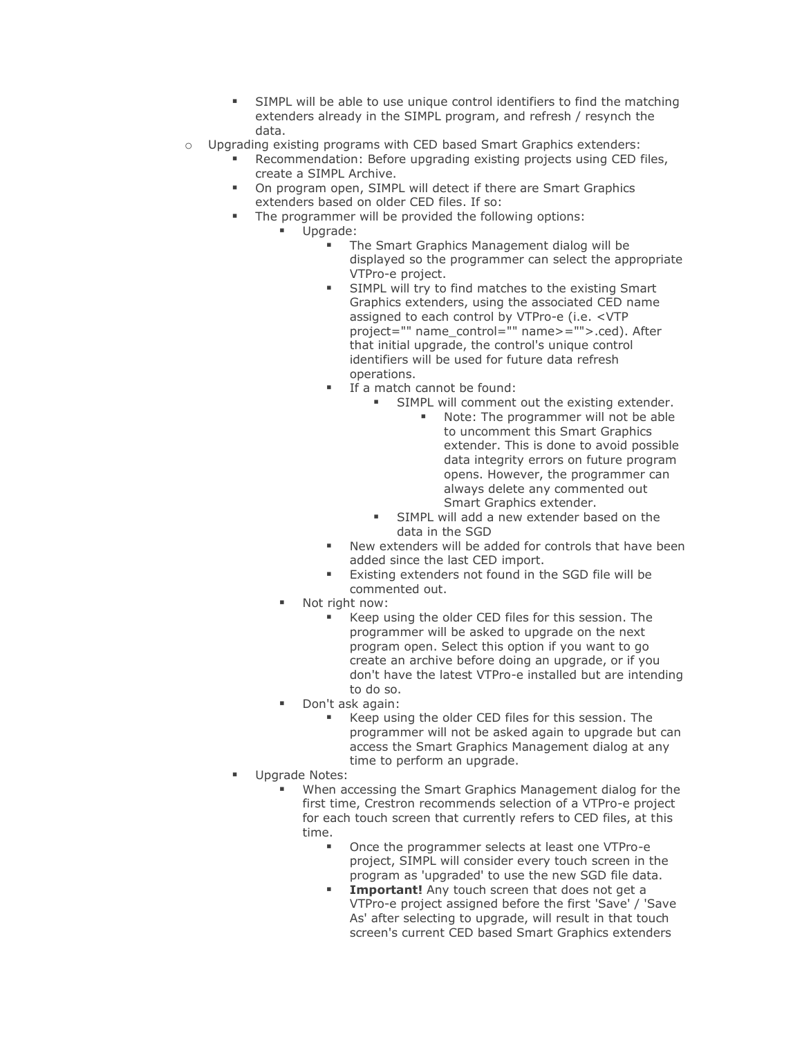- **EXECT** SIMPL will be able to use unique control identifiers to find the matching extenders already in the SIMPL program, and refresh / resynch the data.
- o Upgrading existing programs with CED based Smart Graphics extenders:
	- Recommendation: Before upgrading existing projects using CED files, create a SIMPL Archive.
	- On program open, SIMPL will detect if there are Smart Graphics extenders based on older CED files. If so:
		- The programmer will be provided the following options:
			- Upgrade:
				- The Smart Graphics Management dialog will be displayed so the programmer can select the appropriate VTPro-e project.
				- SIMPL will try to find matches to the existing Smart Graphics extenders, using the associated CED name assigned to each control by VTPro-e (i.e. <VTP project="" name\_control="" name>="">.ced). After that initial upgrade, the control's unique control identifiers will be used for future data refresh operations.
				- If a match cannot be found:
					- SIMPL will comment out the existing extender.
						- Note: The programmer will not be able to uncomment this Smart Graphics extender. This is done to avoid possible data integrity errors on future program opens. However, the programmer can always delete any commented out Smart Graphics extender.
					- SIMPL will add a new extender based on the data in the SGD
				- New extenders will be added for controls that have been added since the last CED import.
				- Existing extenders not found in the SGD file will be commented out.
				- Not right now:
					- Keep using the older CED files for this session. The programmer will be asked to upgrade on the next program open. Select this option if you want to go create an archive before doing an upgrade, or if you don't have the latest VTPro-e installed but are intending to do so.
				- Don't ask again:
					- Keep using the older CED files for this session. The programmer will not be asked again to upgrade but can access the Smart Graphics Management dialog at any time to perform an upgrade.
		- Upgrade Notes:
			- When accessing the Smart Graphics Management dialog for the first time, Crestron recommends selection of a VTPro-e project for each touch screen that currently refers to CED files, at this time.
				- Once the programmer selects at least one VTPro-e project, SIMPL will consider every touch screen in the program as 'upgraded' to use the new SGD file data.
				- **Important!** Any touch screen that does not get a VTPro-e project assigned before the first 'Save' / 'Save As' after selecting to upgrade, will result in that touch screen's current CED based Smart Graphics extenders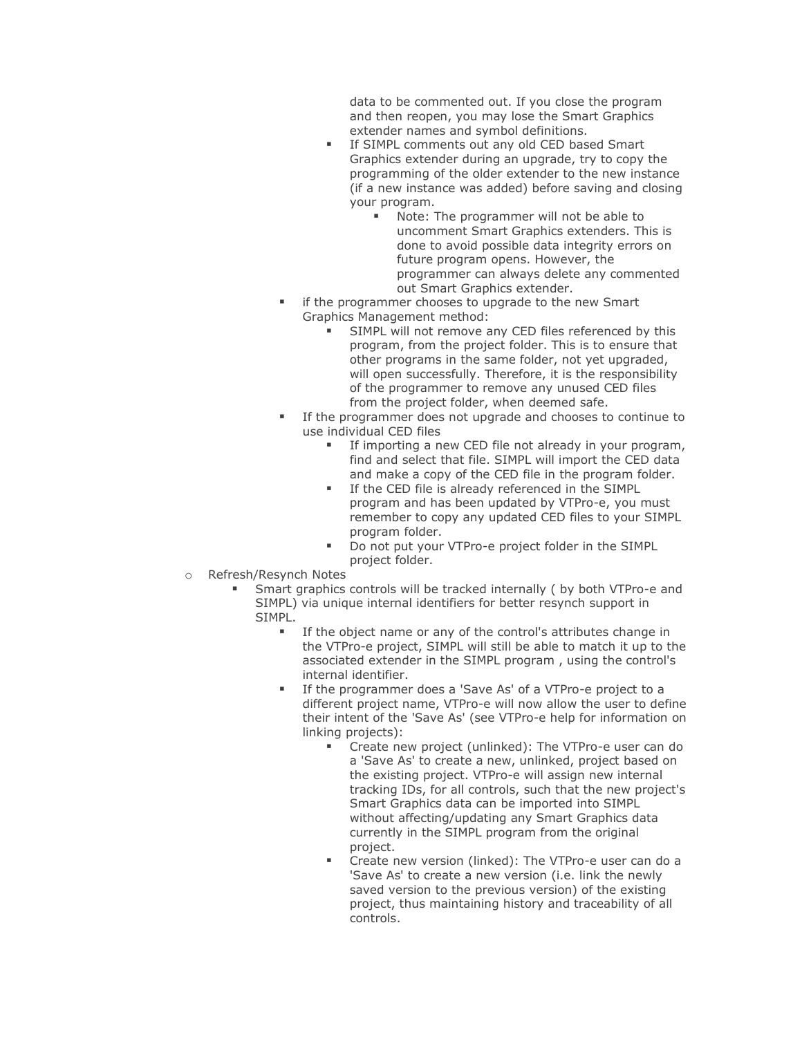data to be commented out. If you close the program and then reopen, you may lose the Smart Graphics extender names and symbol definitions.

- **EXECT:** If SIMPL comments out any old CED based Smart Graphics extender during an upgrade, try to copy the programming of the older extender to the new instance (if a new instance was added) before saving and closing your program.
	- Note: The programmer will not be able to uncomment Smart Graphics extenders. This is done to avoid possible data integrity errors on future program opens. However, the programmer can always delete any commented out Smart Graphics extender.
- if the programmer chooses to upgrade to the new Smart Graphics Management method:
	- SIMPL will not remove any CED files referenced by this program, from the project folder. This is to ensure that other programs in the same folder, not yet upgraded, will open successfully. Therefore, it is the responsibility of the programmer to remove any unused CED files from the project folder, when deemed safe.
- If the programmer does not upgrade and chooses to continue to use individual CED files
	- **EXED 15 If importing a new CED file not already in your program,** find and select that file. SIMPL will import the CED data and make a copy of the CED file in the program folder.
	- **EXECT** If the CED file is already referenced in the SIMPL program and has been updated by VTPro-e, you must remember to copy any updated CED files to your SIMPL program folder.
	- Do not put your VTPro-e project folder in the SIMPL project folder.
- o Refresh/Resynch Notes
	- Smart graphics controls will be tracked internally ( by both VTPro-e and SIMPL) via unique internal identifiers for better resynch support in SIMPL.
		- If the object name or any of the control's attributes change in the VTPro-e project, SIMPL will still be able to match it up to the associated extender in the SIMPL program , using the control's internal identifier.
		- If the programmer does a 'Save As' of a VTPro-e project to a different project name, VTPro-e will now allow the user to define their intent of the 'Save As' (see VTPro-e help for information on linking projects):
			- Create new project (unlinked): The VTPro-e user can do a 'Save As' to create a new, unlinked, project based on the existing project. VTPro-e will assign new internal tracking IDs, for all controls, such that the new project's Smart Graphics data can be imported into SIMPL without affecting/updating any Smart Graphics data currently in the SIMPL program from the original project.
			- Create new version (linked): The VTPro-e user can do a 'Save As' to create a new version (i.e. link the newly saved version to the previous version) of the existing project, thus maintaining history and traceability of all controls.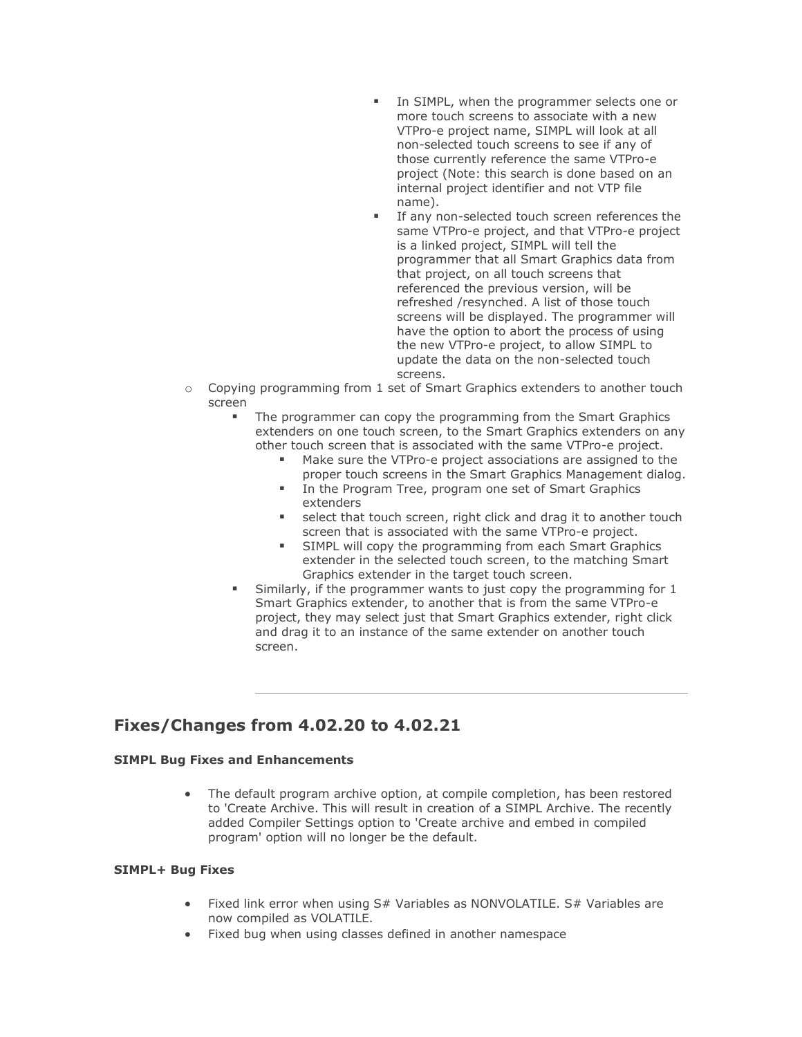- In SIMPL, when the programmer selects one or more touch screens to associate with a new VTPro-e project name, SIMPL will look at all non-selected touch screens to see if any of those currently reference the same VTPro-e project (Note: this search is done based on an internal project identifier and not VTP file name).
- **EXECT** If any non-selected touch screen references the same VTPro-e project, and that VTPro-e project is a linked project, SIMPL will tell the programmer that all Smart Graphics data from that project, on all touch screens that referenced the previous version, will be refreshed /resynched. A list of those touch screens will be displayed. The programmer will have the option to abort the process of using the new VTPro-e project, to allow SIMPL to update the data on the non-selected touch screens.
- o Copying programming from 1 set of Smart Graphics extenders to another touch screen
	- The programmer can copy the programming from the Smart Graphics extenders on one touch screen, to the Smart Graphics extenders on any other touch screen that is associated with the same VTPro-e project.
		- Make sure the VTPro-e project associations are assigned to the proper touch screens in the Smart Graphics Management dialog.
		- In the Program Tree, program one set of Smart Graphics extenders
		- select that touch screen, right click and drag it to another touch screen that is associated with the same VTPro-e project.
		- **EXECT:** SIMPL will copy the programming from each Smart Graphics extender in the selected touch screen, to the matching Smart Graphics extender in the target touch screen.
	- Similarly, if the programmer wants to just copy the programming for 1 Smart Graphics extender, to another that is from the same VTPro-e project, they may select just that Smart Graphics extender, right click and drag it to an instance of the same extender on another touch screen.

### **Fixes/Changes from 4.02.20 to 4.02.21**

#### **SIMPL Bug Fixes and Enhancements**

• The default program archive option, at compile completion, has been restored to 'Create Archive. This will result in creation of a SIMPL Archive. The recently added Compiler Settings option to 'Create archive and embed in compiled program' option will no longer be the default.

- Fixed link error when using S# Variables as NONVOLATILE. S# Variables are now compiled as VOLATILE.
- Fixed bug when using classes defined in another namespace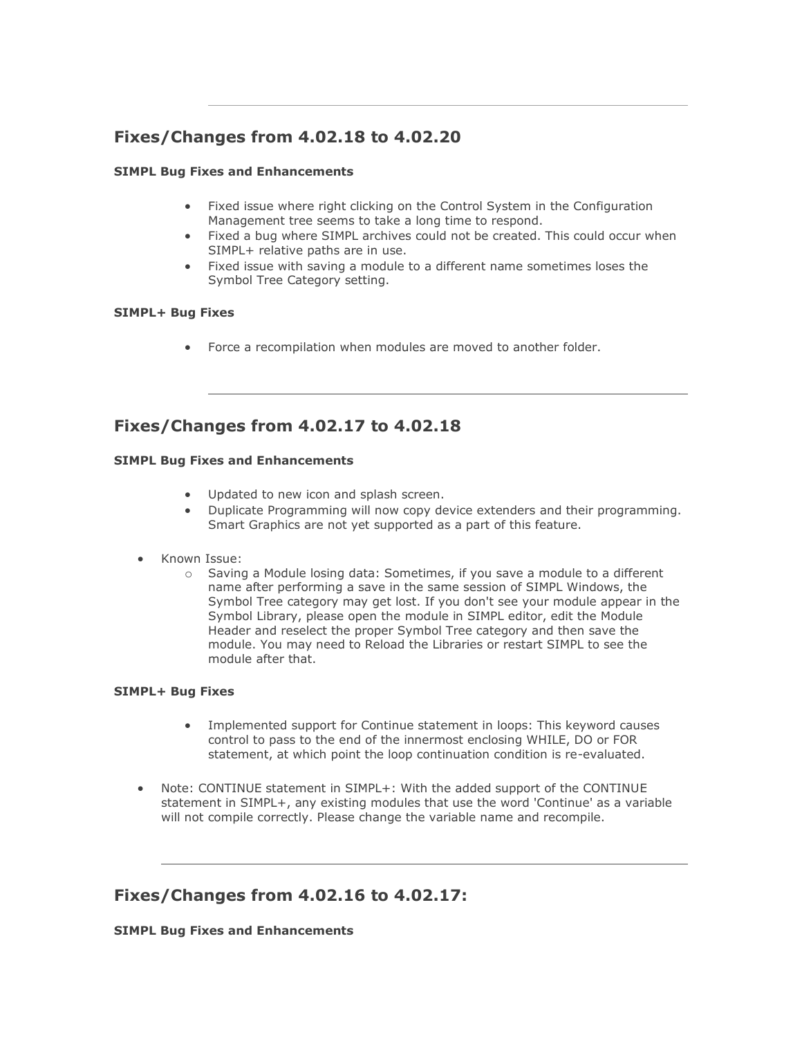# **Fixes/Changes from 4.02.18 to 4.02.20**

#### **SIMPL Bug Fixes and Enhancements**

- Fixed issue where right clicking on the Control System in the Configuration Management tree seems to take a long time to respond.
- Fixed a bug where SIMPL archives could not be created. This could occur when SIMPL+ relative paths are in use.
- Fixed issue with saving a module to a different name sometimes loses the Symbol Tree Category setting.

#### **SIMPL+ Bug Fixes**

• Force a recompilation when modules are moved to another folder.

### **Fixes/Changes from 4.02.17 to 4.02.18**

#### **SIMPL Bug Fixes and Enhancements**

- Updated to new icon and splash screen.
- Duplicate Programming will now copy device extenders and their programming. Smart Graphics are not yet supported as a part of this feature.
- Known Issue:
	- o Saving a Module losing data: Sometimes, if you save a module to a different name after performing a save in the same session of SIMPL Windows, the Symbol Tree category may get lost. If you don't see your module appear in the Symbol Library, please open the module in SIMPL editor, edit the Module Header and reselect the proper Symbol Tree category and then save the module. You may need to Reload the Libraries or restart SIMPL to see the module after that.

#### **SIMPL+ Bug Fixes**

- Implemented support for Continue statement in loops: This keyword causes control to pass to the end of the innermost enclosing WHILE, DO or FOR statement, at which point the loop continuation condition is re-evaluated.
- Note: CONTINUE statement in SIMPL+: With the added support of the CONTINUE statement in SIMPL+, any existing modules that use the word 'Continue' as a variable will not compile correctly. Please change the variable name and recompile.

### **Fixes/Changes from 4.02.16 to 4.02.17:**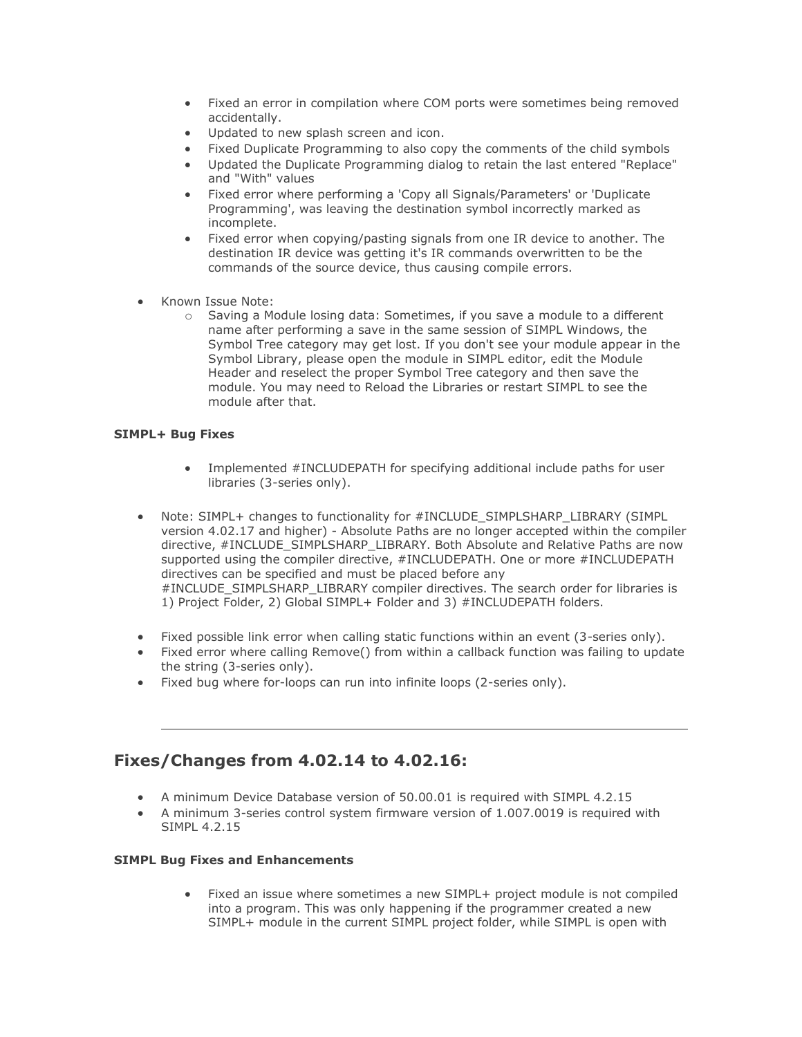- Fixed an error in compilation where COM ports were sometimes being removed accidentally.
- Updated to new splash screen and icon.
- Fixed Duplicate Programming to also copy the comments of the child symbols
- Updated the Duplicate Programming dialog to retain the last entered "Replace" and "With" values
- Fixed error where performing a 'Copy all Signals/Parameters' or 'Duplicate Programming', was leaving the destination symbol incorrectly marked as incomplete.
- Fixed error when copying/pasting signals from one IR device to another. The destination IR device was getting it's IR commands overwritten to be the commands of the source device, thus causing compile errors.
- Known Issue Note:
	- o Saving a Module losing data: Sometimes, if you save a module to a different name after performing a save in the same session of SIMPL Windows, the Symbol Tree category may get lost. If you don't see your module appear in the Symbol Library, please open the module in SIMPL editor, edit the Module Header and reselect the proper Symbol Tree category and then save the module. You may need to Reload the Libraries or restart SIMPL to see the module after that.

#### **SIMPL+ Bug Fixes**

- Implemented #INCLUDEPATH for specifying additional include paths for user libraries (3-series only).
- Note: SIMPL+ changes to functionality for #INCLUDE\_SIMPLSHARP\_LIBRARY (SIMPL version 4.02.17 and higher) - Absolute Paths are no longer accepted within the compiler directive, #INCLUDE\_SIMPLSHARP\_LIBRARY. Both Absolute and Relative Paths are now supported using the compiler directive, #INCLUDEPATH. One or more #INCLUDEPATH directives can be specified and must be placed before any #INCLUDE\_SIMPLSHARP\_LIBRARY compiler directives. The search order for libraries is 1) Project Folder, 2) Global SIMPL+ Folder and 3) #INCLUDEPATH folders.
- Fixed possible link error when calling static functions within an event (3-series only).
- Fixed error where calling Remove() from within a callback function was failing to update the string (3-series only).
- Fixed bug where for-loops can run into infinite loops (2-series only).

### **Fixes/Changes from 4.02.14 to 4.02.16:**

- A minimum Device Database version of 50.00.01 is required with SIMPL 4.2.15
- A minimum 3-series control system firmware version of 1.007.0019 is required with SIMPL 4.2.15

#### **SIMPL Bug Fixes and Enhancements**

• Fixed an issue where sometimes a new SIMPL+ project module is not compiled into a program. This was only happening if the programmer created a new SIMPL+ module in the current SIMPL project folder, while SIMPL is open with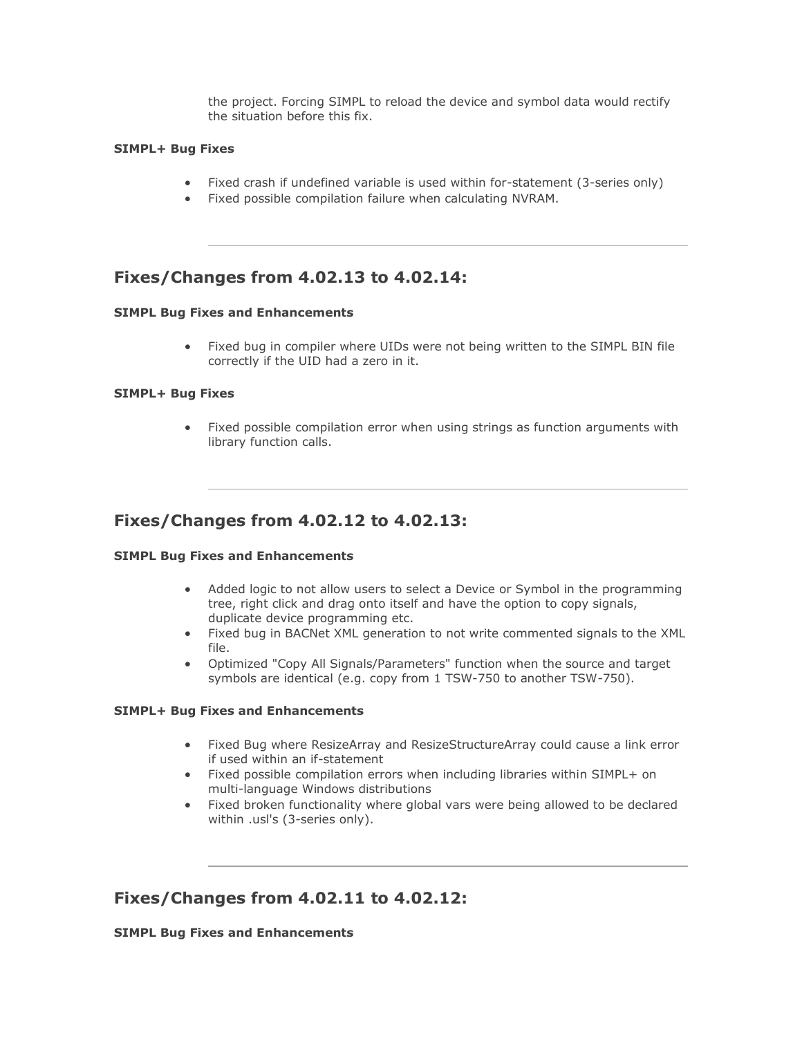the project. Forcing SIMPL to reload the device and symbol data would rectify the situation before this fix.

#### **SIMPL+ Bug Fixes**

- Fixed crash if undefined variable is used within for-statement (3-series only)
- Fixed possible compilation failure when calculating NVRAM.

### **Fixes/Changes from 4.02.13 to 4.02.14:**

#### **SIMPL Bug Fixes and Enhancements**

• Fixed bug in compiler where UIDs were not being written to the SIMPL BIN file correctly if the UID had a zero in it.

#### **SIMPL+ Bug Fixes**

• Fixed possible compilation error when using strings as function arguments with library function calls.

### **Fixes/Changes from 4.02.12 to 4.02.13:**

#### **SIMPL Bug Fixes and Enhancements**

- Added logic to not allow users to select a Device or Symbol in the programming tree, right click and drag onto itself and have the option to copy signals, duplicate device programming etc.
- Fixed bug in BACNet XML generation to not write commented signals to the XML file.
- Optimized "Copy All Signals/Parameters" function when the source and target symbols are identical (e.g. copy from 1 TSW-750 to another TSW-750).

#### **SIMPL+ Bug Fixes and Enhancements**

- Fixed Bug where ResizeArray and ResizeStructureArray could cause a link error if used within an if-statement
- Fixed possible compilation errors when including libraries within SIMPL+ on multi-language Windows distributions
- Fixed broken functionality where global vars were being allowed to be declared within .usl's (3-series only).

### **Fixes/Changes from 4.02.11 to 4.02.12:**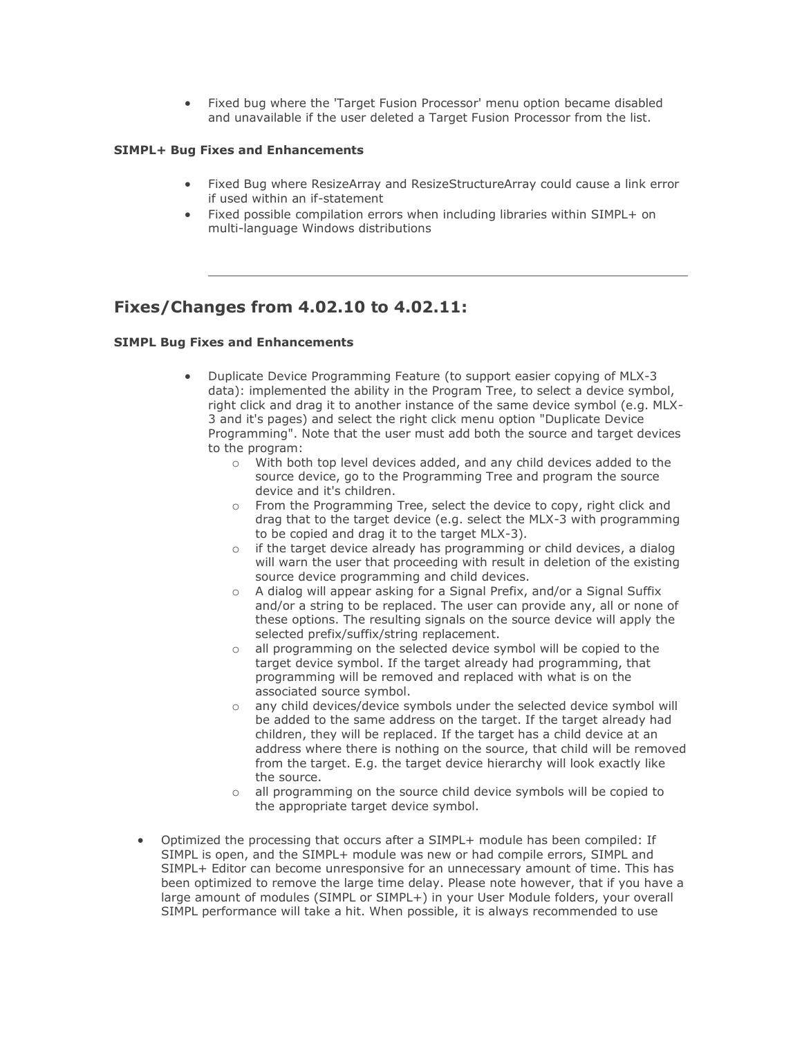• Fixed bug where the 'Target Fusion Processor' menu option became disabled and unavailable if the user deleted a Target Fusion Processor from the list.

#### **SIMPL+ Bug Fixes and Enhancements**

- Fixed Bug where ResizeArray and ResizeStructureArray could cause a link error if used within an if-statement
- Fixed possible compilation errors when including libraries within SIMPL+ on multi-language Windows distributions

### **Fixes/Changes from 4.02.10 to 4.02.11:**

- Duplicate Device Programming Feature (to support easier copying of MLX-3 data): implemented the ability in the Program Tree, to select a device symbol, right click and drag it to another instance of the same device symbol (e.g. MLX-3 and it's pages) and select the right click menu option "Duplicate Device Programming". Note that the user must add both the source and target devices to the program:
	- o With both top level devices added, and any child devices added to the source device, go to the Programming Tree and program the source device and it's children.
	- o From the Programming Tree, select the device to copy, right click and drag that to the target device (e.g. select the MLX-3 with programming to be copied and drag it to the target MLX-3).
	- o if the target device already has programming or child devices, a dialog will warn the user that proceeding with result in deletion of the existing source device programming and child devices.
	- o A dialog will appear asking for a Signal Prefix, and/or a Signal Suffix and/or a string to be replaced. The user can provide any, all or none of these options. The resulting signals on the source device will apply the selected prefix/suffix/string replacement.
	- o all programming on the selected device symbol will be copied to the target device symbol. If the target already had programming, that programming will be removed and replaced with what is on the associated source symbol.
	- o any child devices/device symbols under the selected device symbol will be added to the same address on the target. If the target already had children, they will be replaced. If the target has a child device at an address where there is nothing on the source, that child will be removed from the target. E.g. the target device hierarchy will look exactly like the source.
	- o all programming on the source child device symbols will be copied to the appropriate target device symbol.
- Optimized the processing that occurs after a SIMPL+ module has been compiled: If SIMPL is open, and the SIMPL+ module was new or had compile errors, SIMPL and SIMPL+ Editor can become unresponsive for an unnecessary amount of time. This has been optimized to remove the large time delay. Please note however, that if you have a large amount of modules (SIMPL or SIMPL+) in your User Module folders, your overall SIMPL performance will take a hit. When possible, it is always recommended to use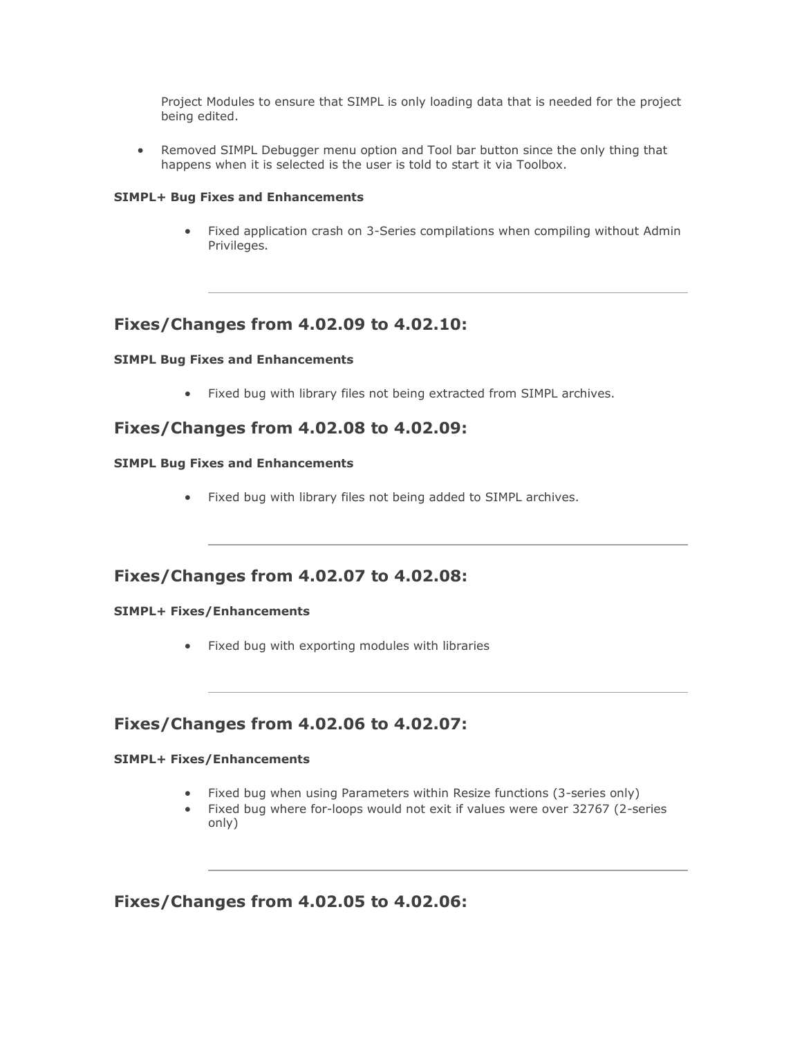Project Modules to ensure that SIMPL is only loading data that is needed for the project being edited.

• Removed SIMPL Debugger menu option and Tool bar button since the only thing that happens when it is selected is the user is told to start it via Toolbox.

#### **SIMPL+ Bug Fixes and Enhancements**

• Fixed application crash on 3-Series compilations when compiling without Admin Privileges.

### **Fixes/Changes from 4.02.09 to 4.02.10:**

#### **SIMPL Bug Fixes and Enhancements**

• Fixed bug with library files not being extracted from SIMPL archives.

### **Fixes/Changes from 4.02.08 to 4.02.09:**

#### **SIMPL Bug Fixes and Enhancements**

• Fixed bug with library files not being added to SIMPL archives.

### **Fixes/Changes from 4.02.07 to 4.02.08:**

#### **SIMPL+ Fixes/Enhancements**

• Fixed bug with exporting modules with libraries

### **Fixes/Changes from 4.02.06 to 4.02.07:**

#### **SIMPL+ Fixes/Enhancements**

- Fixed bug when using Parameters within Resize functions (3-series only)
- Fixed bug where for-loops would not exit if values were over 32767 (2-series only)

**Fixes/Changes from 4.02.05 to 4.02.06:**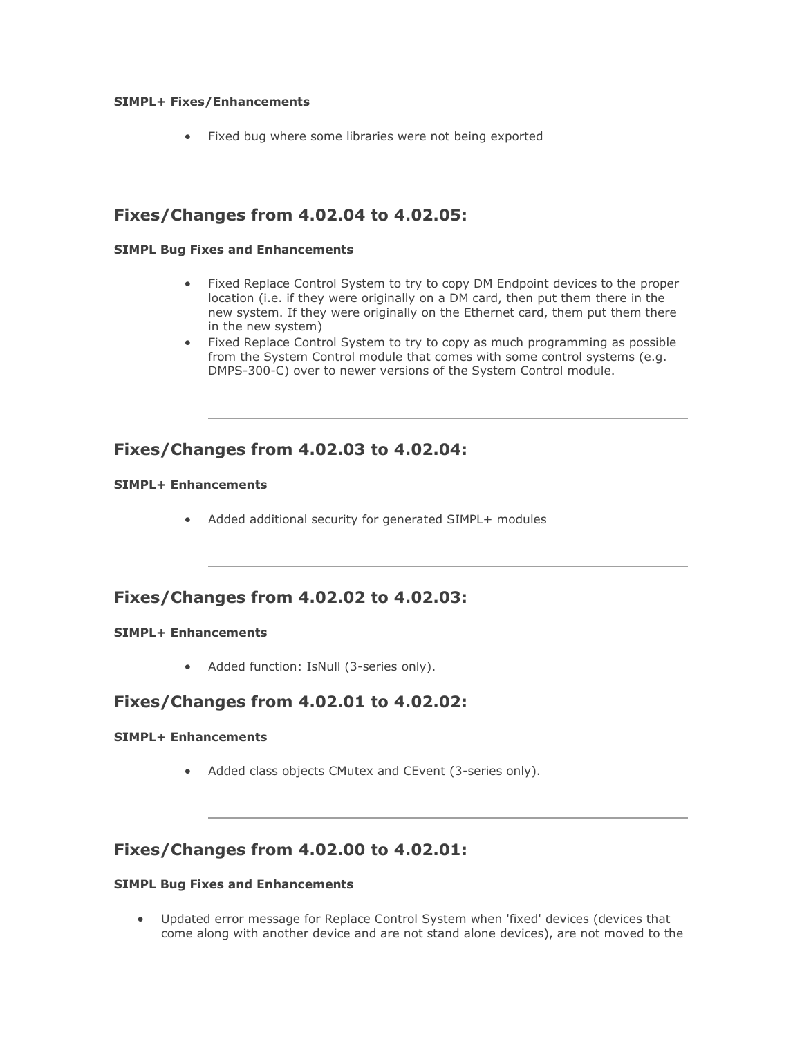#### **SIMPL+ Fixes/Enhancements**

• Fixed bug where some libraries were not being exported

### **Fixes/Changes from 4.02.04 to 4.02.05:**

#### **SIMPL Bug Fixes and Enhancements**

- Fixed Replace Control System to try to copy DM Endpoint devices to the proper location (i.e. if they were originally on a DM card, then put them there in the new system. If they were originally on the Ethernet card, them put them there in the new system)
- Fixed Replace Control System to try to copy as much programming as possible from the System Control module that comes with some control systems (e.g. DMPS-300-C) over to newer versions of the System Control module.

### **Fixes/Changes from 4.02.03 to 4.02.04:**

#### **SIMPL+ Enhancements**

• Added additional security for generated SIMPL+ modules

### **Fixes/Changes from 4.02.02 to 4.02.03:**

#### **SIMPL+ Enhancements**

• Added function: IsNull (3-series only).

### **Fixes/Changes from 4.02.01 to 4.02.02:**

#### **SIMPL+ Enhancements**

• Added class objects CMutex and CEvent (3-series only).

### **Fixes/Changes from 4.02.00 to 4.02.01:**

#### **SIMPL Bug Fixes and Enhancements**

• Updated error message for Replace Control System when 'fixed' devices (devices that come along with another device and are not stand alone devices), are not moved to the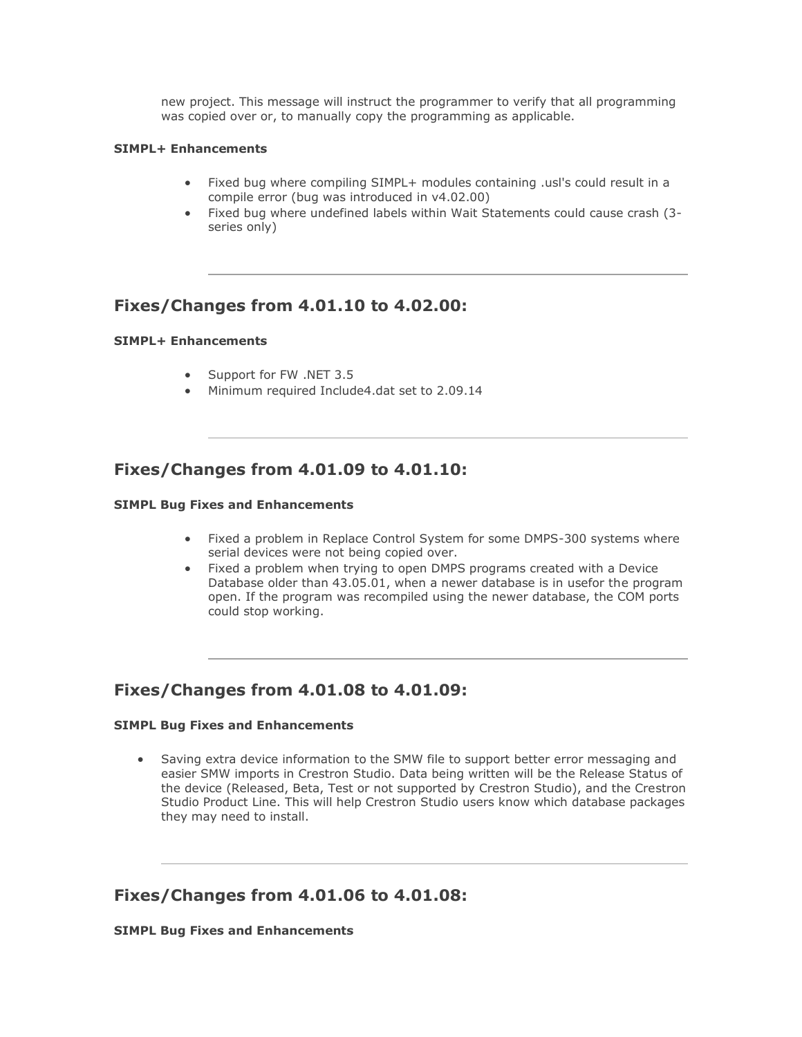new project. This message will instruct the programmer to verify that all programming was copied over or, to manually copy the programming as applicable.

#### **SIMPL+ Enhancements**

- Fixed bug where compiling SIMPL+ modules containing .usl's could result in a compile error (bug was introduced in v4.02.00)
- Fixed bug where undefined labels within Wait Statements could cause crash (3 series only)

### **Fixes/Changes from 4.01.10 to 4.02.00:**

#### **SIMPL+ Enhancements**

- Support for FW .NET 3.5
- Minimum required Include4.dat set to 2.09.14

### **Fixes/Changes from 4.01.09 to 4.01.10:**

#### **SIMPL Bug Fixes and Enhancements**

- Fixed a problem in Replace Control System for some DMPS-300 systems where serial devices were not being copied over.
- Fixed a problem when trying to open DMPS programs created with a Device Database older than 43.05.01, when a newer database is in usefor the program open. If the program was recompiled using the newer database, the COM ports could stop working.

### **Fixes/Changes from 4.01.08 to 4.01.09:**

#### **SIMPL Bug Fixes and Enhancements**

• Saving extra device information to the SMW file to support better error messaging and easier SMW imports in Crestron Studio. Data being written will be the Release Status of the device (Released, Beta, Test or not supported by Crestron Studio), and the Crestron Studio Product Line. This will help Crestron Studio users know which database packages they may need to install.

### **Fixes/Changes from 4.01.06 to 4.01.08:**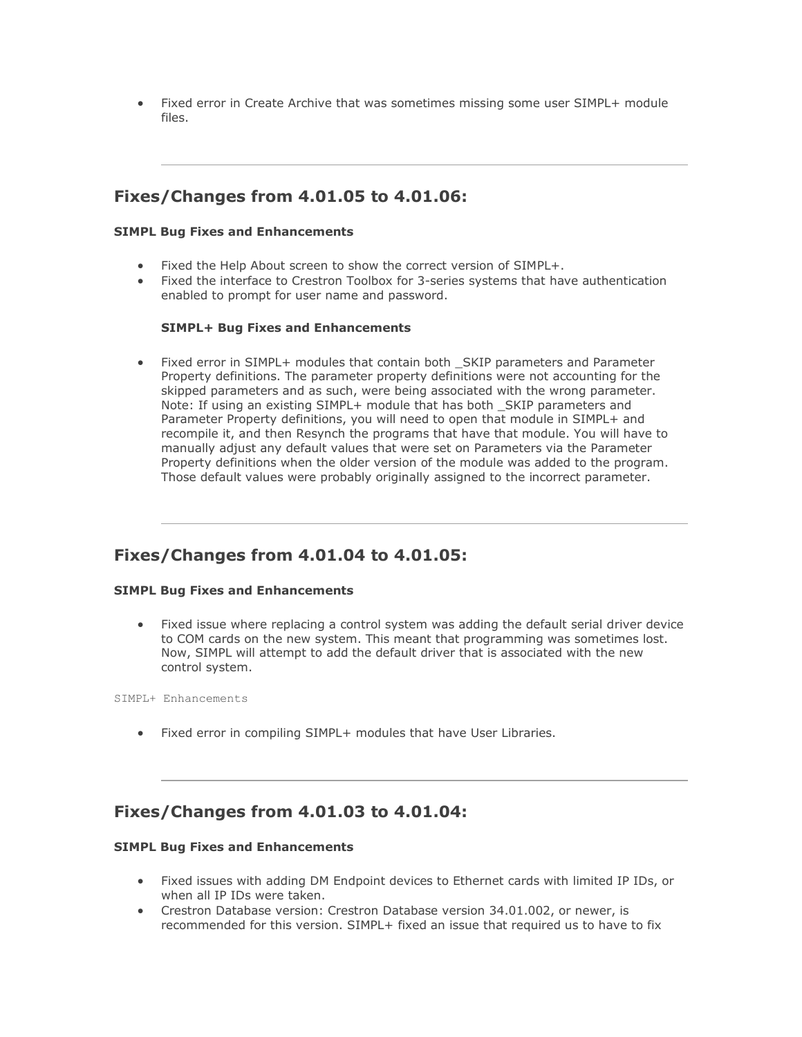• Fixed error in Create Archive that was sometimes missing some user SIMPL+ module files.

# **Fixes/Changes from 4.01.05 to 4.01.06:**

#### **SIMPL Bug Fixes and Enhancements**

- Fixed the Help About screen to show the correct version of SIMPL+.
- Fixed the interface to Crestron Toolbox for 3-series systems that have authentication enabled to prompt for user name and password.

#### **SIMPL+ Bug Fixes and Enhancements**

Fixed error in SIMPL+ modules that contain both SKIP parameters and Parameter Property definitions. The parameter property definitions were not accounting for the skipped parameters and as such, were being associated with the wrong parameter. Note: If using an existing SIMPL+ module that has both SKIP parameters and Parameter Property definitions, you will need to open that module in SIMPL+ and recompile it, and then Resynch the programs that have that module. You will have to manually adjust any default values that were set on Parameters via the Parameter Property definitions when the older version of the module was added to the program. Those default values were probably originally assigned to the incorrect parameter.

### **Fixes/Changes from 4.01.04 to 4.01.05:**

#### **SIMPL Bug Fixes and Enhancements**

• Fixed issue where replacing a control system was adding the default serial driver device to COM cards on the new system. This meant that programming was sometimes lost. Now, SIMPL will attempt to add the default driver that is associated with the new control system.

SIMPL+ Enhancements

• Fixed error in compiling SIMPL+ modules that have User Libraries.

### **Fixes/Changes from 4.01.03 to 4.01.04:**

- Fixed issues with adding DM Endpoint devices to Ethernet cards with limited IP IDs, or when all IP IDs were taken.
- Crestron Database version: Crestron Database version 34.01.002, or newer, is recommended for this version. SIMPL+ fixed an issue that required us to have to fix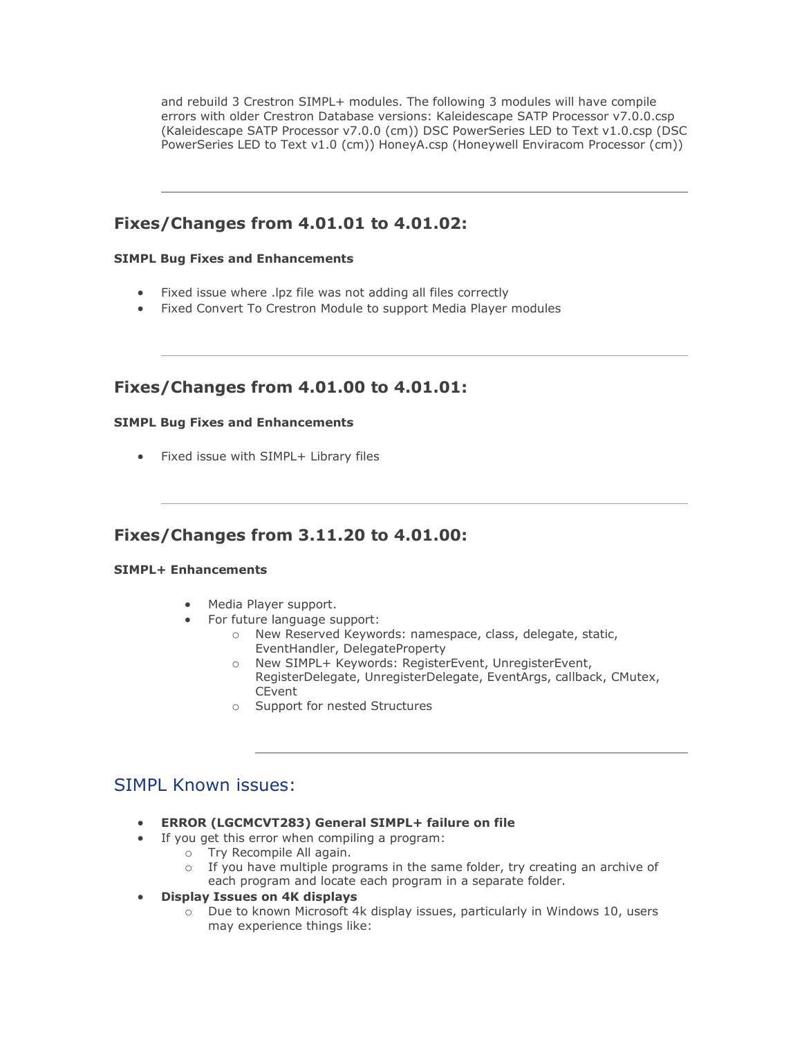and rebuild 3 Crestron SIMPL+ modules. The following 3 modules will have compile errors with older Crestron Database versions: Kaleidescape SATP Processor v7.0.0.csp (Kaleidescape SATP Processor v7.0.0 (cm)) DSC PowerSeries LED to Text v1.0.csp (DSC PowerSeries LED to Text v1.0 (cm)) HoneyA.csp (Honeywell Enviracom Processor (cm))

### **Fixes/Changes from 4.01.01 to 4.01.02:**

#### **SIMPL Bug Fixes and Enhancements**

- Fixed issue where .lpz file was not adding all files correctly
- Fixed Convert To Crestron Module to support Media Player modules

### **Fixes/Changes from 4.01.00 to 4.01.01:**

#### **SIMPL Bug Fixes and Enhancements**

• Fixed issue with SIMPL+ Library files

### **Fixes/Changes from 3.11.20 to 4.01.00:**

#### **SIMPL+ Enhancements**

- Media Player support.
- For future language support:
	- o New Reserved Keywords: namespace, class, delegate, static, EventHandler, DelegateProperty
	- o New SIMPL+ Keywords: RegisterEvent, UnregisterEvent, RegisterDelegate, UnregisterDelegate, EventArgs, callback, CMutex, **CEvent**
	- o Support for nested Structures

# SIMPL Known issues:

- **ERROR (LGCMCVT283) General SIMPL+ failure on file**
- If you get this error when compiling a program:
	- o Try Recompile All again.
		- $\circ$  If you have multiple programs in the same folder, try creating an archive of each program and locate each program in a separate folder.
- **Display Issues on 4K displays**
	- o Due to known Microsoft 4k display issues, particularly in Windows 10, users may experience things like: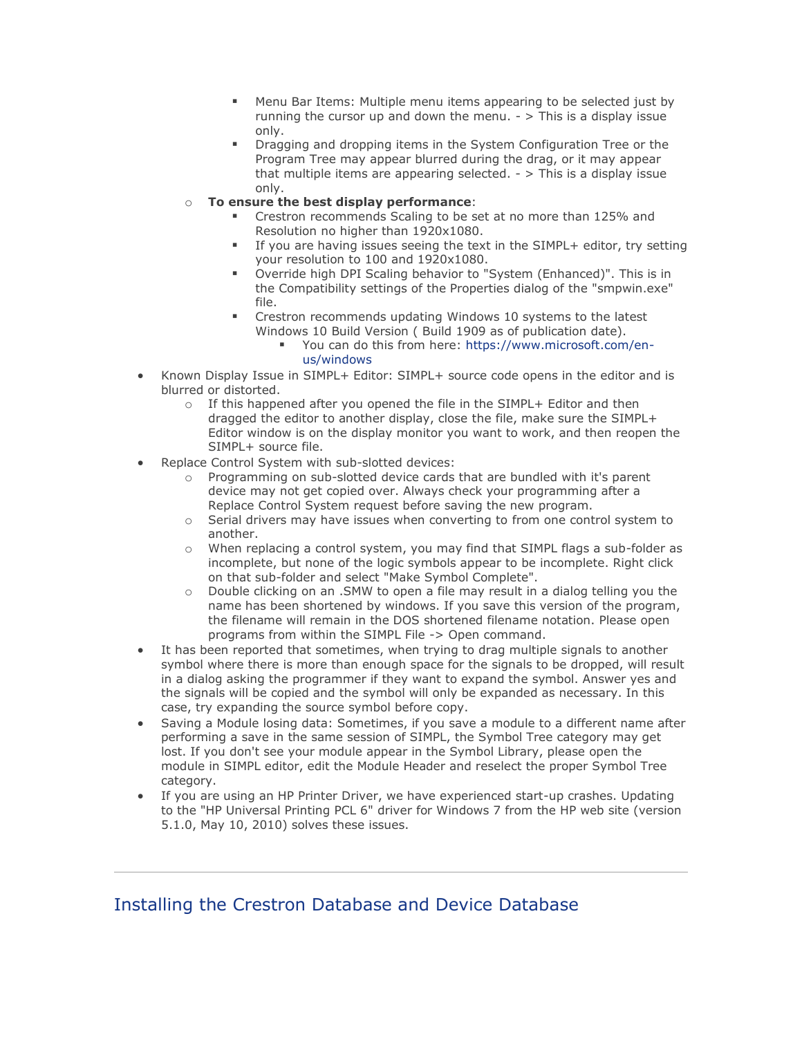- Menu Bar Items: Multiple menu items appearing to be selected just by running the cursor up and down the menu.  $\frac{1}{2}$  > This is a display issue only.
- Dragging and dropping items in the System Configuration Tree or the Program Tree may appear blurred during the drag, or it may appear that multiple items are appearing selected.  $-$  > This is a display issue only.
- o **To ensure the best display performance**:
	- Crestron recommends Scaling to be set at no more than 125% and Resolution no higher than 1920x1080.
	- If you are having issues seeing the text in the SIMPL+ editor, try setting your resolution to 100 and 1920x1080.
	- Override high DPI Scaling behavior to "System (Enhanced)". This is in the Compatibility settings of the Properties dialog of the "smpwin.exe" file.
	- **EXECTE CREST** Crestron recommends updating Windows 10 systems to the latest Windows 10 Build Version ( Build 1909 as of publication date).
		- You can do this from here: [https://www.microsoft.com/en](https://www.microsoft.com/en-us/windows)[us/windows](https://www.microsoft.com/en-us/windows)
- Known Display Issue in SIMPL+ Editor: SIMPL+ source code opens in the editor and is blurred or distorted.
	- $\circ$  If this happened after you opened the file in the SIMPL+ Editor and then dragged the editor to another display, close the file, make sure the SIMPL+ Editor window is on the display monitor you want to work, and then reopen the SIMPL+ source file.
- Replace Control System with sub-slotted devices:
	- o Programming on sub-slotted device cards that are bundled with it's parent device may not get copied over. Always check your programming after a Replace Control System request before saving the new program.
	- o Serial drivers may have issues when converting to from one control system to another.
	- o When replacing a control system, you may find that SIMPL flags a sub-folder as incomplete, but none of the logic symbols appear to be incomplete. Right click on that sub-folder and select "Make Symbol Complete".
	- o Double clicking on an .SMW to open a file may result in a dialog telling you the name has been shortened by windows. If you save this version of the program, the filename will remain in the DOS shortened filename notation. Please open programs from within the SIMPL File -> Open command.
- It has been reported that sometimes, when trying to drag multiple signals to another symbol where there is more than enough space for the signals to be dropped, will result in a dialog asking the programmer if they want to expand the symbol. Answer yes and the signals will be copied and the symbol will only be expanded as necessary. In this case, try expanding the source symbol before copy.
- Saving a Module losing data: Sometimes, if you save a module to a different name after performing a save in the same session of SIMPL, the Symbol Tree category may get lost. If you don't see your module appear in the Symbol Library, please open the module in SIMPL editor, edit the Module Header and reselect the proper Symbol Tree category.
- If you are using an HP Printer Driver, we have experienced start-up crashes. Updating to the "HP Universal Printing PCL 6" driver for Windows 7 from the HP web site (version 5.1.0, May 10, 2010) solves these issues.

# Installing the Crestron Database and Device Database